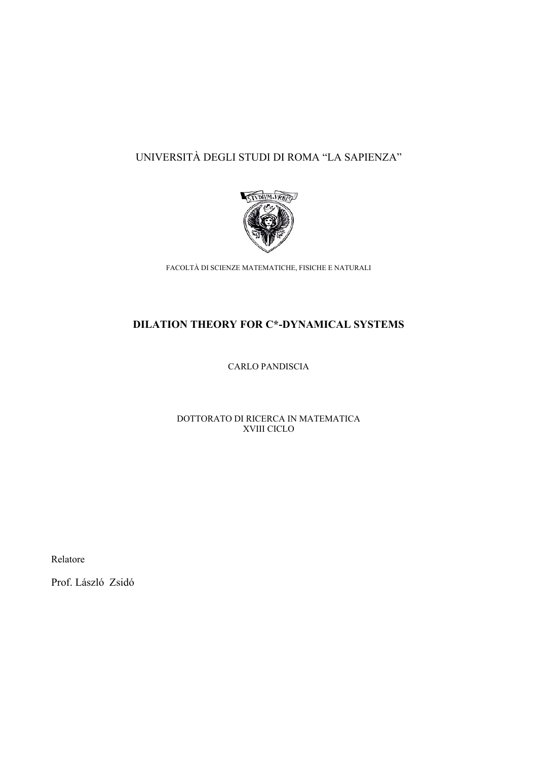# UNIVERSITÀ DEGLI STUDI DI ROMA "LA SAPIENZA"



FACOLTÀ DI SCIENZE MATEMATICHE, FISICHE E NATURALI

# **DILATION THEORY FOR C\*-DYNAMICAL SYSTEMS**

CARLO PANDISCIA

DOTTORATO DI RICERCA IN MATEMATICA XVIII CICLO

Relatore

Prof. László Zsidó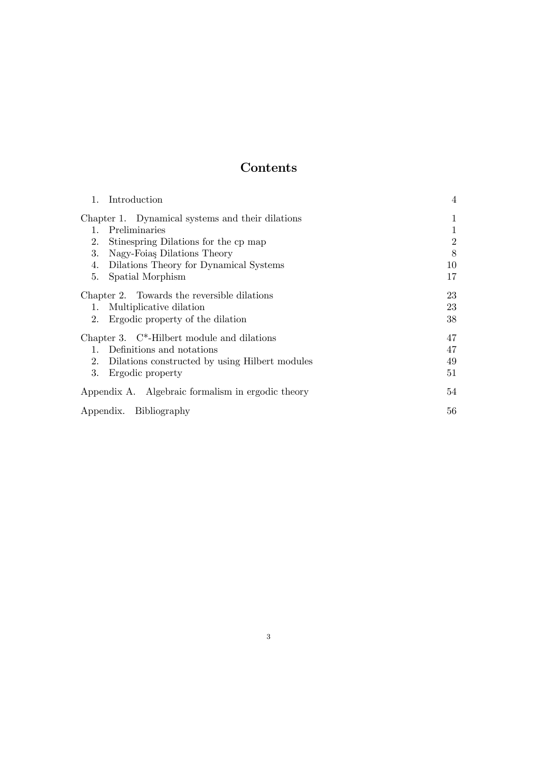# **Contents**

| Introduction<br>1.                                   | $\overline{4}$ |
|------------------------------------------------------|----------------|
| Chapter 1. Dynamical systems and their dilations     | 1              |
| Preliminaries<br>1.                                  |                |
| 2.<br>Stinespring Dilations for the cp map           | $\overline{2}$ |
| 3.<br>Nagy-Foias Dilations Theory                    | 8              |
| Dilations Theory for Dynamical Systems<br>4.         | 10             |
| 5.<br>Spatial Morphism                               | 17             |
| Chapter 2. Towards the reversible dilations          | 23             |
| Multiplicative dilation<br>1.                        | 23             |
| 2.<br>Ergodic property of the dilation               | 38             |
| Chapter 3. $C^*$ -Hilbert module and dilations       | 47             |
| Definitions and notations<br>$\mathbb{1}$ .          | 47             |
| Dilations constructed by using Hilbert modules<br>2. | 49             |
| 3.<br>Ergodic property                               | 51             |
| Appendix A. Algebraic formalism in ergodic theory    | 54             |
| Appendix. Bibliography                               | 56             |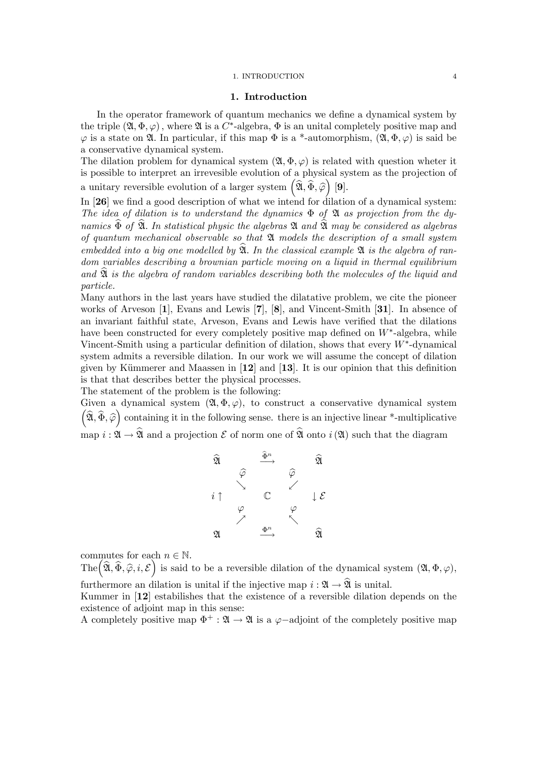#### 1. INTRODUCTION 4

#### 1. Introduction

In the operator framework of quantum mechanics we define a dynamical system by the triple  $(\mathfrak{A}, \Phi, \varphi)$ , where  $\mathfrak{A}$  is a C<sup>∗</sup>-algebra,  $\Phi$  is an unital completely positive map and  $\varphi$  is a state on  $\mathfrak A$ . In particular, if this map  $\Phi$  is a \*-automorphism,  $(\mathfrak A, \Phi, \varphi)$  is said be a conservative dynamical system.

The dilation problem for dynamical system  $(\mathfrak{A}, \Phi, \varphi)$  is related with question wheter it is possible to interpret an irrevesible evolution of a physical system as the projection of a unitary reversible evolution of a larger system  $\left( \widehat{\mathfrak{A}}, \widehat{\Phi}, \widehat{\varphi} \right)$  [9].

In [26] we find a good description of what we intend for dilation of a dynamical system: The idea of dilation is to understand the dynamics  $\Phi$  of  $\mathfrak A$  as projection from the dynamics  $\widehat{\Phi}$  of  $\widehat{\mathfrak{A}}$ . In statistical physic the algebras  $\mathfrak A$  and  $\widehat{\mathfrak A}$  may be considered as algebras of quantum mechanical observable so that  $\mathfrak A$  models the description of a small system embedded into a big one modelled by  $\mathfrak{A}$ . In the classical example  $\mathfrak{A}$  is the algebra of random variables describing a brownian particle moving on a liquid in thermal equilibrium and  $\widehat{\mathfrak{A}}$  is the algebra of random variables describing both the molecules of the liquid and particle.

Many authors in the last years have studied the dilatative problem, we cite the pioneer works of Arveson [1], Evans and Lewis [7], [8], and Vincent-Smith [31]. In absence of an invariant faithful state, Arveson, Evans and Lewis have verified that the dilations have been constructed for every completely positive map defined on  $W^*$ -algebra, while Vincent-Smith using a particular definition of dilation, shows that every W∗-dynamical system admits a reversible dilation. In our work we will assume the concept of dilation given by Kümmerer and Maassen in  $[12]$  and  $[13]$ . It is our opinion that this definition is that that describes better the physical processes.

The statement of the problem is the following:

Given a dynamical system  $(\mathfrak{A}, \Phi, \varphi)$ , to construct a conservative dynamical system  $(\widehat{\mathfrak{A}}, \widehat{\Phi}, \widehat{\varphi})$  containing it in the following sense. there is an injective linear \*-multiplicative map  $i: \mathfrak{A} \to \widehat{\mathfrak{A}}$  and a projection  $\mathcal E$  of norm one of  $\widehat{\mathfrak{A}}$  onto  $i(\mathfrak{A})$  such that the diagram



commutes for each  $n \in \mathbb{N}$ .

The  $(\widehat{\mathfrak{A}}, \widehat{\Phi}, \widehat{\varphi}, i, \mathcal{E})$  is said to be a reversible dilation of the dynamical system  $(\mathfrak{A}, \Phi, \varphi)$ , furthermore an dilation is unital if the injective map  $i: \mathfrak{A} \to \widehat{\mathfrak{A}}$  is unital.

Kummer in [12] estabilishes that the existence of a reversible dilation depends on the existence of adjoint map in this sense:

A completely positive map  $\Phi^+ : \mathfrak{A} \to \mathfrak{A}$  is a  $\varphi$ -adjoint of the completely positive map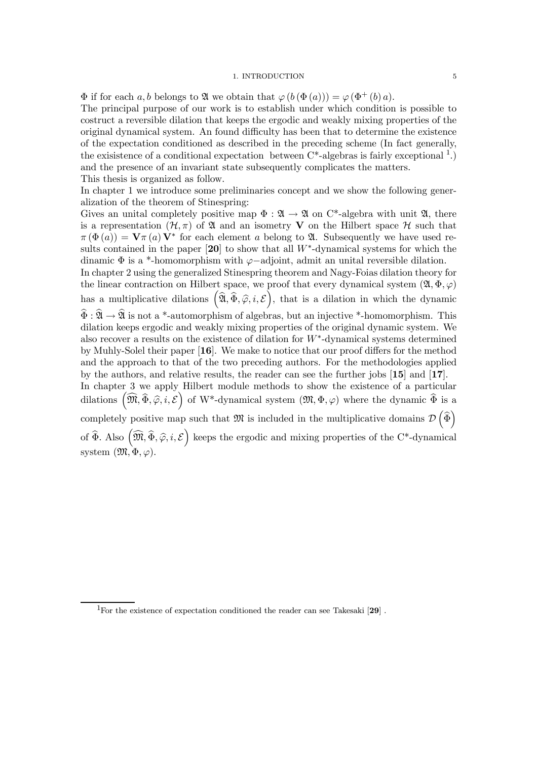#### 1. INTRODUCTION 5

 $\Phi$  if for each a, b belongs to  $\mathfrak A$  we obtain that  $\varphi(b(\Phi(a))) = \varphi(\Phi^+(b) a)$ . The principal purpose of our work is to establish under which condition is possible to costruct a reversible dilation that keeps the ergodic and weakly mixing properties of the original dynamical system. An found difficulty has been that to determine the existence of the expectation conditioned as described in the preceding scheme (In fact generally, the exisistence of a conditional expectation between  $C^*$ -algebras is fairly exceptional <sup>1</sup>.) and the presence of an invariant state subsequently complicates the matters. This thesis is organized as follow.

In chapter 1 we introduce some preliminaries concept and we show the following generalization of the theorem of Stinespring:

Gives an unital completely positive map  $\Phi : \mathfrak{A} \to \mathfrak{A}$  on C<sup>\*</sup>-algebra with unit  $\mathfrak{A}$ , there is a representation  $(H, \pi)$  of  $\mathfrak A$  and an isometry V on the Hilbert space H such that  $\pi(\Phi(a)) = \mathbf{V}\pi(a)\mathbf{V}^*$  for each element a belong to  $\mathfrak{A}$ . Subsequently we have used results contained in the paper  $[20]$  to show that all W<sup>\*</sup>-dynamical systems for which the dinamic  $\Phi$  is a \*-homomorphism with  $\varphi$ -adjoint, admit an unital reversible dilation.

In chapter 2 using the generalized Stinespring theorem and Nagy-Foias dilation theory for the linear contraction on Hilbert space, we proof that every dynamical system  $(\mathfrak{A}, \Phi, \varphi)$ has a multiplicative dilations  $\left( \widehat{\mathfrak{A}}, \widehat{\Phi}, \widehat{\varphi}, i, \mathcal{E} \right)$ , that is a dilation in which the dynamic

 $\widehat{\Phi} : \widehat{\mathfrak{A}} \to \widehat{\mathfrak{A}}$  is not a \*-automorphism of algebras, but an injective \*-homomorphism. This dilation keeps ergodic and weakly mixing properties of the original dynamic system. We also recover a results on the existence of dilation for  $W^*$ -dynamical systems determined by Muhly-Solel their paper [16]. We make to notice that our proof differs for the method and the approach to that of the two preceding authors. For the methodologies applied by the authors, and relative results, the reader can see the further jobs [15] and [17].

In chapter 3 we apply Hilbert module methods to show the existence of a particular dilations  $(\widehat{\mathfrak{M}}, \widehat{\Phi}, \widehat{\varphi}, i, \mathcal{E})$  of W<sup>\*</sup>-dynamical system  $(\mathfrak{M}, \Phi, \varphi)$  where the dynamic  $\widehat{\Phi}$  is a completely positive map such that  $\mathfrak{M}$  is included in the multiplicative domains  $\mathcal{D}(\widehat{\Phi})$ of  $\widehat{\Phi}$ . Also  $(\widehat{\mathfrak{M}}, \widehat{\Phi}, \widehat{\varphi}, i, \mathcal{E})$  keeps the ergodic and mixing properties of the C\*-dynamical system  $(\mathfrak{M}, \Phi, \varphi)$ .

<sup>1</sup>For the existence of expectation conditioned the reader can see Takesaki [29] .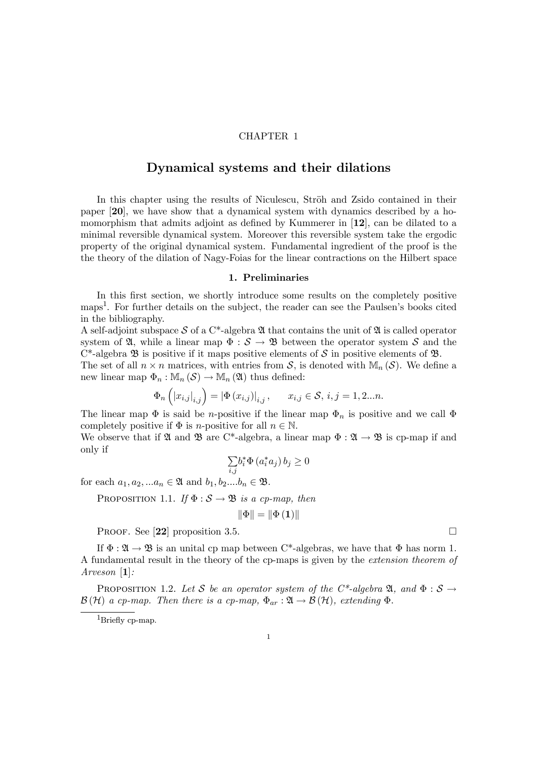### CHAPTER 1

# Dynamical systems and their dilations

In this chapter using the results of Niculescu, Ströh and Zsido contained in their paper [20], we have show that a dynamical system with dynamics described by a homomorphism that admits adjoint as defined by Kummerer in [12], can be dilated to a minimal reversible dynamical system. Moreover this reversible system take the ergodic property of the original dynamical system. Fundamental ingredient of the proof is the the theory of the dilation of Nagy-Foias for the linear contractions on the Hilbert space

#### 1. Preliminaries

In this first section, we shortly introduce some results on the completely positive maps1. For further details on the subject, the reader can see the Paulsen's books cited in the bibliography.

A self-adjoint subspace S of a  $C^*$ -algebra  $\mathfrak A$  that contains the unit of  $\mathfrak A$  is called operator system of  $\mathfrak{A}$ , while a linear map  $\Phi : \mathcal{S} \to \mathfrak{B}$  between the operator system  $\mathcal{S}$  and the  $C^*$ -algebra  $\mathfrak B$  is positive if it maps positive elements of  $\mathcal S$  in positive elements of  $\mathfrak B$ .

The set of all  $n \times n$  matrices, with entries from S, is denoted with  $\mathbb{M}_n(S)$ . We define a new linear map  $\Phi_n : \mathbb{M}_n(\mathcal{S}) \to \mathbb{M}_n(\mathfrak{A})$  thus defined:

$$
\Phi_n\left(|x_{i,j}|_{i,j}\right) = |\Phi(x_{i,j})|_{i,j}, \qquad x_{i,j} \in \mathcal{S}, \ i, j = 1, 2...n.
$$

The linear map  $\Phi$  is said be *n*-positive if the linear map  $\Phi_n$  is positive and we call  $\Phi$ completely positive if  $\Phi$  is *n*-positive for all  $n \in \mathbb{N}$ .

We observe that if  $\mathfrak A$  and  $\mathfrak B$  are C<sup>\*</sup>-algebra, a linear map  $\Phi : \mathfrak A \to \mathfrak B$  is cp-map if and only if

$$
\sum_{i,j} b_i^* \Phi\left(a_i^* a_j\right) b_j \ge 0
$$

for each  $a_1, a_2, ... a_n \in \mathfrak{A}$  and  $b_1, b_2... b_n \in \mathfrak{B}$ .

PROPOSITION 1.1. If  $\Phi : \mathcal{S} \to \mathfrak{B}$  is a cp-map, then

$$
\left\Vert \Phi\right\Vert =\left\Vert \Phi\left(\mathbf{1}\right)\right\Vert
$$

PROOF. See [22] proposition 3.5.  $\Box$ 

If  $\Phi : \mathfrak{A} \to \mathfrak{B}$  is an unital cp map between C\*-algebras, we have that  $\Phi$  has norm 1. A fundamental result in the theory of the cp-maps is given by the extension theorem of Arveson [1]:

PROPOSITION 1.2. Let S be an operator system of the  $C^*$ -algebra  $\mathfrak{A}$ , and  $\Phi : \mathcal{S} \to$  $\mathcal{B}(\mathcal{H})$  a cp-map. Then there is a cp-map,  $\Phi_{ar} : \mathfrak{A} \to \mathcal{B}(\mathcal{H})$ , extending  $\Phi$ .

<sup>1</sup>Briefly cp-map.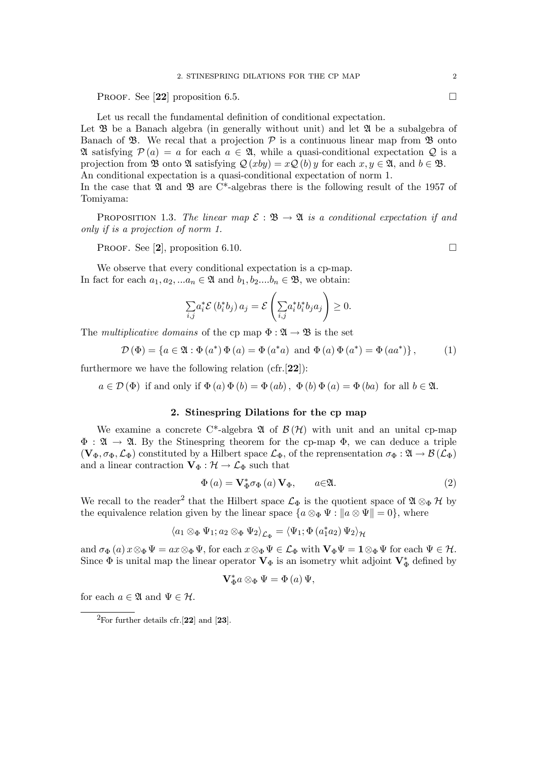PROOF. See [22] proposition 6.5.  $\Box$ 

Let us recall the fundamental definition of conditional expectation.

Let  $\mathfrak B$  be a Banach algebra (in generally without unit) and let  $\mathfrak A$  be a subalgebra of Banach of  $\mathfrak{B}$ . We recal that a projection  $\mathcal P$  is a continuous linear map from  $\mathfrak{B}$  onto A satisfying  $\mathcal{P}(a) = a$  for each  $a \in \mathfrak{A}$ , while a quasi-conditional expectation Q is a projection from **B** onto **Q** satisfying  $Q(xby) = xQ(b)y$  for each  $x, y \in \mathfrak{A}$ , and  $b \in \mathfrak{B}$ . An conditional expectation is a quasi-conditional expectation of norm 1. In the case that  $\mathfrak A$  and  $\mathfrak B$  are C<sup>\*</sup>-algebras there is the following result of the 1957 of

PROPOSITION 1.3. The linear map  $\mathcal{E}: \mathfrak{B} \to \mathfrak{A}$  is a conditional expectation if and only if is a projection of norm 1.

PROOF. See [2], proposition 6.10.  $\Box$ 

Tomiyama:

We observe that every conditional expectation is a cp-map. In fact for each  $a_1, a_2, ... a_n \in \mathfrak{A}$  and  $b_1, b_2... b_n \in \mathfrak{B}$ , we obtain:

$$
\sum_{i,j} a_i^* \mathcal{E} \left( b_i^* b_j \right) a_j = \mathcal{E} \left( \sum_{i,j} a_i^* b_i^* b_j a_j \right) \ge 0.
$$

The multiplicative domains of the cp map  $\Phi : \mathfrak{A} \to \mathfrak{B}$  is the set

$$
\mathcal{D}(\Phi) = \left\{ a \in \mathfrak{A} : \Phi(a^*) \Phi(a) = \Phi(a^*a) \text{ and } \Phi(a) \Phi(a^*) = \Phi(aa^*) \right\},\tag{1}
$$

furthermore we have the following relation  $(cfr.[22])$ :

 $a \in \mathcal{D}(\Phi)$  if and only if  $\Phi(a) \Phi(b) = \Phi(ab)$ ,  $\Phi(b) \Phi(a) = \Phi(ba)$  for all  $b \in \mathfrak{A}$ .

### 2. Stinespring Dilations for the cp map

We examine a concrete C<sup>\*</sup>-algebra  $\mathfrak{A}$  of  $\mathcal{B}(\mathcal{H})$  with unit and an unital cp-map  $\Phi : \mathfrak{A} \to \mathfrak{A}$ . By the Stinespring theorem for the cp-map  $\Phi$ , we can deduce a triple  $(V_{\Phi}, \sigma_{\Phi}, \mathcal{L}_{\Phi})$  constituted by a Hilbert space  $\mathcal{L}_{\Phi}$ , of the reprensentation  $\sigma_{\Phi}: \mathfrak{A} \to \mathcal{B}(\mathcal{L}_{\Phi})$ and a linear contraction  $\mathbf{V}_\Phi : \mathcal{H} \to \mathcal{L}_\Phi$  such that

$$
\Phi(a) = \mathbf{V}_{\Phi}^* \sigma_{\Phi}(a) \mathbf{V}_{\Phi}, \qquad a \in \mathfrak{A}.
$$
 (2)

We recall to the reader<sup>2</sup> that the Hilbert space  $\mathcal{L}_{\Phi}$  is the quotient space of  $\mathfrak{A} \otimes_{\Phi} \mathcal{H}$  by the equivalence relation given by the linear space  $\{a \otimes_{\Phi} \Psi : ||a \otimes \Psi|| = 0\}$ , where

$$
\langle a_1 \otimes_{\Phi} \Psi_1; a_2 \otimes_{\Phi} \Psi_2 \rangle_{\mathcal{L}_{\Phi}} = \langle \Psi_1; \Phi \left( a_1^* a_2 \right) \Psi_2 \rangle_{\mathcal{H}}
$$

and  $\sigma_{\Phi}(a) x \otimes_{\Phi} \Psi = ax \otimes_{\Phi} \Psi$ , for each  $x \otimes_{\Phi} \Psi \in \mathcal{L}_{\Phi}$  with  $\mathbf{V}_{\Phi} \Psi = 1 \otimes_{\Phi} \Psi$  for each  $\Psi \in \mathcal{H}$ . Since  $\Phi$  is unital map the linear operator  $V_{\Phi}$  is an isometry whit adjoint  $V_{\Phi}^*$  defined by

$$
\mathbf{V}_{\Phi}^* a \otimes_{\Phi} \Psi = \Phi(a) \Psi,
$$

for each  $a \in \mathfrak{A}$  and  $\Psi \in \mathcal{H}$ .

 ${}^{2}$ For further details cfr.[22] and [23].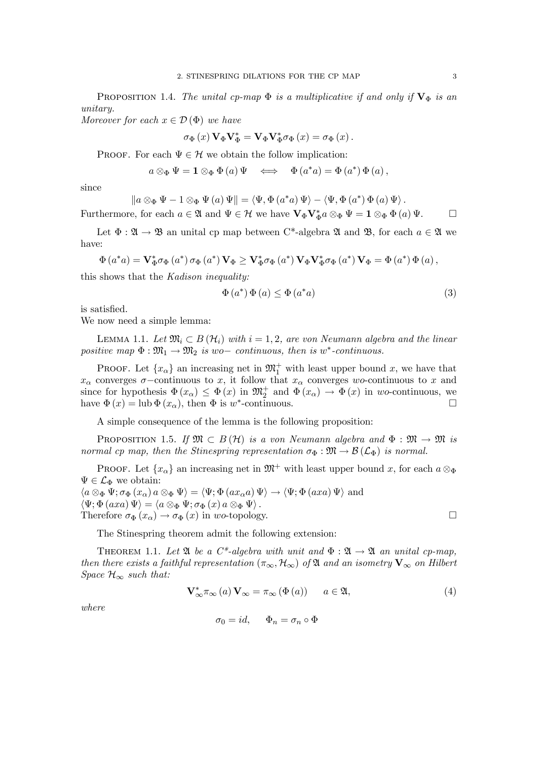PROPOSITION 1.4. The unital cp-map  $\Phi$  is a multiplicative if and only if  $V_{\Phi}$  is an unitary.

Moreover for each  $x \in \mathcal{D}(\Phi)$  we have

$$
\sigma_{\Phi}\left(x\right)\mathbf{V}_{\Phi}\mathbf{V}_{\Phi}^{*}=\mathbf{V}_{\Phi}\mathbf{V}_{\Phi}^{*}\sigma_{\Phi}\left(x\right)=\sigma_{\Phi}\left(x\right).
$$

PROOF. For each  $\Psi \in \mathcal{H}$  we obtain the follow implication:

$$
a \otimes_{\Phi} \Psi = \mathbf{1} \otimes_{\Phi} \Phi (a) \Psi \iff \Phi (a^* a) = \Phi (a^*) \Phi (a) ,
$$

since

$$
\|a\otimes_{\Phi}\Psi-1\otimes_{\Phi}\Psi(a)\Psi\|=\langle\Psi,\Phi(a^*a)\Psi\rangle-\langle\Psi,\Phi(a^*)\Phi(a)\Psi\rangle.
$$

Furthermore, for each  $a \in \mathfrak{A}$  and  $\Psi \in \mathcal{H}$  we have  $\mathbf{V}_{\Phi} \mathbf{V}_{\Phi}^* a \otimes_{\Phi} \Psi = \mathbf{1} \otimes_{\Phi} \Phi(a) \Psi$ .

Let  $\Phi : \mathfrak{A} \to \mathfrak{B}$  an unital cp map between C<sup>\*</sup>-algebra  $\mathfrak{A}$  and  $\mathfrak{B}$ , for each  $a \in \mathfrak{A}$  we have:

$$
\Phi\left(a^{*}a\right)=\mathbf{V}_{\Phi}^{*}\sigma_{\Phi}\left(a^{*}\right)\sigma_{\Phi}\left(a^{*}\right)\mathbf{V}_{\Phi}\geq\mathbf{V}_{\Phi}^{*}\sigma_{\Phi}\left(a^{*}\right)\mathbf{V}_{\Phi}\mathbf{V}_{\Phi}^{*}\sigma_{\Phi}\left(a^{*}\right)\mathbf{V}_{\Phi}=\Phi\left(a^{*}\right)\Phi\left(a\right),
$$

this shows that the Kadison inequality:

$$
\Phi\left(a^*\right)\Phi\left(a\right) \leq \Phi\left(a^*a\right) \tag{3}
$$

is satisfied.

We now need a simple lemma:

LEMMA 1.1. Let  $\mathfrak{M}_i \subset B(\mathcal{H}_i)$  with  $i = 1, 2$ , are von Neumann algebra and the linear positive map  $\Phi : \mathfrak{M}_1 \to \mathfrak{M}_2$  is wo– continuous, then is w<sup>\*</sup>-continuous.

**PROOF.** Let  $\{x_{\alpha}\}\$ an increasing net in  $\mathfrak{M}^+_1$  with least upper bound x, we have that  $x_{\alpha}$  converges  $\sigma$ –continuous to x, it follow that  $x_{\alpha}$  converges wo-continuous to x and since for hypothesis  $\Phi(x_\alpha) \leq \Phi(x)$  in  $\mathfrak{M}_2^+$  and  $\Phi(x_\alpha) \to \Phi(x)$  in wo-continuous, we have  $\Phi(x) = \text{lub}\,\Phi(x_\alpha)$ , then  $\Phi$  is w<sup>\*</sup>-continuous.

A simple consequence of the lemma is the following proposition:

PROPOSITION 1.5. If  $\mathfrak{M} \subset B(\mathcal{H})$  is a von Neumann algebra and  $\Phi : \mathfrak{M} \to \mathfrak{M}$  is normal cp map, then the Stinespring representation  $\sigma_{\Phi}: \mathfrak{M} \to \mathcal{B}(\mathcal{L}_{\Phi})$  is normal.

**PROOF.** Let  $\{x_{\alpha}\}\$ an increasing net in  $\mathfrak{M}^+$  with least upper bound x, for each  $a \otimes_{\Phi}$  $\Psi \in \mathcal{L}_{\Phi}$  we obtain:

 $\langle a \otimes_{\Phi} \Psi; \sigma_{\Phi} (x_{\alpha}) a \otimes_{\Phi} \Psi \rangle = \langle \Psi; \Phi (ax_{\alpha}a) \Psi \rangle \rightarrow \langle \Psi; \Phi (axa) \Psi \rangle$  and  $\langle \Psi ; \Phi \left( axa \right) \Psi \rangle = \langle a \otimes_{\Phi} \Psi ; \sigma_{\Phi} \left( x \right) a \otimes_{\Phi} \Psi \rangle.$ Therefore  $\sigma_{\Phi} (x_{\alpha}) \to \sigma_{\Phi} (x)$  in wo-topology.

The Stinespring theorem admit the following extension:

THEOREM 1.1. Let  $\mathfrak A$  be a  $C^*$ -algebra with unit and  $\Phi : \mathfrak A \to \mathfrak A$  an unital cp-map, then there exists a faithful representation  $(\pi_{\infty}, \mathcal{H}_{\infty})$  of  $\mathfrak A$  and an isometry  $V_{\infty}$  on Hilbert Space  $\mathcal{H}_{\infty}$  such that:

$$
\mathbf{V}_{\infty}^* \pi_{\infty}(a) \mathbf{V}_{\infty} = \pi_{\infty}(\Phi(a)) \qquad a \in \mathfrak{A}, \tag{4}
$$

where

$$
\sigma_0 = id, \quad \Phi_n = \sigma_n \circ \Phi
$$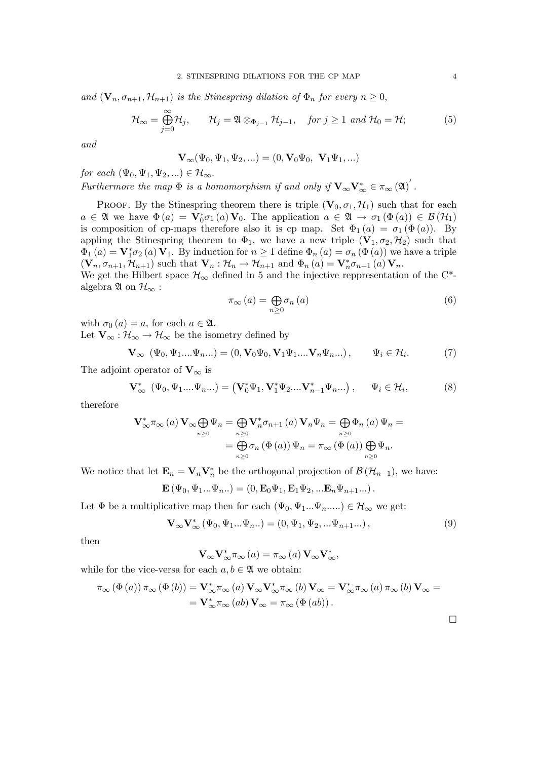and  $(\mathbf{V}_n, \sigma_{n+1}, \mathcal{H}_{n+1})$  is the Stinespring dilation of  $\Phi_n$  for every  $n \geq 0$ ,

$$
\mathcal{H}_{\infty} = \bigoplus_{j=0}^{\infty} \mathcal{H}_{j}, \qquad \mathcal{H}_{j} = \mathfrak{A} \otimes_{\Phi_{j-1}} \mathcal{H}_{j-1}, \quad \text{for } j \geq 1 \text{ and } \mathcal{H}_{0} = \mathcal{H}; \tag{5}
$$

and

$$
\mathbf{V}_{\infty}(\Psi_0, \Psi_1, \Psi_2, \ldots) = (0, \mathbf{V}_0 \Psi_0, \ \mathbf{V}_1 \Psi_1, \ldots)
$$

for each  $(\Psi_0, \Psi_1, \Psi_2, ...) \in \mathcal{H}_{\infty}$ .

Furthermore the map  $\Phi$  is a homomorphism if and only if  $\mathbf{V}_{\infty} \mathbf{V}_{\infty}^* \in \pi_{\infty}(\mathfrak{A})'$ .

PROOF. By the Stinespring theorem there is triple  $(V_0, \sigma_1, \mathcal{H}_1)$  such that for each  $a \in \mathfrak{A}$  we have  $\Phi(a) = \mathbf{V}_0^* \sigma_1(a) \mathbf{V}_0$ . The application  $a \in \mathfrak{A} \to \sigma_1(\Phi(a)) \in \mathcal{B}(\mathcal{H}_1)$ is composition of cp-maps therefore also it is cp map. Set  $\Phi_1(a) = \sigma_1(\Phi(a))$ . By appling the Stinespring theorem to  $\Phi_1$ , we have a new triple  $(V_1, \sigma_2, \mathcal{H}_2)$  such that  $\Phi_1(a) = \mathbf{V}_1^* \sigma_2(a) \mathbf{V}_1$ . By induction for  $n \geq 1$  define  $\Phi_n(a) = \sigma_n(\Phi(a))$  we have a triple  $(\mathbf{V}_n, \sigma_{n+1}, \mathcal{H}_{n+1})$  such that  $\mathbf{V}_n : \mathcal{H}_n \to \mathcal{H}_{n+1}$  and  $\Phi_n(a) = \mathbf{V}_n^* \sigma_{n+1}(a) \mathbf{V}_n$ .

We get the Hilbert space  $\mathcal{H}_{\infty}$  defined in 5 and the injective reppresentation of the C<sup>\*</sup>algebra  $\mathfrak A$  on  $\mathcal H_{\infty}$ :

$$
\pi_{\infty}(a) = \bigoplus_{n \ge 0} \sigma_n(a) \tag{6}
$$

with  $\sigma_0(a) = a$ , for each  $a \in \mathfrak{A}$ .

Let  $V_{\infty}: \mathcal{H}_{\infty} \to \mathcal{H}_{\infty}$  be the isometry defined by

$$
\mathbf{V}_{\infty} \ (\Psi_0, \Psi_1 \dots \Psi_n \dots) = (0, \mathbf{V}_0 \Psi_0, \mathbf{V}_1 \Psi_1 \dots \mathbf{V}_n \Psi_n \dots), \qquad \Psi_i \in \mathcal{H}_i. \tag{7}
$$

The adjoint operator of  $V_{\infty}$  is

$$
\mathbf{V}_{\infty}^{*} \ (\Psi_{0}, \Psi_{1} \dots \Psi_{n} \dots) = (\mathbf{V}_{0}^{*} \Psi_{1}, \mathbf{V}_{1}^{*} \Psi_{2} \dots \mathbf{V}_{n-1}^{*} \Psi_{n} \dots), \qquad \Psi_{i} \in \mathcal{H}_{i}, \tag{8}
$$

therefore

$$
\mathbf{V}_{\infty}^{*}\pi_{\infty}(a)\,\mathbf{V}_{\infty}\bigoplus_{n\geq 0}\Psi_{n}=\bigoplus_{n\geq 0}\mathbf{V}_{n}^{*}\sigma_{n+1}(a)\,\mathbf{V}_{n}\Psi_{n}=\bigoplus_{n\geq 0}\Phi_{n}(a)\,\Psi_{n}=\bigoplus_{n\geq 0}\sigma_{n}\left(\Phi\left(a\right)\right)\Psi_{n}=\pi_{\infty}\left(\Phi\left(a\right)\right)\bigoplus_{n\geq 0}\Psi_{n}.
$$

We notice that let  $\mathbf{E}_n = \mathbf{V}_n \mathbf{V}_n^*$  be the orthogonal projection of  $\mathcal{B}(\mathcal{H}_{n-1})$ , we have:

$$
\mathbf{E}(\Psi_0, \Psi_1...\Psi_n..) = (0, \mathbf{E}_0\Psi_1, \mathbf{E}_1\Psi_2, ... \mathbf{E}_n\Psi_{n+1}...).
$$

Let  $\Phi$  be a multiplicative map then for each  $(\Psi_0, \Psi_1...\Psi_n,...) \in \mathcal{H}_{\infty}$  we get:

$$
\mathbf{V}_{\infty}\mathbf{V}_{\infty}^*\left(\Psi_0,\Psi_1...\Psi_n\right) = \left(0,\Psi_1,\Psi_2,...\Psi_{n+1}...\right),\tag{9}
$$

then

$$
\mathbf{V}_{\infty}\mathbf{V}_{\infty}^*\pi_{\infty}(a) = \pi_{\infty}(a)\,\mathbf{V}_{\infty}\mathbf{V}_{\infty}^*,
$$

while for the vice-versa for each  $a, b \in \mathfrak{A}$  we obtain:

$$
\pi_{\infty}(\Phi(a)) \pi_{\infty}(\Phi(b)) = \mathbf{V}^*_{\infty} \pi_{\infty}(a) \mathbf{V}_{\infty} \mathbf{V}^*_{\infty} \pi_{\infty}(b) \mathbf{V}_{\infty} = \mathbf{V}^*_{\infty} \pi_{\infty}(a) \pi_{\infty}(b) \mathbf{V}_{\infty} =
$$
  
=  $\mathbf{V}^*_{\infty} \pi_{\infty}(ab) \mathbf{V}_{\infty} = \pi_{\infty}(\Phi(ab)).$ 

¤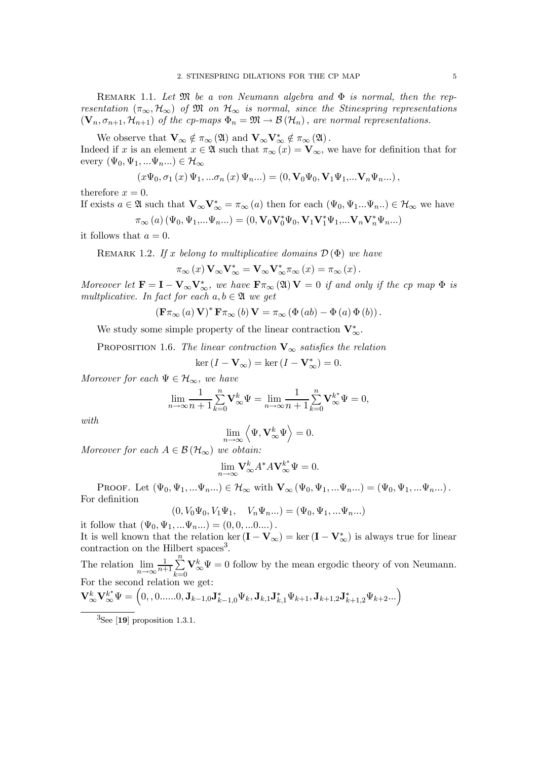REMARK 1.1. Let  $\mathfrak M$  be a von Neumann algebra and  $\Phi$  is normal, then the representation  $(\pi_{\infty}, \mathcal{H}_{\infty})$  of M on  $\mathcal{H}_{\infty}$  is normal, since the Stinespring representations  $(V_n, \sigma_{n+1}, \mathcal{H}_{n+1})$  of the cp-maps  $\Phi_n = \mathfrak{M} \to \mathcal{B}(\mathcal{H}_n)$ , are normal representations.

We observe that 
$$
\mathbf{V}_{\infty} \notin \pi_{\infty}(\mathfrak{A})
$$
 and  $\mathbf{V}_{\infty} \mathbf{V}_{\infty}^* \notin \pi_{\infty}(\mathfrak{A})$ .

Indeed if x is an element  $x \in \mathfrak{A}$  such that  $\pi_{\infty}(x) = \mathbf{V}_{\infty}$ , we have for definition that for every  $(\Psi_0, \Psi_1, ... \Psi_n ...) \in \mathcal{H}_{\infty}$ 

$$
(x\Psi_0, \sigma_1(x)\Psi_1, \ldots, \sigma_n(x)\Psi_n \ldots) = (0, \mathbf{V}_0 \Psi_0, \mathbf{V}_1 \Psi_1, \ldots, \mathbf{V}_n \Psi_n \ldots),
$$

therefore  $x = 0$ .

If exists  $a \in \mathfrak{A}$  such that  $\mathbf{V}_{\infty} \mathbf{V}_{\infty}^* = \pi_{\infty}(a)$  then for each  $(\Psi_0, \Psi_1...\Psi_n...) \in \mathcal{H}_{\infty}$  we have  $\pi_{\infty}(a) \left(\Psi_0, \Psi_1, \ldots \Psi_n \ldots\right) = \left(0, \mathbf{V}_0 \mathbf{V}_0^* \Psi_0, \mathbf{V}_1 \mathbf{V}_1^* \Psi_1, \ldots \mathbf{V}_n \mathbf{V}_n^* \Psi_n \ldots\right)$ 

it follows that  $a = 0$ .

REMARK 1.2. If x belong to multiplicative domains  $\mathcal{D}(\Phi)$  we have

$$
\pi_{\infty}(x) \mathbf{V}_{\infty} \mathbf{V}_{\infty}^* = \mathbf{V}_{\infty} \mathbf{V}_{\infty}^* \pi_{\infty}(x) = \pi_{\infty}(x).
$$

Moreover let  $\mathbf{F} = \mathbf{I} - \mathbf{V}_{\infty} \mathbf{V}_{\infty}^*$ , we have  $\mathbf{F} \pi_{\infty}(\mathfrak{A}) \mathbf{V} = 0$  if and only if the cp map  $\Phi$  is multplicative. In fact for each  $a, b \in \mathfrak{A}$  we get

$$
(\mathbf{F}\pi_{\infty}(a)\,\mathbf{V})^*\,\mathbf{F}\pi_{\infty}(b)\,\mathbf{V}=\pi_{\infty}\left(\Phi\left(ab\right)-\Phi\left(a\right)\Phi\left(b\right)\right).
$$

We study some simple property of the linear contraction  $V^*_{\infty}$ .

PROPOSITION 1.6. The linear contraction  $V_{\infty}$  satisfies the relation

 $\ker (I - \mathbf{V}_{\infty}) = \ker (I - \mathbf{V}_{\infty}^{*}) = 0.$ 

Moreover for each  $\Psi \in \mathcal{H}_{\infty}$ , we have

$$
\lim_{n \to \infty} \frac{1}{n+1} \sum_{k=0}^{n} \mathbf{V}_{\infty}^{k} \Psi = \lim_{n \to \infty} \frac{1}{n+1} \sum_{k=0}^{n} \mathbf{V}_{\infty}^{k^*} \Psi = 0,
$$

with

$$
\lim_{n\to\infty}\left\langle\Psi,\mathbf{V}_{\infty}^k\Psi\right\rangle=0.
$$

Moreover for each  $A \in \mathcal{B}(\mathcal{H}_{\infty})$  we obtain:

$$
\lim_{n\to\infty}\mathbf{V}^k_{\infty}A^*A\mathbf{V}^{k^*}_{\infty}\Psi=0.
$$

PROOF. Let  $(\Psi_0, \Psi_1, ... \Psi_n...) \in \mathcal{H}_{\infty}$  with  $\mathbf{V}_{\infty}(\Psi_0, \Psi_1, ... \Psi_n...) = (\Psi_0, \Psi_1, ... \Psi_n...)$ . For definition

$$
(0, V_0\Psi_0, V_1\Psi_1, V_n\Psi_n...)=(\Psi_0, \Psi_1, ... \Psi_n...)
$$

it follow that  $(\Psi_0, \Psi_1, ... \Psi_n...) = (0, 0, ...0...)$ . It is well known that the relation ker  $(I - V_{\infty}) = \ker (I - V_{\infty}^*)$  is always true for linear contraction on the Hilbert spaces<sup>3</sup>.

The relation  $\lim_{n\to\infty} \frac{1}{n+1}$  $\frac{1}{n+1}\sum_{n=1}^{n}$  $_{k=0}$  $\mathbf{V}_{\infty}^{k} \Psi = 0$  follow by the mean ergodic theory of von Neumann. For the second relation we get:

 $\mathbf{V}^k_\infty\mathbf{V}^{k^*}_\infty\Psi=\left(0,,0......0,\mathbf{J}_{k-1,0}\mathbf{J}^*_{k-1,0}\Psi_k,\mathbf{J}_{k,1}\mathbf{J}^*_{k,1}\Psi_{k+1},\mathbf{J}_{k+1,2}\mathbf{J}^*_{k+1,2}\Psi_{k+2}...\right)$ 

 ${}^{3}$ See [19] proposition 1.3.1.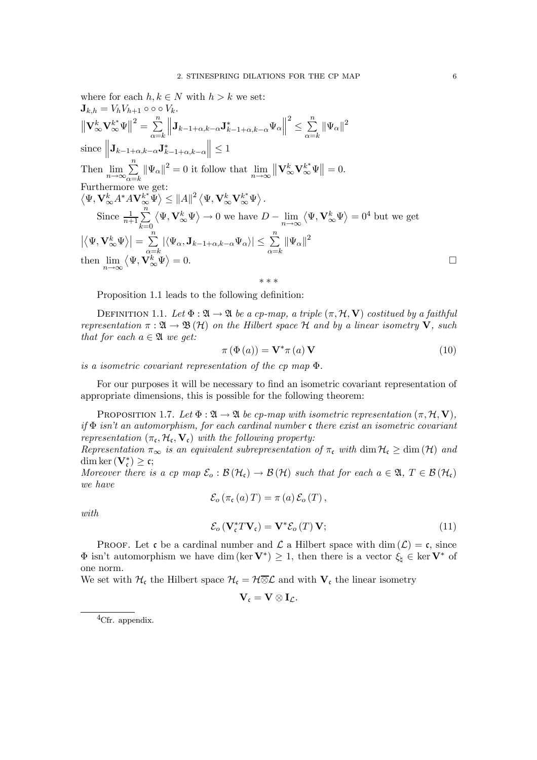where for each  $h, k \in N$  with  $h > k$  we set:  $\mathbf{J}_{k,h} = V_h V_{h+1} \circ \circ \circ V_k.$  $\left\|\mathbf{V}_{\infty}^{k}\mathbf{V}_{\infty}^{k^*}\Psi\right\|^2=\sum_{k=1}^n$  $\alpha = k$  $\left\Vert \mathbf{J}_{k-1+\alpha,k-\alpha}\mathbf{J}_{k-1+\alpha,k-\alpha}^{*}\Psi_{\alpha}\right\Vert$  $\leq \sum_{\alpha=k}^n \|\Psi_{\alpha}\|^2$ since  $\|\mathbf{J}_{k-1+\alpha,k-\alpha}\mathbf{J}^*_{k-1+\alpha,k-\alpha}\|$  $\Big\| \leq 1$ Then  $\lim_{n\to\infty}$  $\sum_{n=1}^{\infty}$  $\sum_{\alpha=k}^{N} \|\Psi_{\alpha}\|^2 = 0$  it follow that  $\lim_{n \to \infty} \|\mathbf{V}_{\infty}^k \mathbf{V}_{\infty}^{k^*} \Psi\| = 0.$ Furthermore we get:  $\left\langle \Psi , {\bf V}^k_\infty A^* A {\bf V}^{k^*}_{\infty} \Psi \right\rangle \leq \|A\|^2 \left\langle \Psi , {\bf V}^k_\infty {\bf V}^{k^*}_{\infty} \Psi \right\rangle.$ Since  $\frac{1}{n+1}\sum_{n=1}^{n}$  $_{k=0}$  $\langle \Psi, \mathbf{V}^k_{\infty} \Psi \rangle \to 0$  we have  $D - \lim_{n \to \infty} \langle \Psi, \mathbf{V}^k_{\infty} \Psi \rangle = 0^4$  but we get  $\left|\left\langle \Psi ,\mathbf{V}_{\infty}^{k}\Psi \right\rangle \right|=\sum_{\alpha=k}^{n}\left|\left\langle \Psi_{\alpha},\mathbf{J}_{k-1+\alpha,k-\alpha}\Psi_{\alpha}\right\rangle \right|\leq\sum_{\alpha=k}^{n}\left\|\Psi_{\alpha}\right\|^{2}$ then  $\lim_{n\to\infty} \langle \Psi, \mathbf{V}_\infty^k \Psi \rangle$  $= 0.$ 

Proposition 1.1 leads to the following definition:

DEFINITION 1.1. Let  $\Phi : \mathfrak{A} \to \mathfrak{A}$  be a cp-map, a triple  $(\pi, \mathcal{H}, \mathbf{V})$  costitued by a faithful representation  $\pi : \mathfrak{A} \to \mathfrak{B}(\mathcal{H})$  on the Hilbert space  $\mathcal{H}$  and by a linear isometry **V**, such that for each  $a \in \mathfrak{A}$  we get:

∗∗∗

$$
\pi \left( \Phi \left( a \right) \right) = \mathbf{V}^* \pi \left( a \right) \mathbf{V} \tag{10}
$$

is a isometric covariant representation of the cp map Φ.

For our purposes it will be necessary to find an isometric covariant representation of appropriate dimensions, this is possible for the following theorem:

PROPOSITION 1.7. Let  $\Phi : \mathfrak{A} \to \mathfrak{A}$  be cp-map with isometric representation  $(\pi, \mathcal{H}, \mathbf{V})$ , if  $\Phi$  isn't an automorphism, for each cardinal number c there exist an isometric covariant representation  $(\pi_{\mathfrak{c}}, \mathcal{H}_{\mathfrak{c}}, \mathbf{V}_{\mathfrak{c}})$  with the following property:

Representation  $\pi_{\infty}$  is an equivalent subrepresentation of  $\pi_{\mathfrak{c}}$  with dim  $\mathcal{H}_{\mathfrak{c}} \geq \dim(\mathcal{H})$  and  $\dim \ker \left( \mathbf V_{\mathfrak c}^* \right) \ge {\mathfrak c};$ 

Moreover there is a cp map  $\mathcal{E}_o : \mathcal{B}(\mathcal{H}_c) \to \mathcal{B}(\mathcal{H})$  such that for each  $a \in \mathfrak{A}, T \in \mathcal{B}(\mathcal{H}_c)$ we have

 $\mathcal{E}_{\alpha}(\pi_{\mathfrak{c}}(a)T) = \pi(a)\,\mathcal{E}_{\alpha}(T)\,,$ 

with

$$
\mathcal{E}_o \left( \mathbf{V}_c^* T \mathbf{V}_c \right) = \mathbf{V}^* \mathcal{E}_o \left( T \right) \mathbf{V};\tag{11}
$$

**PROOF.** Let c be a cardinal number and  $\mathcal{L}$  a Hilbert space with dim  $(\mathcal{L}) = c$ , since  $\Phi$  isn't automorphism we have dim (ker  $V^*$ )  $\geq 1$ , then there is a vector  $\xi_{\natural} \in \text{ker } V^*$  of one norm.

We set with  $H_c$  the Hilbert space  $H_c = H \overline{\otimes} \mathcal{L}$  and with  $V_c$  the linear isometry

$$
\mathbf{V}_c=\mathbf{V}\otimes \mathbf{I}_{\mathcal{L}}.
$$

 ${}^4$ Cfr. appendix.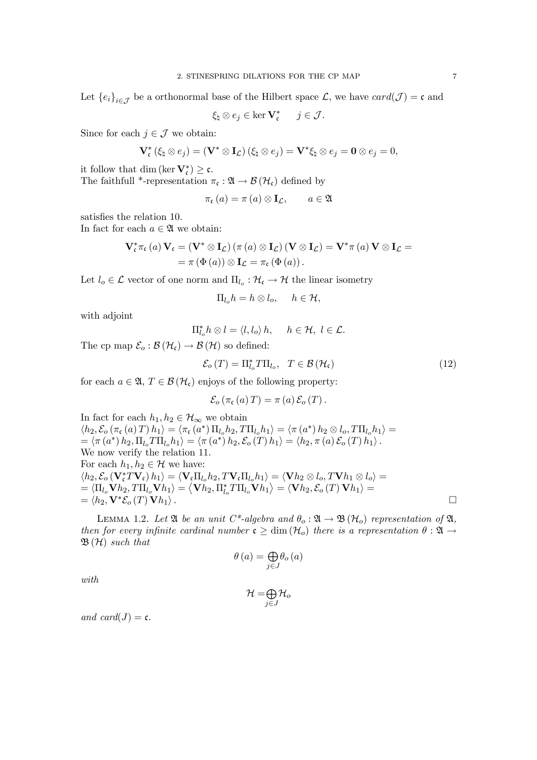Let  ${e_i}_{i \in \mathcal{J}}$  be a orthonormal base of the Hilbert space  $\mathcal{L}$ , we have  $card(\mathcal{J}) = c$  and

$$
\xi_{\natural} \otimes e_j \in \ker \mathbf{V}_{\mathfrak{c}}^* \qquad j \in \mathcal{J}.
$$

Since for each  $j \in \mathcal{J}$  we obtain:

$$
\mathbf{V}_{\mathfrak{c}}^*\left(\xi_{\natural}\otimes e_j\right)=\left(\mathbf{V}^*\otimes \mathbf{I}_{\mathcal{L}}\right)\left(\xi_{\natural}\otimes e_j\right)=\mathbf{V}^*\xi_{\natural}\otimes e_j=\mathbf{0}\otimes e_j=0,
$$

it follow that dim  $(\ker V_c^*) \geq c$ .

The faithfull \*-representation  $\pi_{\mathfrak{c}} : \mathfrak{A} \to \mathcal{B}(\mathcal{H}_{\mathfrak{c}})$  defined by

$$
\pi_{\mathfrak{c}}(a) = \pi(a) \otimes \mathbf{I}_{\mathcal{L}}, \qquad a \in \mathfrak{A}
$$

satisfies the relation 10.

In fact for each  $a \in \mathfrak{A}$  we obtain:

$$
\mathbf{V}_{\mathfrak{c}}^*\pi_{\mathfrak{c}}(a) \mathbf{V}_{\mathfrak{c}} = (\mathbf{V}^* \otimes \mathbf{I}_{\mathcal{L}}) (\pi(a) \otimes \mathbf{I}_{\mathcal{L}}) (\mathbf{V} \otimes \mathbf{I}_{\mathcal{L}}) = \mathbf{V}^* \pi(a) \mathbf{V} \otimes \mathbf{I}_{\mathcal{L}} =
$$
  
=  $\pi(\Phi(a)) \otimes \mathbf{I}_{\mathcal{L}} = \pi_{\mathfrak{c}}(\Phi(a)).$ 

Let  $l_o \in \mathcal{L}$  vector of one norm and  $\Pi_{l_o} : \mathcal{H}_{c} \to \mathcal{H}$  the linear isometry

$$
\Pi_{l_o} h = h \otimes l_o, \quad h \in \mathcal{H},
$$

with adjoint

$$
\Pi_{l_o}^* h \otimes l = \langle l, l_o \rangle h, \quad h \in \mathcal{H}, \ l \in \mathcal{L}.
$$

The cp map  $\mathcal{E}_o : \mathcal{B}(\mathcal{H}_c) \to \mathcal{B}(\mathcal{H})$  so defined:

$$
\mathcal{E}_o(T) = \Pi_{l_o}^* T \Pi_{l_o}, \quad T \in \mathcal{B}(\mathcal{H}_c)
$$
\n(12)

for each  $a \in \mathfrak{A}, T \in \mathcal{B}(\mathcal{H}_{c})$  enjoys of the following property:

$$
\mathcal{E}_{o}(\pi_{\mathfrak{c}}(a)T)=\pi(a)\,\mathcal{E}_{o}(T).
$$

In fact for each  $h_1, h_2 \in \mathcal{H}_{\infty}$  we obtain  $\langle h_2, \mathcal{E}_o(\pi_{\mathfrak{c}}(a) T) h_1 \rangle = \langle \pi_{\mathfrak{c}}(a^*) \Pi_{l_o} h_2, T \Pi_{l_o} h_1 \rangle = \langle \pi(a^*) h_2 \otimes l_o, T \Pi_{l_o} h_1 \rangle =$  $=\langle \pi (a^*) h_2, \Pi_{l_o} T \Pi_{l_o} h_1 \rangle = \langle \pi (a^*) h_2, \mathcal{E}_o (T) h_1 \rangle = \langle h_2, \pi (a) \mathcal{E}_o (T) h_1 \rangle.$ We now verify the relation 11. For each  $h_1, h_2 \in \mathcal{H}$  we have:  $\langle h_2, \mathcal{E}_o \left( \mathbf{V_c^*} T \mathbf{V_c} \right) h_1 \rangle = \langle \mathbf{V_c} \Pi_{l_o} h_2, T \mathbf{V_c} \Pi_{l_o} h_1 \rangle = \langle \mathbf{V} h_2 \otimes l_o, T \mathbf{V} h_1 \otimes l_o \rangle =$  $\mathbf{W} = \langle \Pi_{l_o} \mathbf{V} h_2, T \Pi_{l_o} \mathbf{V} h_1 \rangle = \big\langle \mathbf{V} h_2, \Pi_{l_o}^* T \Pi_{l_o} \mathbf{V} h_1 \big\rangle = \big\langle \mathbf{V} h_2, \mathcal{E}_o\left(T\right) \mathbf{V} h_1 \big\rangle = 0$  $= \langle h_2, \mathbf{V}^* \mathcal{E}_o(T) \, \mathbf{V} h_1 \rangle$ .

LEMMA 1.2. Let  $\mathfrak A$  be an unit C\*-algebra and  $\theta_o : \mathfrak A \to \mathfrak B(\mathcal{H}_o)$  representation of  $\mathfrak A$ , then for every infinite cardinal number  $\mathfrak{c} \geq \dim(\mathcal{H}_o)$  there is a representation  $\theta : \mathfrak{A} \to$  $\mathfrak{B}(\mathcal{H})$  such that

$$
\theta\left(a\right) = \bigoplus_{j \in J} \theta_o\left(a\right)
$$

with

$$
\mathcal{H=}\bigoplus_{j\in J}\mathcal{H}_o
$$

and card $(J) = \mathfrak{c}$ .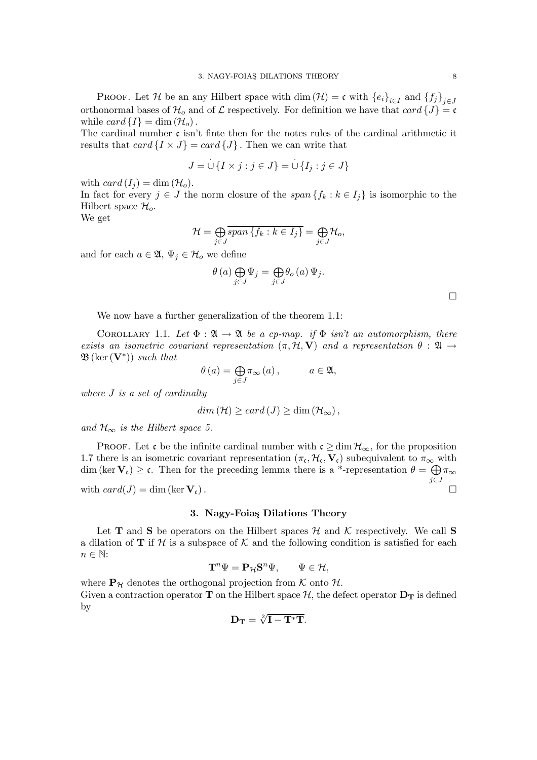**PROOF.** Let H be an any Hilbert space with dim  $(\mathcal{H}) = \mathfrak{c}$  with  $\{e_i\}_{i \in I}$  and  $\{f_j\}_{j \in J}$ orthonormal bases of  $\mathcal{H}_o$  and of  $\mathcal L$  respectively. For definition we have that  $card\{J\} = \mathfrak c$ while  $card\{I\} = dim(\mathcal{H}_o)$ .

The cardinal number  $\mathfrak c$  isn't finte then for the notes rules of the cardinal arithmetic it results that  $card\{I \times J\} = card\{J\}$ . Then we can write that

$$
J=\cup\{I\times j:j\in J\}=\cup\{I_j:j\in J\}
$$

with  $card(I_i) = dim(\mathcal{H}_o)$ .

In fact for every  $j \in J$  the norm closure of the span  $\{f_k : k \in I_j\}$  is isomorphic to the Hilbert space  $\mathcal{H}_o$ .

We get

$$
\mathcal{H} = \bigoplus_{j \in J} \overline{span\{f_k : k \in I_j\}} = \bigoplus_{j \in J} \mathcal{H}_o,
$$

and for each  $a \in \mathfrak{A}, \Psi_i \in \mathcal{H}_o$  we define

$$
\theta(a) \bigoplus_{j \in J} \Psi_j = \bigoplus_{j \in J} \theta_o(a) \Psi_j.
$$

¤

We now have a further generalization of the theorem 1.1:

COROLLARY 1.1. Let  $\Phi : \mathfrak{A} \to \mathfrak{A}$  be a cp-map. if  $\Phi$  isn't an automorphism, there exists an isometric covariant representation  $(\pi, \mathcal{H}, \mathbf{V})$  and a representation  $\theta : \mathfrak{A} \to$  $\mathfrak{B}\left(\text{ker}\left(\mathbf{V}^*\right)\right)$  such that

$$
\theta(a) = \bigoplus_{j \in J} \pi_{\infty}(a), \qquad a \in \mathfrak{A},
$$

where J is a set of cardinalty

$$
dim(\mathcal{H}) \geq card(J) \geq dim(\mathcal{H}_{\infty}),
$$

and  $\mathcal{H}_{\infty}$  is the Hilbert space 5.

**PROOF.** Let c be the infinite cardinal number with  $c \geq \dim \mathcal{H}_{\infty}$ , for the proposition 1.7 there is an isometric covariant representation  $(\pi_{c}, \mathcal{H}_{c}, \mathbf{V}_{c})$  subequivalent to  $\pi_{\infty}$  with dim (ker  $V_c$ ) ≥ c. Then for the preceding lemma there is a \*-representation  $\theta = \bigoplus_{i \in I} \pi_{\infty}$  $j \in J$ with  $card(J) = dim(ker V_c)$ .

# 3. Nagy-Foia¸s Dilations Theory

Let **T** and **S** be operators on the Hilbert spaces  $\mathcal{H}$  and  $\mathcal{K}$  respectively. We call **S** a dilation of T if H is a subspace of K and the following condition is satisfied for each  $n \in \mathbb{N}$ :

$$
\mathbf{T}^n \Psi = \mathbf{P}_{\mathcal{H}} \mathbf{S}^n \Psi, \qquad \Psi \in \mathcal{H},
$$

where  $P_{\mathcal{H}}$  denotes the orthogonal projection from K onto  $\mathcal{H}$ . Given a contraction operator **T** on the Hilbert space  $H$ , the defect operator  $D_T$  is defined by

$$
\mathbf{D_T} = \sqrt[2]{\mathbf{I} - \mathbf{T}^* \mathbf{T}}.
$$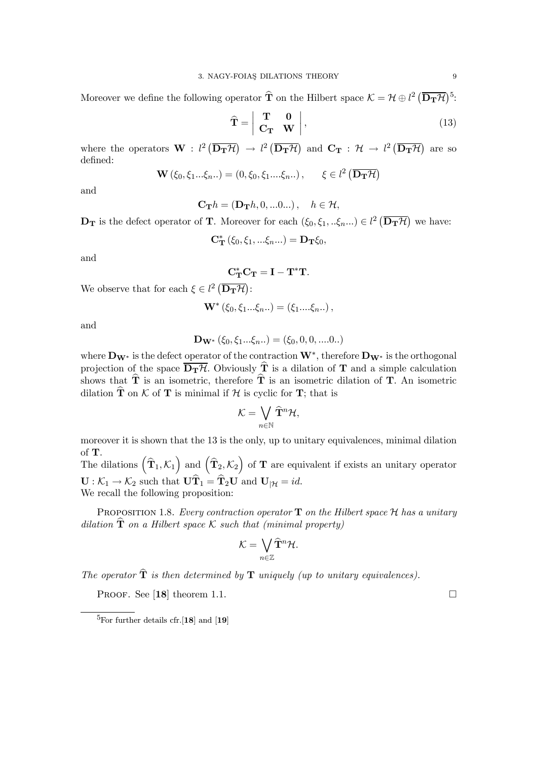Moreover we define the following operator  $\widehat{T}$  on the Hilbert space  $\mathcal{K} = \mathcal{H} \oplus l^2 \left( \overline{D_T \mathcal{H}} \right)^5$ :

$$
\widehat{\mathbf{T}} = \begin{vmatrix} \mathbf{T} & \mathbf{0} \\ \mathbf{C}_{\mathbf{T}} & \mathbf{W} \end{vmatrix},
$$
\n(13)

where the operators  $\mathbf{W} : l^2 \left( \overline{\mathbf{D_T H}} \right) \to l^2 \left( \overline{\mathbf{D_T H}} \right)$  and  $\mathbf{C_T} : \mathcal{H} \to l^2 \left( \overline{\mathbf{D_T H}} \right)$  are so defined:

$$
\mathbf{W}\left(\xi_0,\xi_1...\xi_n...\right) = \left(0,\xi_0,\xi_1...\xi_n...\right), \qquad \xi \in l^2\left(\overline{\mathbf{D_T H}}\right)
$$

and

$$
\mathbf{C}_{\mathbf{T}}h = (\mathbf{D}_{\mathbf{T}}h, 0, \dots 0 \dots), \quad h \in \mathcal{H},
$$

 $\mathbf{D_T}$  is the defect operator of **T**. Moreover for each  $(\xi_0, \xi_1, \dots, \xi_n, \dots) \in l^2(\overline{\mathbf{D_T H}})$  we have:

$$
\mathbf{C}_{\mathbf{T}}^{*}\left(\xi_{0},\xi_{1},...\xi_{n}...\right)=\mathbf{D}_{\mathbf{T}}\xi_{0},
$$

and

$$
\mathbf{C}^*_{\mathbf{T}}\mathbf{C}_{\mathbf{T}}=\mathbf{I}-\mathbf{T}^*\mathbf{T}.
$$

We observe that for each  $\xi \in l^2 \left( \overline{\mathbf{D}_{\mathbf{T}}\mathcal{H}} \right)$ :

$$
\mathbf{W}^{\ast}\left( \xi_{0},\xi_{1}...\xi_{n}.\right) =\left( \xi_{1}...\xi_{n}.\right),
$$

and

$$
\mathbf{D}_{\mathbf{W}^*}\left(\xi_0, \xi_1...\xi_n...\right) = \left(\xi_0, 0, 0, ....0...\right)
$$

where  $\mathbf{D}_{\mathbf{W}^*}$  is the defect operator of the contraction  $\mathbf{W}^*$ , therefore  $\mathbf{D}_{\mathbf{W}^*}$  is the orthogonal projection of the space  $\overline{\mathbf{D_T H}}$ . Obviously  $\hat{\mathbf{T}}$  is a dilation of **T** and a simple calculation shows that  $\hat{\mathbf{T}}$  is an isometric, therefore  $\hat{\mathbf{T}}$  is an isometric dilation of **T**. An isometric dilation  $\hat{\mathbf{T}}$  on K of **T** is minimal if H is cyclic for **T**; that is

$$
\mathcal{K}=\bigvee_{n\in\mathbb{N}}\widehat{\mathbf{T}}^n\mathcal{H},
$$

moreover it is shown that the 13 is the only, up to unitary equivalences, minimal dilation of T.

The dilations  $(\hat{\mathbf{T}}_1, \mathcal{K}_1)$  and  $(\hat{\mathbf{T}}_2, \mathcal{K}_2)$  of **T** are equivalent if exists an unitary operator  $\mathbf{U} : \mathcal{K}_1 \to \mathcal{K}_2$  such that  $\mathbf{U} \mathbf{\hat{T}}_1 = \mathbf{\hat{T}}_2 \mathbf{U}$  and  $\mathbf{U}_{|\mathcal{H}} = id$ . We recall the following proposition:

PROPOSITION 1.8. Every contraction operator  $T$  on the Hilbert space  $H$  has a unitary dilation  $\hat{\mathbf{T}}$  on a Hilbert space K such that (minimal property)

$$
\mathcal{K}=\bigvee_{n\in\mathbb{Z}}\widehat{\mathbf{T}}^n\mathcal{H}.
$$

The operator  $\hat{\mathbf{T}}$  is then determined by  $\mathbf{T}$  uniquely (up to unitary equivalences).

PROOF. See [18] theorem 1.1.  $\Box$ 

 ${}^{5}$ For further details cfr. [18] and [19]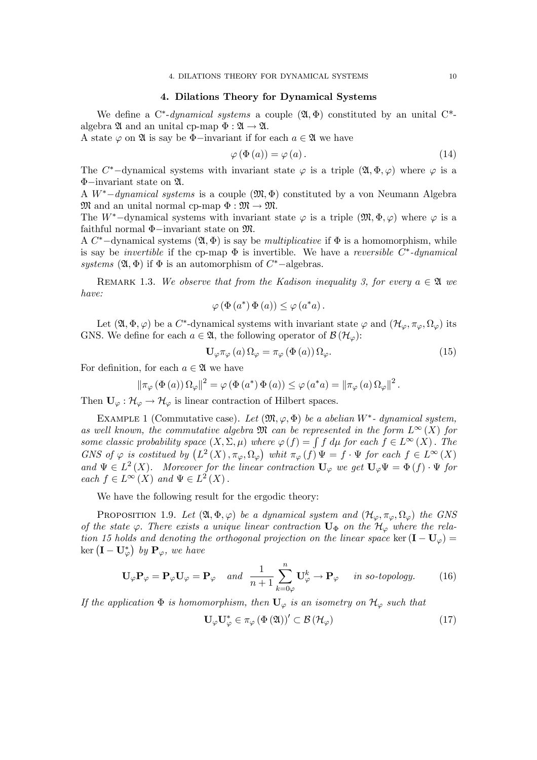### 4. Dilations Theory for Dynamical Systems

We define a  $C^*$ -dynamical systems a couple  $(\mathfrak{A}, \Phi)$  constituted by an unital  $C^*$ algebra  $\mathfrak A$  and an unital cp-map  $\Phi : \mathfrak A \to \mathfrak A$ .

A state  $\varphi$  on  $\mathfrak A$  is say be  $\Phi$ -invariant if for each  $a \in \mathfrak A$  we have

$$
\varphi(\Phi(a)) = \varphi(a). \tag{14}
$$

The C<sup>∗</sup>-dynamical systems with invariant state  $\varphi$  is a triple  $(\mathfrak{A}, \Phi, \varphi)$  where  $\varphi$  is a Φ−invariant state on A.

A  $W^*$ –dynamical systems is a couple  $(\mathfrak{M}, \Phi)$  constituted by a von Neumann Algebra  $\mathfrak{M}$  and an unital normal cp-map  $\Phi : \mathfrak{M} \to \mathfrak{M}$ .

The W<sup>∗</sup>-dynamical systems with invariant state  $\varphi$  is a triple  $(\mathfrak{M}, \Phi, \varphi)$  where  $\varphi$  is a faithful normal Φ−invariant state on M.

A  $C^*$ −dynamical systems  $(\mathfrak{A}, \Phi)$  is say be *multiplicative* if  $\Phi$  is a homomorphism, while is say be *invertible* if the cp-map  $\Phi$  is invertible. We have a *reversible C<sup>∗</sup>*-dynamical systems  $(\mathfrak{A}, \Phi)$  if  $\Phi$  is an automorphism of  $C^*$ −algebras.

REMARK 1.3. We observe that from the Kadison inequality 3, for every  $a \in \mathfrak{A}$  we have:

$$
\varphi(\Phi(a^*)\Phi(a)) \leq \varphi(a^*a).
$$

Let  $(\mathfrak{A}, \Phi, \varphi)$  be a C<sup>\*</sup>-dynamical systems with invariant state  $\varphi$  and  $(\mathcal{H}_{\varphi}, \pi_{\varphi}, \Omega_{\varphi})$  its GNS. We define for each  $a \in \mathfrak{A}$ , the following operator of  $\mathcal{B}(\mathcal{H}_{\varphi})$ :

$$
\mathbf{U}_{\varphi}\pi_{\varphi}(a)\,\Omega_{\varphi}=\pi_{\varphi}\left(\Phi\left(a\right)\right)\Omega_{\varphi}.\tag{15}
$$

For definition, for each  $a \in \mathfrak{A}$  we have

$$
\|\pi_{\varphi}(\Phi(a))\Omega_{\varphi}\|^{2} = \varphi(\Phi(a^{*})\Phi(a)) \leq \varphi(a^{*}a) = \|\pi_{\varphi}(a)\Omega_{\varphi}\|^{2}.
$$

Then  $\mathbf{U}_{\varphi} : \mathcal{H}_{\varphi} \to \mathcal{H}_{\varphi}$  is linear contraction of Hilbert spaces.

EXAMPLE 1 (Commutative case). Let  $(\mathfrak{M}, \varphi, \Phi)$  be a abelian W<sup>\*</sup>- dynamical system, as well known, the commutative algebra  $\mathfrak{M}$  can be represented in the form  $L^{\infty}(X)$  for some classic probability space  $(X, \Sigma, \mu)$  where  $\varphi(f) = \int f d\mu$  for each  $f \in L^{\infty}(X)$ . The GNS of  $\varphi$  is costitued by  $(L^2(X), \pi_{\varphi}, \Omega_{\varphi})$  whit  $\pi_{\varphi}(f) \Psi = f \cdot \Psi$  for each  $f \in L^{\infty}(X)$ and  $\Psi \in L^2(X)$ . Moreover for the linear contraction  $\mathbf{U}_{\varphi}$  we get  $\mathbf{U}_{\varphi}\Psi = \Phi(f) \cdot \Psi$  for each  $f \in L^{\infty}(X)$  and  $\Psi \in L^2(X)$ .

We have the following result for the ergodic theory:

PROPOSITION 1.9. Let  $(\mathfrak{A}, \Phi, \varphi)$  be a dynamical system and  $(\mathcal{H}_{\varphi}, \pi_{\varphi}, \Omega_{\varphi})$  the GNS of the state  $\varphi$ . There exists a unique linear contraction  $\mathbf{U}_{\Phi}$  on the  $\mathcal{H}_{\varphi}$  where the relation 15 holds and denoting the orthogonal projection on the linear space ker  $(I - U_{\varphi}) =$  $\ker (\mathbf{I} - \mathbf{U}_{\varphi}^*)$  by  $\mathbf{P}_{\varphi}$ , we have

$$
\mathbf{U}_{\varphi}\mathbf{P}_{\varphi} = \mathbf{P}_{\varphi}\mathbf{U}_{\varphi} = \mathbf{P}_{\varphi} \quad and \quad \frac{1}{n+1} \sum_{k=0}^{n} \mathbf{U}_{\varphi}^{k} \to \mathbf{P}_{\varphi} \quad in \; so \text{-topology.} \tag{16}
$$

If the application  $\Phi$  is homomorphism, then  $U_{\varphi}$  is an isometry on  $\mathcal{H}_{\varphi}$  such that

$$
\mathbf{U}_{\varphi}\mathbf{U}_{\varphi}^{*} \in \pi_{\varphi}\left(\Phi\left(\mathfrak{A}\right)\right)' \subset \mathcal{B}\left(\mathcal{H}_{\varphi}\right) \tag{17}
$$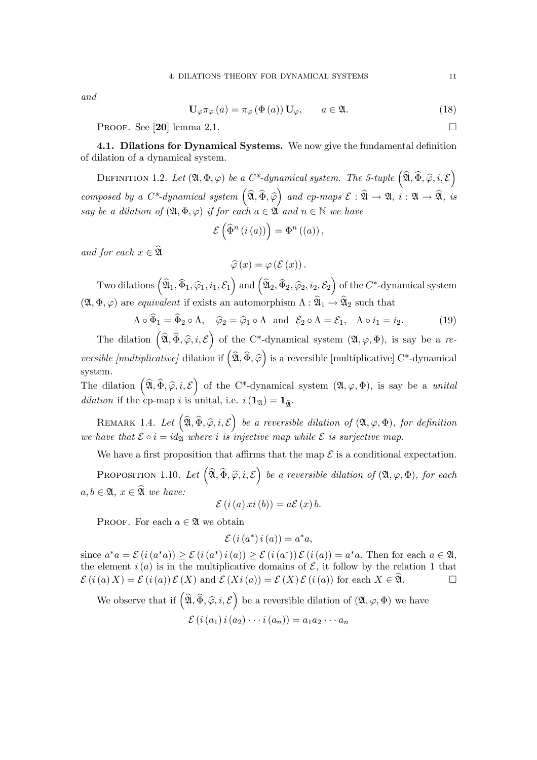and

$$
\mathbf{U}_{\varphi}\pi_{\varphi}(a) = \pi_{\varphi}\left(\Phi\left(a\right)\right)\mathbf{U}_{\varphi}, \qquad a \in \mathfrak{A}.\tag{18}
$$

PROOF. See [20] lemma 2.1.  $\Box$ 

4.1. Dilations for Dynamical Systems. We now give the fundamental definition of dilation of a dynamical system.

DEFINITION 1.2. Let  $(\mathfrak{A}, \Phi, \varphi)$  be a  $C^*$ -dynamical system. The 5-tuple  $\left(\widehat{\mathfrak{A}}, \widehat{\Phi}, \widehat{\varphi}, i, \mathcal{E}\right)$ composed by a  $C^*$ -dynamical system  $\left(\widehat{\mathfrak{A}}, \widehat{\Phi}, \widehat{\varphi}\right)$  and  $cp$ -maps  $\mathcal{E} : \widehat{\mathfrak{A}} \to \mathfrak{A}, i : \mathfrak{A} \to \widehat{\mathfrak{A}}, i$ say be a dilation of  $(\mathfrak{A}, \Phi, \varphi)$  if for each  $a \in \mathfrak{A}$  and  $n \in \mathbb{N}$  we have

$$
\mathcal{E}\left(\widehat{\Phi}^{n}\left(i\left(a\right)\right)\right)=\Phi^{n}\left(\left(a\right)\right),
$$

and for each  $x \in \widehat{\mathfrak{A}}$ 

$$
\widehat{\varphi}\left(x\right) = \varphi\left(\mathcal{E}\left(x\right)\right).
$$

Two dilations  $\left( \widehat{\mathfrak{A}}_1, \widehat{\Phi}_1, \widehat{\varphi}_1, i_1, \mathcal{E}_1 \right)$  and  $\left( \widehat{\mathfrak{A}}_2, \widehat{\Phi}_2, \widehat{\varphi}_2, i_2, \mathcal{E}_2 \right)$  of the  $C^*$ -dynamical system  $(\mathfrak{A}, \Phi, \varphi)$  are *equivalent* if exists an automorphism  $\Lambda : \widehat{\mathfrak{A}}_1 \to \widehat{\mathfrak{A}}_2$  such that

$$
\Lambda \circ \widehat{\Phi}_1 = \widehat{\Phi}_2 \circ \Lambda, \quad \widehat{\varphi}_2 = \widehat{\varphi}_1 \circ \Lambda \text{ and } \mathcal{E}_2 \circ \Lambda = \mathcal{E}_1, \quad \Lambda \circ i_1 = i_2. \tag{19}
$$

The dilation  $(\widehat{\mathfrak{A}}, \widehat{\Phi}, \widehat{\varphi}, i, \mathcal{E})$  of the C\*-dynamical system  $(\mathfrak{A}, \varphi, \Phi)$ , is say be a reversible [multiplicative] dilation if  $\left( \widehat{\mathfrak{A}}, \widehat{\Phi}, \widehat{\varphi} \right)$  is a reversible [multiplicative] C\*-dynamical system.

The dilation  $(\widehat{\mathfrak{A}}, \widehat{\Phi}, \widehat{\varphi}, i, \mathcal{E})$  of the C<sup>\*</sup>-dynamical system  $(\mathfrak{A}, \varphi, \Phi)$ , is say be a *unital* dilation if the cp-map i is unital, i.e.  $i(\mathbf{1}_{\mathfrak{A}}) = \mathbf{1}_{\widehat{\mathfrak{A}}}$ .

REMARK 1.4. Let  $(\widehat{\mathfrak{A}}, \widehat{\Phi}, \widehat{\varphi}, i, \mathcal{E})$  be a reversible dilation of  $(\mathfrak{A}, \varphi, \Phi)$ , for definition we have that  $\mathcal{E} \circ i = id_{\mathfrak{A}}$  where i is injective map while  $\mathcal{E}$  is surjective map.

We have a first proposition that affirms that the map  $\mathcal E$  is a conditional expectation.

PROPOSITION 1.10. Let  $\left(\widehat{\mathfrak{A}}, \widehat{\Phi}, \widehat{\varphi}, i, \mathcal{E}\right)$  be a reversible dilation of  $(\mathfrak{A}, \varphi, \Phi)$ , for each  $a, b \in \mathfrak{A}, x \in \widehat{\mathfrak{A}}$  we have:

$$
\mathcal{E}\left(i\left(a\right)x i\left(b\right)\right) = a\mathcal{E}\left(x\right)b.
$$

**PROOF.** For each  $a \in \mathfrak{A}$  we obtain

$$
\mathcal{E}\left(i\left(a^*\right)i\left(a\right)\right)=a^*a,
$$

since  $a^*a = \mathcal{E}(i(a^*a)) \geq \mathcal{E}(i(a^*)i(a)) \geq \mathcal{E}(i(a^*)) \mathcal{E}(i(a)) = a^*a$ . Then for each  $a \in \mathfrak{A}$ , the element  $i(a)$  is in the multiplicative domains of  $\mathcal{E}$ , it follow by the relation 1 that  $\mathcal{E}(i(a)X) = \mathcal{E}(i(a))\mathcal{E}(X)$  and  $\mathcal{E}(Xi(a)) = \mathcal{E}(X)\mathcal{E}(i(a))$  for each  $X \in \widehat{\mathfrak{A}}$  $\mathcal{E}(i(a) X) = \mathcal{E}(i(a)) \mathcal{E}(X)$  and  $\mathcal{E}(Xi(a)) = \mathcal{E}(X) \mathcal{E}(i(a))$  for each  $X \in \mathfrak{A}$ .

We observe that if  $(\widehat{\mathfrak{A}}, \widehat{\Phi}, \widehat{\varphi}, i, \mathcal{E})$  be a reversible dilation of  $(\mathfrak{A}, \varphi, \Phi)$  we have  $\mathcal{E}(i(a_1)i(a_2)\cdots i(a_n)) = a_1a_2\cdots a_n$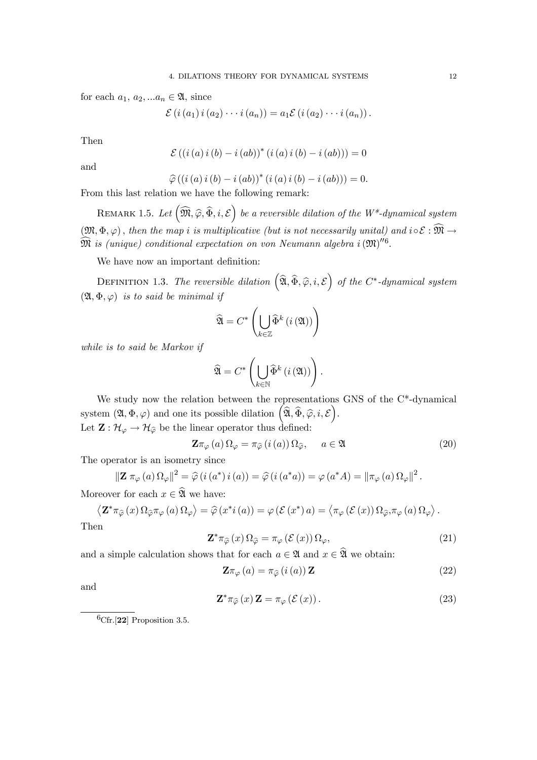for each  $a_1, a_2, ... a_n \in \mathfrak{A}$ , since

$$
\mathcal{E}(i(a_1) i(a_2) \cdots i(a_n)) = a_1 \mathcal{E}(i(a_2) \cdots i(a_n)).
$$

Then

$$
\mathcal{E}((i(a) i(b) - i(ab))^{*} (i(a) i(b) - i(ab))) = 0
$$

and

$$
\hat{\varphi}((i(a) i(b) - i(ab))^{*}(i(a) i(b) - i(ab))) = 0.
$$

From this last relation we have the following remark:

REMARK 1.5. Let  $\left(\widehat{\mathfrak{M}}, \widehat{\varphi}, \widehat{\Phi}, i, \mathcal{E}\right)$  be a reversible dilation of the W\*-dynamical system  $(\mathfrak{M}, \Phi, \varphi)$ , then the map i is multiplicative (but is not necessarily unital) and i∘ $\mathcal{E}: \widehat{\mathfrak{M}} \to$  $\widetilde{\mathfrak{M}}$  is (unique) conditional expectation on von Neumann algebra i $(\mathfrak{M})''^6$ .

We have now an important definition:

DEFINITION 1.3. The reversible dilation  $\left( \widehat{\mathfrak{A}}, \widehat{\Phi}, \widehat{\varphi}, i, \mathcal{E} \right)$  of the  $C^*$ -dynamical system  $(\mathfrak{A}, \Phi, \varphi)$  is to said be minimal if

$$
\widehat{\mathfrak{A}} = C^* \left( \bigcup_{k \in \mathbb{Z}} \widehat{\Phi}^k \left( i \left( \mathfrak{A} \right) \right) \right)
$$

while is to said be Markov if

$$
\widehat{\mathfrak{A}} = C^* \left( \bigcup_{k \in \mathbb{N}} \widehat{\Phi}^k \left( i \left( \mathfrak{A} \right) \right) \right).
$$

We study now the relation between the representations GNS of the C\*-dynamical system  $(\mathfrak{A}, \Phi, \varphi)$  and one its possible dilation  $\left( \widehat{\mathfrak{A}}, \widehat{\Phi}, \widehat{\varphi}, i, \mathcal{E} \right)$ . Let  $\mathbf{Z}: \mathcal{H}_{\varphi} \to \mathcal{H}_{\widehat{\varphi}}$  be the linear operator thus defined:

$$
\mathbf{Z}\pi_{\varphi}\left(a\right)\Omega_{\varphi}=\pi_{\widehat{\varphi}}\left(i\left(a\right)\right)\Omega_{\widehat{\varphi}},\quad a\in\mathfrak{A}\tag{20}
$$

The operator is an isometry since

$$
\|\mathbf{Z}\,\pi_{\varphi}(a)\,\Omega_{\varphi}\|^{2}=\widehat{\varphi}(i\,(a^{*})\,i\,(a))=\widehat{\varphi}(i\,(a^{*}a))=\varphi(a^{*}A)=\|\pi_{\varphi}(a)\,\Omega_{\varphi}\|^{2}.
$$

Moreover for each  $x \in \mathfrak{A}$  we have:

$$
\left\langle \mathbf{Z}^*\pi_{\widehat{\varphi}}\left(x\right)\Omega_{\widehat{\varphi}}\pi_{\varphi}\left(a\right)\Omega_{\varphi}\right\rangle = \widehat{\varphi}\left(x^*\right)(a)\right) = \varphi\left(\mathcal{E}\left(x^*\right)a\right) = \left\langle \pi_{\varphi}\left(\mathcal{E}\left(x\right)\right)\Omega_{\widehat{\varphi}},\pi_{\varphi}\left(a\right)\Omega_{\varphi}\right\rangle.
$$
  
then

Th

$$
\mathbf{Z}^* \pi_{\widehat{\varphi}}(x) \,\Omega_{\widehat{\varphi}} = \pi_{\varphi} \left( \mathcal{E}(x) \right) \Omega_{\varphi},\tag{21}
$$

and a simple calculation shows that for each  $a \in \mathfrak{A}$  and  $x \in \widehat{\mathfrak{A}}$  we obtain:

$$
\mathbf{Z}\pi_{\varphi}\left(a\right) = \pi_{\widehat{\varphi}}\left(i\left(a\right)\right)\mathbf{Z} \tag{22}
$$

and

$$
\mathbf{Z}^* \pi_{\widehat{\varphi}}(x) \mathbf{Z} = \pi_{\varphi}(\mathcal{E}(x)). \tag{23}
$$

 ${}^{6}$ Cfr.[22] Proposition 3.5.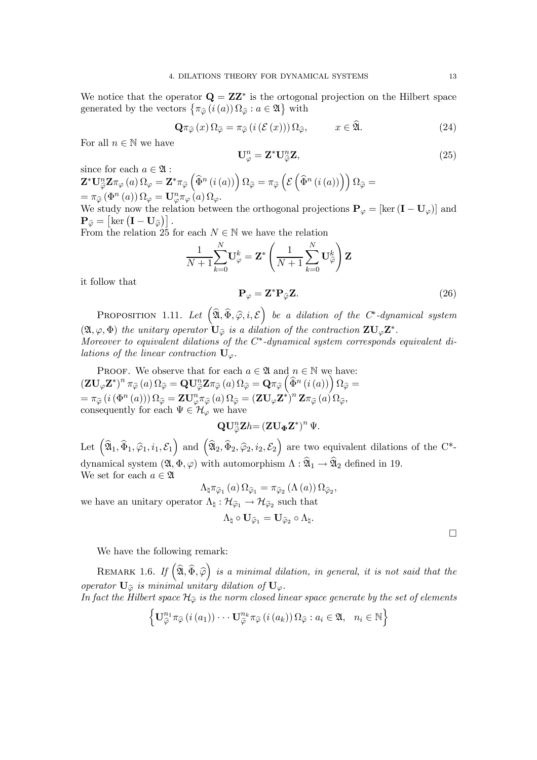We notice that the operator  $\mathbf{Q} = \mathbf{Z}\mathbf{Z}^*$  is the ortogonal projection on the Hilbert space generated by the vectors  $\{\pi_{\widehat{\varphi}}(i(a))\Omega_{\widehat{\varphi}} : a \in \mathfrak{A}\}\$  with

$$
\mathbf{Q}\pi_{\widehat{\varphi}}\left(x\right)\Omega_{\widehat{\varphi}}=\pi_{\widehat{\varphi}}\left(i\left(\mathcal{E}\left(x\right)\right)\right)\Omega_{\widehat{\varphi}},\qquad x\in\widehat{\mathfrak{A}}.\tag{24}
$$

For all  $n \in \mathbb{N}$  we have

$$
\mathbf{U}_{\varphi}^{n} = \mathbf{Z}^{*} \mathbf{U}_{\varphi}^{n} \mathbf{Z},\tag{25}
$$

since for each  $a \in \mathfrak{A}$ :  $\mathbf{Z}^*\mathbf{U}^n_p\mathbf{Z}\pi_\varphi\left(a\right)\Omega_\varphi=\mathbf{Z}^*\pi_{\widehat{\varphi}}\left(\widehat{\Phi}^n\left(i\left(a\right)\right)\right)\Omega_{\widehat{\varphi}}=\pi_{\widehat{\varphi}}\left(\widehat{\Phi}^n\left(i\left(a\right)\right)\right)\Omega_\varphi.$ E  $\left( \widehat{\Phi}^{n}\left( i\left( a\right) \right) \right) \Omega_{\widehat{\varphi}}=$  $=\pi_{\widehat{\varphi}}\left(\Phi^{n}\left(a\right)\right)\Omega_{\varphi}=\mathbf{U}^{n}_{\varphi}\pi_{\varphi}\left(a\right)\Omega_{\varphi}.$ 

We study now the relation between the orthogonal projections  $P_{\varphi} = [\ker (I - U_{\varphi})]$  and  $\mathbf{P}_{\widehat{\varphi}} = \left[ \ker \left( \mathbf{I} - \mathbf{U}_{\widehat{\varphi}} \right) \right].$ 

From the relation 25 for each  $N \in \mathbb{N}$  we have the relation

$$
\frac{1}{N+1}{\sum_{k=0}^{N}}\mathbf{U}_{\varphi}^{k}=\mathbf{Z}^{*}\left(\frac{1}{N+1}\sum_{k=0}^{N}\mathbf{U}_{\widehat{\varphi}}^{k}\right)\mathbf{Z}
$$

it follow that

$$
\mathbf{P}_{\varphi} = \mathbf{Z}^* \mathbf{P}_{\widehat{\varphi}} \mathbf{Z}.
$$
 (26)

**PROPOSITION** 1.11. Let  $\left(\widehat{\mathfrak{A}}, \widehat{\Phi}, \widehat{\varphi}, i, \mathcal{E}\right)$  be a dilation of the C<sup>\*</sup>-dynamical system  $(\mathfrak{A}, \varphi, \Phi)$  the unitary operator  $\mathbf{U}_{\widehat{\varphi}}$  is a dilation of the contraction  $\mathbf{Z}\mathbf{U}_{\varphi}\mathbf{Z}^*$ . Moreover to equivalent dilations of the  $C^*$ -dynamical system corresponds equivalent dilations of the linear contraction  $U_{\varphi}$ .

PROOF. We observe that for each  $a \in \mathfrak{A}$  and  $n \in \mathbb{N}$  we have:  $(\mathbf{Z}\mathbf{U}_{\varphi}\mathbf{Z}^{*})^{n} \pi_{\widehat{\varphi}}(a) \Omega_{\widehat{\varphi}} = \mathbf{Q}\mathbf{U}_{\widehat{\varphi}}^{n} \mathbf{Z}\pi_{\widehat{\varphi}}(a) \Omega_{\widehat{\varphi}} = \mathbf{Q}\pi_{\widehat{\varphi}}\left(\widehat{\Phi}^{n}\left(i\left(a\right)\right)\right) \Omega_{\widehat{\varphi}} =$  $=\pi_{\widehat{\varphi}}\left(i\left(\Phi^{n}\left(a\right)\right)\right)\Omega_{\widehat{\varphi}}=\mathbf{Z}\mathbf{U}^{n}_{\varphi}\pi_{\widehat{\varphi}}\left(a\right)\Omega_{\widehat{\varphi}}=\left(\mathbf{Z}\mathbf{U}_{\varphi}\mathbf{Z}^{*}\right)^{n}\mathbf{Z}\pi_{\widehat{\varphi}}\left(a\right)\Omega_{\widehat{\varphi}},$ consequently for each  $\Psi \in \mathcal{H}_{\varphi}$  we have

$$
\mathbf{Q}\mathbf{U}_{\widehat{\varphi}}^n\mathbf{Z}h\mathbf{=}\left(\mathbf{Z}\mathbf{U}_{\boldsymbol{\Phi}}\mathbf{Z}^*\right)^n\Psi.
$$

Let  $(\widehat{\mathfrak{A}}_1, \widehat{\Phi}_1, \widehat{\varphi}_1, i_1, \mathcal{E}_1)$  and  $(\widehat{\mathfrak{A}}_2, \widehat{\Phi}_2, \widehat{\varphi}_2, i_2, \mathcal{E}_2)$  are two equivalent dilations of the C<sup>\*</sup>dynamical system  $(\mathfrak{A}, \Phi, \varphi)$  with automorphism  $\Lambda : \widehat{\mathfrak{A}}_1 \to \widehat{\mathfrak{A}}_2$  defined in 19. We set for each  $a \in \mathfrak{A}$ 

$$
\Lambda_{\natural}\pi_{\widehat{\varphi}_{1}}\left(a\right)\Omega_{\widehat{\varphi}_{1}}=\pi_{\widehat{\varphi}_{2}}\left(\Lambda\left(a\right)\right)\Omega_{\widehat{\varphi}_{2}},
$$

we have an unitary operator  $\Lambda_{\natural}: \mathcal{H}_{\widehat{\varphi}_1} \to \mathcal{H}_{\widehat{\varphi}_2}$  such that

$$
\Lambda_{\natural}\circ \mathbf{U}_{\widehat{\varphi}_1}=\mathbf{U}_{\widehat{\varphi}_2}\circ \Lambda_{\natural}.
$$

We have the following remark:

REMARK 1.6. If  $\left(\widehat{\mathfrak{A}}, \widehat{\Phi}, \widehat{\varphi}\right)$  is a minimal dilation, in general, it is not said that the operator  $\mathbf{U}_{\widehat{\varphi}}$  is minimal unitary dilation of  $\mathbf{U}_{\varphi}$ .

In fact the Hilbert space 
$$
\mathcal{H}_{\widehat{\varphi}}
$$
 is the norm closed linear space generate by the set of elements

$$
\left\{ \mathbf{U}_{\hat{\varphi}}^{n_1} \pi_{\hat{\varphi}} \left( i \left( a_1 \right) \right) \cdots \mathbf{U}_{\hat{\varphi}}^{n_k} \pi_{\hat{\varphi}} \left( i \left( a_k \right) \right) \Omega_{\hat{\varphi}} : a_i \in \mathfrak{A}, \quad n_i \in \mathbb{N} \right\}
$$

 $\Box$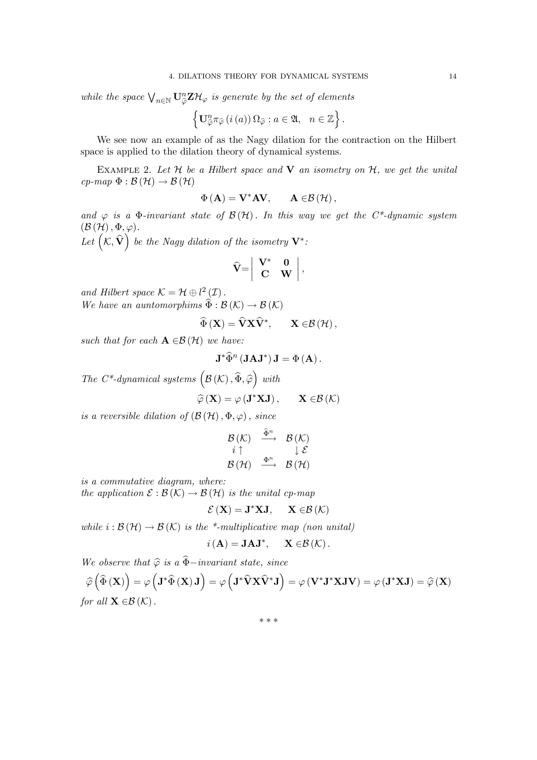while the space  $\bigvee_{n\in\mathbb{N}}\mathbf{U}_{\widehat{\varphi}}^n\mathbf{Z}\mathcal{H}_{\varphi}$  is generate by the set of elements

$$
\left\{ \mathbf{U}_{\widehat{\varphi}}^n \pi_{\widehat{\varphi}} \left( i\left( a\right) \right) \Omega_{\widehat{\varphi}} : a \in \mathfrak{A}, \quad n \in \mathbb{Z} \right\}.
$$

We see now an example of as the Nagy dilation for the contraction on the Hilbert space is applied to the dilation theory of dynamical systems.

EXAMPLE 2. Let  $\mathcal H$  be a Hilbert space and  $\mathbf V$  an isometry on  $\mathcal H$ , we get the unital  $cp$ -map  $\Phi : \mathcal{B}(\mathcal{H}) \to \mathcal{B}(\mathcal{H})$ 

$$
\Phi\left(\mathbf{A}\right) = \mathbf{V}^* \mathbf{A} \mathbf{V}, \qquad \mathbf{A} \in \mathcal{B}\left(\mathcal{H}\right),
$$

and  $\varphi$  is a  $\Phi$ -invariant state of  $\mathcal{B}(\mathcal{H})$ . In this way we get the C<sup>\*</sup>-dynamic system  $(\mathcal{B}(\mathcal{H}), \Phi, \varphi).$ 

Let  $(\mathcal{K}, \widehat{\mathbf{V}})$  be the Nagy dilation of the isometry  $\mathbf{V}^{*}$ :

$$
\widehat{\mathbf{V}}\mathbf{=}\left|\begin{array}{cc} \mathbf{V}^* & \mathbf{0}\\ \mathbf{C} & \mathbf{W} \end{array}\right|,
$$

and Hilbert space  $\mathcal{K} = \mathcal{H} \oplus l^2(\mathcal{I})$ . We have an auntomorphims  $\Phi : \mathcal{B} (\mathcal{K}) \to \mathcal{B} (\mathcal{K})$ 

$$
\widehat{\Phi}\left(\mathbf{X}\right) = \widehat{\mathbf{V}}\mathbf{X}\widehat{\mathbf{V}}^*, \qquad \mathbf{X} \in \mathcal{B}\left(\mathcal{H}\right),
$$

such that for each  $\mathbf{A} \in \mathcal{B}(\mathcal{H})$  we have:

$$
\mathbf{J}^*\widehat{\Phi}^n\left(\mathbf{J}\mathbf{A}\mathbf{J}^*\right)\mathbf{J}=\Phi\left(\mathbf{A}\right).
$$

The C<sup>\*</sup>-dynamical systems  $(\mathcal{B}(\mathcal{K}), \widehat{\Phi}, \widehat{\varphi})$  with

$$
\widehat{\varphi}\left(\mathbf{X}\right) = \varphi\left(\mathbf{J}^*\mathbf{X}\mathbf{J}\right), \qquad \mathbf{X} \in \mathcal{B}\left(\mathcal{K}\right)
$$

is a reversible dilation of  $(\mathcal{B}(\mathcal{H}), \Phi, \varphi)$ , since

$$
\begin{array}{ccc} \mathcal{B}\left(\mathcal{K}\right) & \stackrel{\widehat{\Phi}^n}{\longrightarrow} & \mathcal{B}\left(\mathcal{K}\right) \\ i\uparrow & & \downarrow \mathcal{E} \\ \mathcal{B}\left(\mathcal{H}\right) & \stackrel{\Phi^n}{\longrightarrow} & \mathcal{B}\left(\mathcal{H}\right) \end{array}
$$

is a commutative diagram, where:

the application  $\mathcal{E}: \mathcal{B}(\mathcal{K}) \to \mathcal{B}(\mathcal{H})$  is the unital cp-map

$$
\mathcal{E}\left(\mathbf{X}\right)=\mathbf{J}^{\ast }\mathbf{XJ},\quad \ \ \mathbf{X\in }\mathcal{B}\left(\mathcal{K}\right)
$$

while  $i : \mathcal{B}(\mathcal{H}) \to \mathcal{B}(\mathcal{K})$  is the \*-multiplicative map (non unital)

$$
i(\mathbf{A}) = \mathbf{J} \mathbf{A} \mathbf{J}^*, \quad \mathbf{X} \in \mathcal{B}(\mathcal{K}).
$$

We observe that  $\widehat{\varphi}$  is a  $\widehat{\Phi}-invariant$  state, since

 $\widehat{\varphi}\left(\widehat{\Phi}\left(\mathbf{X}\right)\right)=\varphi\left(\mathbf{J}^*\widehat{\Phi}\left(\mathbf{X}\right)\mathbf{J}\right)=\varphi\left(\mathbf{J}^*\widehat{\mathbf{V}}\mathbf{X}\widehat{\mathbf{V}}^*\mathbf{J}\right)=\varphi\left(\mathbf{V}^*\mathbf{J}^*\mathbf{X}\mathbf{J}\mathbf{V}\right)=\varphi\left(\mathbf{J}^*\mathbf{X}\mathbf{J}\right)=\widehat{\varphi}\left(\mathbf{X}\right)$ for all  $\mathbf{X} \in \mathcal{B}(\mathcal{K})$ .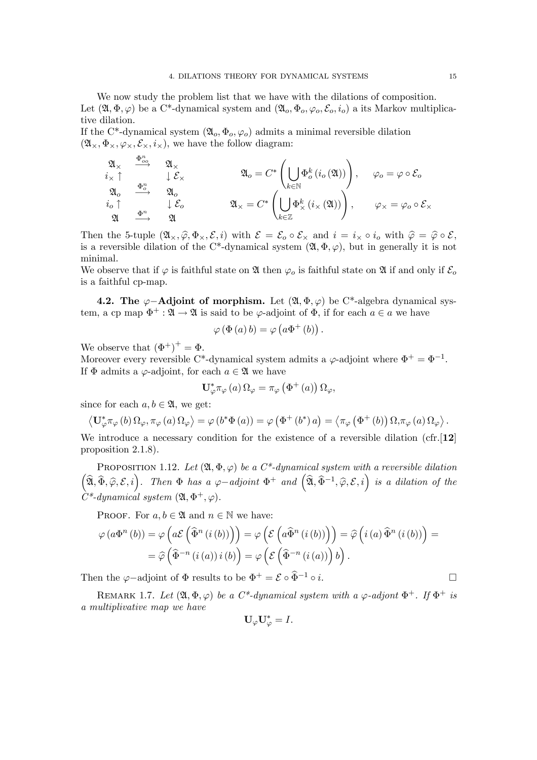We now study the problem list that we have with the dilations of composition. Let  $(\mathfrak{A}, \Phi, \varphi)$  be a C<sup>\*</sup>-dynamical system and  $(\mathfrak{A}_{o}, \Phi_{o}, \varphi_{o}, \mathcal{E}_{o}, i_{o})$  a its Markov multiplicative dilation.

If the C<sup>\*</sup>-dynamical system  $(\mathfrak{A}_{o}, \Phi_{o}, \varphi_{o})$  admits a minimal reversible dilation  $(\mathfrak{A}_{\times}, \Phi_{\times}, \varphi_{\times}, \mathcal{E}_{\times}, i_{\times})$ , we have the follow diagram:

$$
\begin{array}{cccc}\n\mathfrak{A}_{\times} & \xrightarrow{\Phi_{oo}^n} & \mathfrak{A}_{\times} & \\
i_{\times} \uparrow & & \downarrow \mathcal{E}_{\times} & \\
\mathfrak{A}_{o} & \xrightarrow{\Phi_{o}^n} & \mathfrak{A}_{o} & \\
i_{o} \uparrow & & \downarrow \mathcal{E}_{o} & \\
\mathfrak{A} & \xrightarrow{\Phi_{o}^n} & \mathfrak{A} & \\
\end{array}\n\qquad\n\begin{array}{cccc}\n\mathfrak{A}_{o} = C^* \left( \bigcup_{k \in \mathbb{N}} \Phi_{o}^{k} (i_{o}(\mathfrak{A})) \right), & & \varphi_{o} = \varphi \circ \mathcal{E}_{o} \\
\left( \bigcup_{k \in \mathbb{Z}} \Phi_{\times}^{k} (i_{\times}(\mathfrak{A})) \right), & & \varphi_{\times} = \varphi_{o} \circ \mathcal{E}_{\times}\n\end{array}
$$

Then the 5-tuple  $(\mathfrak{A}_{\times},\widehat{\varphi},\Phi_{\times},\mathcal{E},i)$  with  $\mathcal{E}=\mathcal{E}_{o}\circ\mathcal{E}_{\times}$  and  $i=i_{\times}\circ i_{o}$  with  $\widehat{\varphi}=\widehat{\varphi}\circ\mathcal{E}_{\times}$ is a reversible dilation of the C<sup>\*</sup>-dynamical system  $(\mathfrak{A}, \Phi, \varphi)$ , but in generally it is not minimal.

We observe that if  $\varphi$  is faithful state on  $\mathfrak A$  then  $\varphi_o$  is faithful state on  $\mathfrak A$  if and only if  $\mathcal E_o$ is a faithful cp-map.

4.2. The  $\varphi$ −Adjoint of morphism. Let  $(\mathfrak{A}, \Phi, \varphi)$  be C<sup>\*</sup>-algebra dynamical system, a cp map  $\Phi^+ : \mathfrak{A} \to \mathfrak{A}$  is said to be  $\varphi$ -adjoint of  $\Phi$ , if for each  $a \in a$  we have

$$
\varphi(\Phi(a) b) = \varphi(a\Phi^+(b)).
$$

We observe that  $(\Phi^+)^+ = \Phi$ .

Moreover every reversible C<sup>\*</sup>-dynamical system admits a  $\varphi$ -adjoint where  $\Phi^+ = \Phi^{-1}$ . If  $\Phi$  admits a  $\varphi$ -adjoint, for each  $a \in \mathfrak{A}$  we have

$$
\mathbf{U}_{\varphi}^*\pi_{\varphi}\left(a\right)\Omega_{\varphi}=\pi_{\varphi}\left(\Phi^+\left(a\right)\right)\Omega_{\varphi},
$$

since for each  $a, b \in \mathfrak{A}$ , we get:

$$
\left\langle \mathbf{U}_{\varphi}^{*}\pi_{\varphi}\left(b\right)\Omega_{\varphi},\pi_{\varphi}\left(a\right)\Omega_{\varphi}\right\rangle =\varphi\left(b^{*}\Phi\left(a\right)\right)=\varphi\left(\Phi^{+}\left(b^{*}\right)a\right)=\left\langle \pi_{\varphi}\left(\Phi^{+}\left(b\right)\right)\Omega,\pi_{\varphi}\left(a\right)\Omega_{\varphi}\right\rangle .
$$

We introduce a necessary condition for the existence of a reversible dilation  $(\text{cfr.12})$ proposition 2.1.8).

PROPOSITION 1.12. Let  $(\mathfrak{A}, \Phi, \varphi)$  be a  $C^*$ -dynamical system with a reversible dilation  $\left(\widehat{\mathfrak{A}},\widehat{\Phi},\widehat{\varphi},\mathcal{E},i\right)$ . Then  $\Phi$  has a  $\varphi-adjoint \Phi^+$  and  $\left(\widehat{\mathfrak{A}},\widehat{\Phi}^{-1},\widehat{\varphi},\mathcal{E},i\right)$  is a dilation of the  $C^*$ -dynamical system  $(\mathfrak{A}, \Phi^+, \varphi)$ .

PROOF. For  $a, b \in \mathfrak{A}$  and  $n \in \mathbb{N}$  we have:

$$
\varphi(a\Phi^n(b)) = \varphi\left(a\mathcal{E}\left(\widehat{\Phi}^n(i(b))\right)\right) = \varphi\left(\mathcal{E}\left(a\widehat{\Phi}^n(i(b))\right)\right) = \widehat{\varphi}\left(i(a)\widehat{\Phi}^n(i(b))\right) =
$$

$$
= \widehat{\varphi}\left(\widehat{\Phi}^{-n}(i(a))i(b)\right) = \varphi\left(\mathcal{E}\left(\widehat{\Phi}^{-n}(i(a))\right)b\right).
$$

Then the  $\varphi$ −adjoint of  $\Phi$  results to be  $\Phi^+ = \mathcal{E} \circ \widehat{\Phi}^{-1} \circ i$ .

REMARK 1.7. Let  $(\mathfrak{A}, \Phi, \varphi)$  be a  $C^*$ -dynamical system with a  $\varphi$ -adjont  $\Phi^+$ . If  $\Phi^+$  is a multiplivative map we have

$$
\mathbf{U}_{\varphi}\mathbf{U}_{\varphi}^*=I.
$$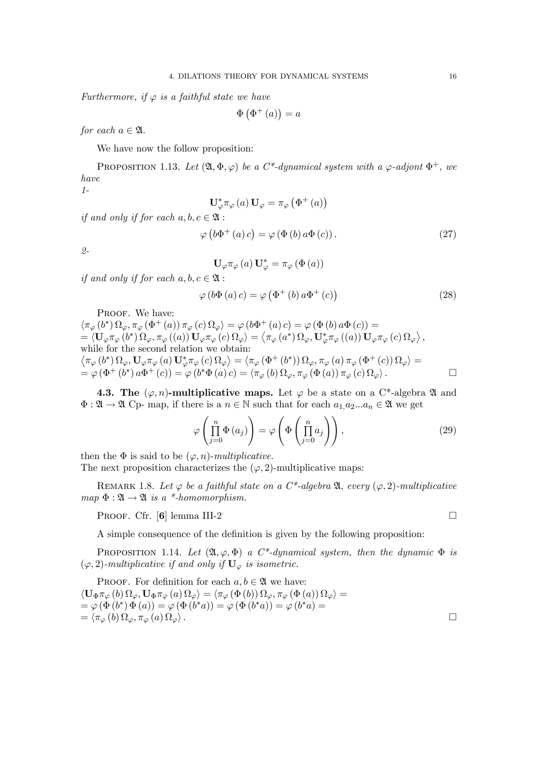Furthermore, if  $\varphi$  is a faithful state we have

$$
\Phi\left(\Phi^+(a)\right) = a
$$

for each  $a \in \mathfrak{A}$ .

We have now the follow proposition:

PROPOSITION 1.13. Let  $(\mathfrak{A}, \Phi, \varphi)$  be a  $C^*$ -dynamical system with a  $\varphi$ -adjont  $\Phi^+$ , we have

1-

$$
\mathbf{U}_{\varphi}^*\pi_{\varphi}(a)\,\mathbf{U}_{\varphi}=\pi_{\varphi}\left(\Phi^+(a)\right)
$$

if and only if for each  $a, b, c \in \mathfrak{A}$ :

$$
\varphi\left(b\Phi^{+}\left(a\right)c\right) = \varphi\left(\Phi\left(b\right)a\Phi\left(c\right)\right). \tag{27}
$$

2-

$$
\mathbf{U}_{\varphi}\pi_{\varphi}\left(a\right)\mathbf{U}_{\varphi}^{*}=\pi_{\varphi}\left(\Phi\left(a\right)\right)
$$

if and only if for each  $a, b, c \in \mathfrak{A}$ :

$$
\varphi(b\Phi(a)c) = \varphi(\Phi^+(b)a\Phi^+(c))\tag{28}
$$

PROOF. We have:

$$
\langle \pi_{\varphi} (b^*) \Omega_{\varphi}, \pi_{\varphi} (\Phi^+ (a)) \pi_{\varphi} (c) \Omega_{\varphi} \rangle = \varphi (b\Phi^+ (a) c) = \varphi (\Phi (b) a\Phi (c)) =
$$
\n
$$
= \langle \mathbf{U}_{\varphi} \pi_{\varphi} (b^*) \Omega_{\varphi}, \pi_{\varphi} ((a)) \mathbf{U}_{\varphi} \pi_{\varphi} (c) \Omega_{\varphi} \rangle = \langle \pi_{\varphi} (a^*) \Omega_{\varphi}, \mathbf{U}_{\varphi}^* \pi_{\varphi} ((a)) \mathbf{U}_{\varphi} \pi_{\varphi} (c) \Omega_{\varphi} \rangle,
$$
\nwhile for the second relation we obtain:\n
$$
\langle \pi_{\varphi} (b^*) \Omega_{\varphi}, \mathbf{U}_{\varphi} \pi_{\varphi} (a) \mathbf{U}_{\varphi}^* \pi_{\varphi} (c) \Omega_{\varphi} \rangle = \langle \pi_{\varphi} (\Phi^+ (b^*)) \Omega_{\varphi}, \pi_{\varphi} (a) \pi_{\varphi} (\Phi^+ (c)) \Omega_{\varphi} \rangle =
$$
\n
$$
= \varphi (\Phi^+ (b^*) a\Phi^+ (c)) = \varphi (b^* \Phi (a) c) = \langle \pi_{\varphi} (b) \Omega_{\varphi}, \pi_{\varphi} (\Phi (a)) \pi_{\varphi} (c) \Omega_{\varphi} \rangle.
$$

4.3. The  $(\varphi, n)$ -multiplicative maps. Let  $\varphi$  be a state on a C<sup>\*</sup>-algebra  $\mathfrak A$  and  $\Phi : \mathfrak{A} \to \mathfrak{A}$  Cp- map, if there is a  $n \in \mathbb{N}$  such that for each  $a_1, a_2... a_n \in \mathfrak{A}$  we get

$$
\varphi\left(\prod_{j=0}^{n} \Phi\left(a_{j}\right)\right) = \varphi\left(\Phi\left(\prod_{j=0}^{n} a_{j}\right)\right),\tag{29}
$$

then the  $\Phi$  is said to be  $(\varphi, n)$ -multiplicative.

The next proposition characterizes the  $(\varphi, 2)$ -multiplicative maps:

REMARK 1.8. Let  $\varphi$  be a faithful state on a C<sup>\*</sup>-algebra  $\mathfrak{A}$ , every  $(\varphi, 2)$ -multiplicative map  $\Phi : \mathfrak{A} \to \mathfrak{A}$  is a \*-homomorphism.

PROOF. Cfr.  $[6]$  lemma III-2  $\square$ 

A simple consequence of the definition is given by the following proposition:

PROPOSITION 1.14. Let  $(\mathfrak{A}, \varphi, \Phi)$  a  $C^*$ -dynamical system, then the dynamic  $\Phi$  is  $(\varphi, 2)$ -multiplicative if and only if  $\mathbf{U}_{\varphi}$  is isometric.

PROOF. For definition for each  $a, b \in \mathfrak{A}$  we have:  $\langle \mathbf{U}_{\Phi} \pi_{\varphi} (b) \Omega_{\varphi}, \mathbf{U}_{\Phi} \pi_{\varphi} (a) \Omega_{\varphi} \rangle = \langle \pi_{\varphi} (\Phi (b)) \Omega_{\varphi}, \pi_{\varphi} (\Phi (a)) \Omega_{\varphi} \rangle =$  $=\varphi\left(\Phi\left(b^{*}\right)\Phi\left(a\right)\right)=\varphi\left(\Phi\left(b^{*}a\right)\right)=\varphi\left(b^{*}a\right)=\varphi\left(b^{*}a\right)=\varphi\left(b^{*}a\right)$  $=\langle \pi_{\varphi}(b) \,\Omega_{\varphi}, \pi_{\varphi}(a) \,\Omega_{\varphi} \rangle$ .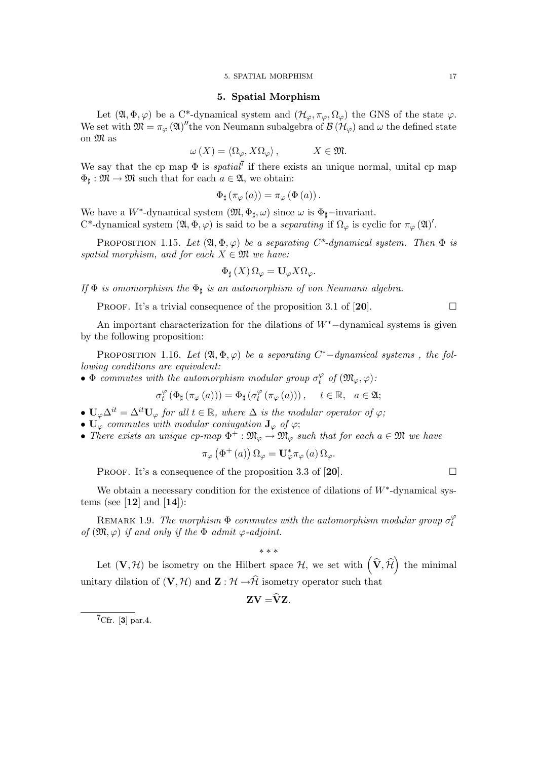#### 5. Spatial Morphism

Let  $(\mathfrak{A}, \Phi, \varphi)$  be a C<sup>\*</sup>-dynamical system and  $(\mathcal{H}_{\varphi}, \pi_{\varphi}, \Omega_{\varphi})$  the GNS of the state  $\varphi$ . We set with  $\mathfrak{M} = \pi_{\varphi}(\mathfrak{A})''$  the von Neumann subalgebra of  $\mathcal{B}(\mathcal{H}_{\varphi})$  and  $\omega$  the defined state on M as

$$
\omega\left(X\right) = \left\langle \Omega_{\varphi}, X\Omega_{\varphi} \right\rangle, \qquad X \in \mathfrak{M}.
$$

We say that the cp map  $\Phi$  is *spatial*<sup> $7$ </sup> if there exists an unique normal, unital cp map  $\Phi_{\sharp}: \mathfrak{M} \to \mathfrak{M}$  such that for each  $a \in \mathfrak{A}$ , we obtain:

$$
\Phi_{\sharp}(\pi_{\varphi}(a)) = \pi_{\varphi}(\Phi(a)).
$$

We have a W<sup>\*</sup>-dynamical system  $(\mathfrak{M}, \Phi_{\sharp}, \omega)$  since  $\omega$  is  $\Phi_{\sharp}$ -invariant. C<sup>\*</sup>-dynamical system  $(\mathfrak{A}, \Phi, \varphi)$  is said to be a *separating* if  $\Omega_{\varphi}$  is cyclic for  $\pi_{\varphi}(\mathfrak{A})'$ .

PROPOSITION 1.15. Let  $(\mathfrak{A}, \Phi, \varphi)$  be a separating C\*-dynamical system. Then  $\Phi$  is spatial morphism, and for each  $X \in \mathfrak{M}$  we have:

$$
\Phi_{\sharp}(X)\,\Omega_{\varphi} = \mathbf{U}_{\varphi}X\Omega_{\varphi}.
$$

If  $\Phi$  is omomorphism the  $\Phi_{\sharp}$  is an automorphism of von Neumann algebra.

**PROOF.** It's a trivial consequence of the proposition 3.1 of [20].  $\Box$ 

An important characterization for the dilations of  $W^*$ –dynamical systems is given by the following proposition:

PROPOSITION 1.16. Let  $(\mathfrak{A}, \Phi, \varphi)$  be a separating  $C^*$ −dynamical systems, the following conditions are equivalent:

•  $\Phi$  commutes with the automorphism modular group  $\sigma_t^{\varphi}$  of  $(\mathfrak{M}_{\varphi}, \varphi)$ :

$$
\sigma_t^{\varphi} \left( \Phi_{\sharp} \left( \pi_{\varphi} \left( a \right) \right) \right) = \Phi_{\sharp} \left( \sigma_t^{\varphi} \left( \pi_{\varphi} \left( a \right) \right) \right), \quad t \in \mathbb{R}, \quad a \in \mathfrak{A};
$$

- $\mathbf{U}_{\varphi}\Delta^{it} = \Delta^{it}\mathbf{U}_{\varphi}$  for all  $t \in \mathbb{R}$ , where  $\Delta$  is the modular operator of  $\varphi$ ;
- $U_{\varphi}$  commutes with modular coniugation  $J_{\varphi}$  of  $\varphi$ ;
- There exists an unique  $cp$ -map  $\Phi^+ : \mathfrak{M}_{\varphi} \to \mathfrak{M}_{\varphi}$  such that for each  $a \in \mathfrak{M}$  we have

$$
\pi_{\varphi}\left(\Phi^{+}\left(a\right)\right)\Omega_{\varphi}=\mathbf{U}_{\varphi}^{*}\pi_{\varphi}\left(a\right)\Omega_{\varphi}.
$$

**PROOF.** It's a consequence of the proposition 3.3 of [20].  $\Box$ 

We obtain a necessary condition for the existence of dilations of  $W^*$ -dynamical systems (see  $[12]$  and  $[14]$ ):

REMARK 1.9. The morphism  $\Phi$  commutes with the automorphism modular group  $\sigma_t^{\varphi}$ of  $(\mathfrak{M}, \varphi)$  if and only if the  $\Phi$  admit  $\varphi$ -adjoint.

$$
***
$$

Let  $(\mathbf{V}, \mathcal{H})$  be isometry on the Hilbert space  $\mathcal{H}$ , we set with  $(\widehat{\mathbf{V}}, \widehat{\mathcal{H}})$  the minimal unitary dilation of  $(V, H)$  and  $\mathbf{Z} : H \to \widehat{H}$  isometry operator such that

$$
ZV=VZ.
$$

 ${}^{7}Cfr.$  [3] par.4.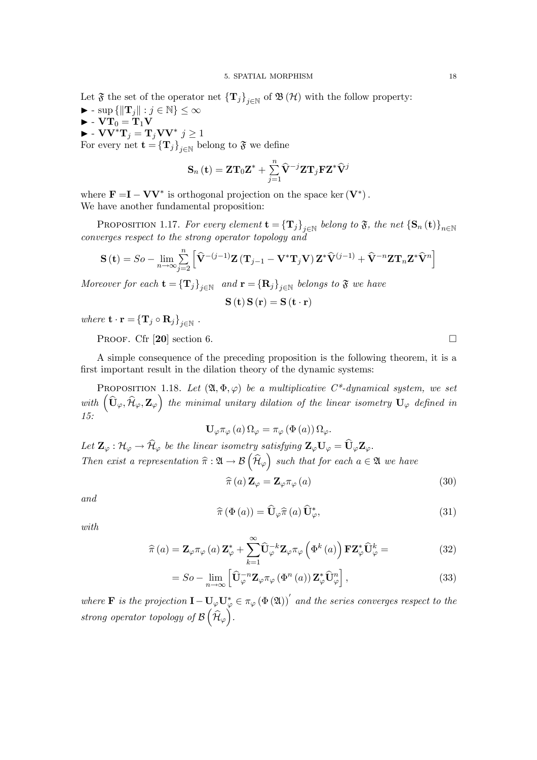- $\blacktriangleright$   $\sup\left\{\left\|\mathbf{T}_{j}\right\|:j\in\mathbb{N}\right\}\leq\infty$
- $\blacktriangleright$   $\mathbf{VT}_0 = \mathbf{T}_1\mathbf{V}$
- $\blacktriangleright$   $VV^*T_j = T_jVV^*$   $j \geq 1$

For every net  $\mathbf{t} = {\mathbf{T}_j}_{j \in \mathbb{N}}$  belong to  $\mathfrak{F}$  we define

$$
\mathbf{S}_{n}\left(\mathbf{t}\right)=\mathbf{Z}\mathbf{T}_{0}\mathbf{Z}^{*}+\sum\limits_{j=1}^{n}\widehat{\mathbf{V}}^{-j}\mathbf{Z}\mathbf{T}_{j}\mathbf{F}\mathbf{Z}^{*}\widehat{\mathbf{V}}^{j}
$$

where  $\mathbf{F} = \mathbf{I} - \mathbf{V}\mathbf{V}^*$  is orthogonal projection on the space ker  $(\mathbf{V}^*)$ . We have another fundamental proposition:

PROPOSITION 1.17. For every element  $\mathbf{t} = {\mathbf{T}_j}_{j \in \mathbb{N}}$  belong to  $\mathfrak{F}$ , the net  ${\mathbf{S}_n(\mathbf{t})}_{n \in \mathbb{N}}$ converges respect to the strong operator topology and

$$
\mathbf{S}\left(\mathbf{t}\right)=So-\lim_{n\rightarrow\infty}\overset{n}{\underset{j=2}{\sum}}\left[\widehat{\mathbf{V}}^{-\left(j-1\right)}\mathbf{Z}\left(\mathbf{T}_{j-1}-\mathbf{V}^{*}\mathbf{T}_{j}\mathbf{V}\right)\mathbf{Z}^{*}\widehat{\mathbf{V}}^{\left(j-1\right)}+\widehat{\mathbf{V}}^{-n}\mathbf{Z}\mathbf{T}_{n}\mathbf{Z}^{*}\widehat{\mathbf{V}}^{n}\right]
$$

Moreover for each  $\mathbf{t} = {\mathbf{T}_j}_{j \in \mathbb{N}}$  and  $\mathbf{r} = {\mathbf{R}_j}_{j \in \mathbb{N}}$  belongs to  $\mathfrak{F}$  we have

$$
\mathbf{S}\left(\mathbf{t}\right)\mathbf{S}\left(\mathbf{r}\right)=\mathbf{S}\left(\mathbf{t}\cdot\mathbf{r}\right)
$$

where  $\mathbf{t} \cdot \mathbf{r} = {\{T_j \circ R_j\}}_{i \in \mathbb{N}}$ .

PROOF. Cfr  $[20]$  section 6.

A simple consequence of the preceding proposition is the following theorem, it is a first important result in the dilation theory of the dynamic systems:

PROPOSITION 1.18. Let  $(\mathfrak{A}, \Phi, \varphi)$  be a multiplicative  $C^*$ -dynamical system, we set with  $\left(\widehat{\mathbf{U}}_{\varphi},\widehat{\mathcal{H}}_{\varphi},\mathbf{Z}_{\varphi}\right)$  the minimal unitary dilation of the linear isometry  $\mathbf{U}_{\varphi}$  defined in 15:

$$
\mathbf{U}_{\varphi} \pi_{\varphi}(a) \Omega_{\varphi} = \pi_{\varphi} \left( \Phi(a) \right) \Omega_{\varphi}.
$$

Let  $\mathbf{Z}_{\varphi} : \mathcal{H}_{\varphi} \to \widehat{\mathcal{H}}_{\varphi}$  be the linear isometry satisfying  $\mathbf{Z}_{\varphi} \mathbf{U}_{\varphi} = \widehat{\mathbf{U}}_{\varphi} \mathbf{Z}_{\varphi}$ . Then exist a representation  $\hat{\pi} : \mathfrak{A} \to \mathcal{B}$  $\mu_\varphi$  $\Big)$  such that for each  $a \in \mathfrak{A}$  we have

$$
\widehat{\pi}\left(a\right)\mathbf{Z}_{\varphi}=\mathbf{Z}_{\varphi}\pi_{\varphi}\left(a\right)
$$
\n(30)

and

$$
\widehat{\pi}(\Phi(a)) = \widehat{\mathbf{U}}_{\varphi}\widehat{\pi}(a)\widehat{\mathbf{U}}_{\varphi}^*,\tag{31}
$$

with

$$
\widehat{\pi}(a) = \mathbf{Z}_{\varphi}\pi_{\varphi}(a)\mathbf{Z}_{\varphi}^* + \sum_{k=1}^{\infty} \widehat{\mathbf{U}}_{\varphi}^{-k}\mathbf{Z}_{\varphi}\pi_{\varphi}\left(\Phi^k\left(a\right)\right)\mathbf{F}\mathbf{Z}_{\varphi}^*\widehat{\mathbf{U}}_{\varphi}^k = \tag{32}
$$

$$
= So - \lim_{n \to \infty} \left[ \widehat{\mathbf{U}}_{\varphi}^{-n} \mathbf{Z}_{\varphi} \pi_{\varphi} \left( \Phi^n \left( a \right) \right) \mathbf{Z}_{\varphi}^* \widehat{\mathbf{U}}_{\varphi}^n \right], \tag{33}
$$

where **F** is the projection  $\mathbf{I} - \mathbf{U}_{\varphi} \mathbf{U}_{\varphi}^* \in \pi_{\varphi}(\Phi(\mathfrak{A}))'$  and the series converges respect to the strong operator topology of  $\mathcal{B} \left( \right)$  $\mu_\varphi$ ´ .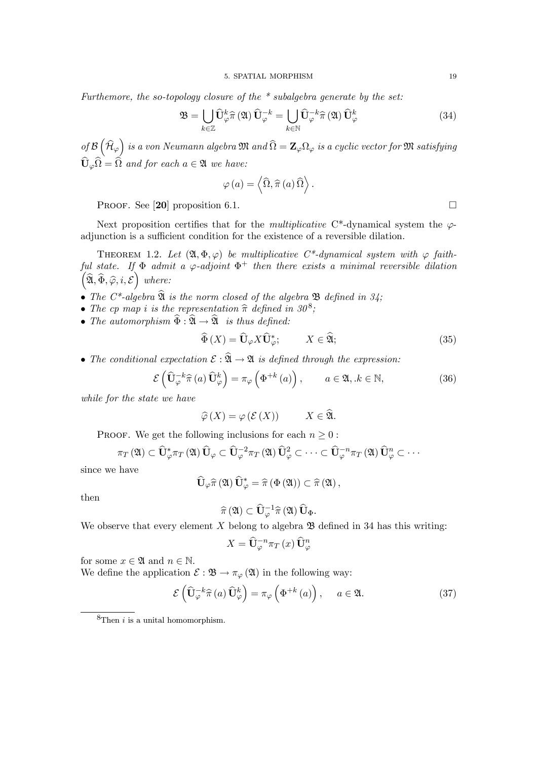Furthemore, the so-topology closure of the  $*$  subalgebra generate by the set:

$$
\mathfrak{B} = \bigcup_{k \in \mathbb{Z}} \widehat{\mathbf{U}}_{\varphi}^k \widehat{\pi} \left( \mathfrak{A} \right) \widehat{\mathbf{U}}_{\varphi}^{-k} = \bigcup_{k \in \mathbb{N}} \widehat{\mathbf{U}}_{\varphi}^{-k} \widehat{\pi} \left( \mathfrak{A} \right) \widehat{\mathbf{U}}_{\varphi}^k \tag{34}
$$

of  $\mathcal{B} \left( \right)$  $\mu_\varphi$  $\bigg(\bigg)$  is a von Neumann algebra  $\frak M$  and  $\widehat\Omega=\mathbf{Z}_\varphi\Omega_\varphi$  is a cyclic vector for  $\frak M$  satisfying  $\widehat{\mathbf{U}}_{\varphi} \widehat{\Omega} = \widehat{\Omega}$  and for each  $a \in \mathfrak{A}$  we have:

$$
\varphi\left(a\right) = \left\langle \widehat{\Omega}, \widehat{\pi}\left(a\right) \widehat{\Omega}\right\rangle.
$$

PROOF. See [20] proposition 6.1.  $\Box$ 

Next proposition certifies that for the *multiplicative*  $C^*$ -dynamical system the  $\varphi$ adjunction is a sufficient condition for the existence of a reversible dilation.

THEOREM 1.2. Let  $(\mathfrak{A}, \Phi, \varphi)$  be multiplicative C\*-dynamical system with  $\varphi$  faithful state. If  $\Phi$  admit a  $\varphi$ -adjoint  $\Phi^+$  then there exists a minimal reversible dilation  $\left( \widehat{\mathfrak{A}}, \widehat{\Phi}, \widehat{\varphi}, i, \mathcal{E} \right)$  where:

- The  $C^*$ -algebra  $\mathfrak A$  is the norm closed of the algebra  $\mathfrak B$  defined in 34;
- The cp map i is the representation  $\hat{\pi}$  defined in 30<sup>8</sup>;
- The automorphism  $\widehat{\Phi} : \widehat{\mathfrak{A}} \to \widehat{\mathfrak{A}} \quad \text{is thus defined:}$

$$
\widehat{\Phi}(X) = \widehat{\mathbf{U}}_{\varphi} X \widehat{\mathbf{U}}_{\varphi}^*; \qquad X \in \widehat{\mathfrak{A}}; \tag{35}
$$

• The conditional expectation  $\mathcal{E} : \widehat{\mathfrak{A}} \to \mathfrak{A}$  is defined through the expression:

$$
\mathcal{E}\left(\widehat{\mathbf{U}}_{\varphi}^{-k}\widehat{\pi}\left(a\right)\widehat{\mathbf{U}}_{\varphi}^{k}\right)=\pi_{\varphi}\left(\Phi^{+k}\left(a\right)\right), \qquad a\in\mathfrak{A}, k\in\mathbb{N},\tag{36}
$$

while for the state we have

$$
\widehat{\varphi}\left(X\right) = \varphi\left(\mathcal{E}\left(X\right)\right) \qquad X \in \widehat{\mathfrak{A}}.
$$

PROOF. We get the following inclusions for each  $n \geq 0$ :

$$
\pi_T(\mathfrak{A}) \subset \widehat{\mathbf{U}}_{\varphi}^* \pi_T(\mathfrak{A}) \widehat{\mathbf{U}}_{\varphi} \subset \widehat{\mathbf{U}}_{\varphi}^{-2} \pi_T(\mathfrak{A}) \widehat{\mathbf{U}}_{\varphi}^2 \subset \cdots \subset \widehat{\mathbf{U}}_{\varphi}^{-n} \pi_T(\mathfrak{A}) \widehat{\mathbf{U}}_{\varphi}^n \subset \cdots
$$

since we have

$$
\widehat{\mathbf{U}}_{\varphi}\widehat{\pi}\left(\mathfrak{A}\right)\widehat{\mathbf{U}}_{\varphi}^{*}=\widehat{\pi}\left(\Phi\left(\mathfrak{A}\right)\right)\subset\widehat{\pi}\left(\mathfrak{A}\right),
$$

then

$$
\widehat{\pi}\left(\mathfrak{A}\right)\subset\widehat{\mathbf{U}}_{\varphi}^{-1}\widehat{\pi}\left(\mathfrak{A}\right)\widehat{\mathbf{U}}_{\Phi}.
$$

We observe that every element  $X$  belong to algebra  $\mathfrak B$  defined in 34 has this writing:

$$
X=\widehat{\mathbf{U}}_{\varphi}^{-n}\pi_{T}\left(x\right)\widehat{\mathbf{U}}_{\varphi}^{n}
$$

for some  $x \in \mathfrak{A}$  and  $n \in \mathbb{N}$ .

We define the application  $\mathcal{E}: \mathfrak{B} \to \pi_{\varphi}(\mathfrak{A})$  in the following way:

$$
\mathcal{E}\left(\widehat{\mathbf{U}}_{\varphi}^{-k}\widehat{\pi}\left(a\right)\widehat{\mathbf{U}}_{\varphi}^{k}\right)=\pi_{\varphi}\left(\Phi^{+k}\left(a\right)\right), \quad a \in \mathfrak{A}.\tag{37}
$$

 ${}^{8}{\rm Then}$   $i$  is a unital homomorphism.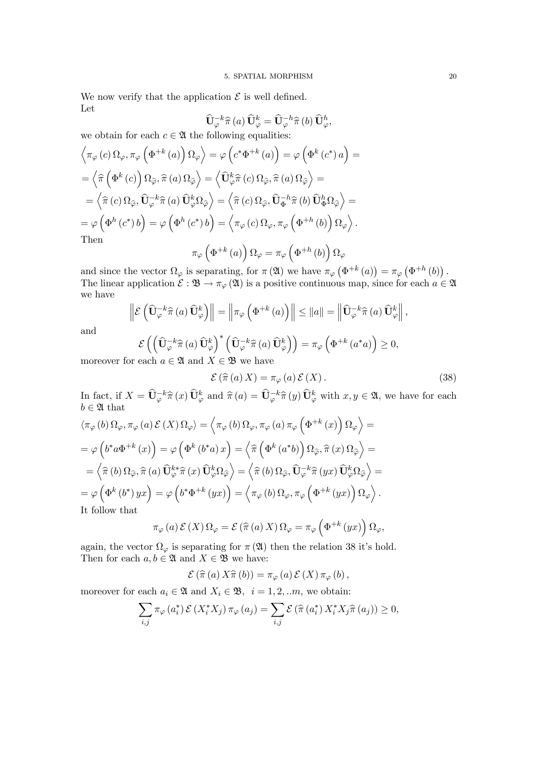We now verify that the application  $\mathcal E$  is well defined. Let

$$
\widehat{\mathbf{U}}_{\varphi}^{-k}\widehat{\pi}\left(a\right)\widehat{\mathbf{U}}_{\varphi}^{k}=\widehat{\mathbf{U}}_{\varphi}^{-h}\widehat{\pi}\left(b\right)\widehat{\mathbf{U}}_{\varphi}^{h},
$$

we obtain for each  $c \in \mathfrak{A}$  the following equalities:

$$
\left\langle \pi_{\varphi}(c) \,\Omega_{\varphi}, \pi_{\varphi} \left( \Phi^{+k}(a) \right) \Omega_{\varphi} \right\rangle = \varphi \left( c^* \Phi^{+k}(a) \right) = \varphi \left( \Phi^k(c^*) a \right) =
$$
\n
$$
= \left\langle \widehat{\pi} \left( \Phi^k(c) \right) \Omega_{\widehat{\varphi}}, \widehat{\pi}(a) \Omega_{\widehat{\varphi}} \right\rangle = \left\langle \widehat{\mathbf{U}}_{\varphi}^k \widehat{\pi}(c) \Omega_{\widehat{\varphi}}, \widehat{\pi}(a) \Omega_{\widehat{\varphi}} \right\rangle =
$$
\n
$$
= \left\langle \widehat{\pi}(c) \,\Omega_{\widehat{\varphi}}, \widehat{\mathbf{U}}_{\varphi}^{-k} \widehat{\pi}(a) \,\widehat{\mathbf{U}}_{\varphi}^k \Omega_{\widehat{\varphi}} \right\rangle = \left\langle \widehat{\pi}(c) \,\Omega_{\widehat{\varphi}}, \widehat{\mathbf{U}}_{\Phi}^{-h} \widehat{\pi}(b) \,\widehat{\mathbf{U}}_{\Phi}^h \Omega_{\widehat{\varphi}} \right\rangle =
$$
\n
$$
= \varphi \left( \Phi^h(c^*) b \right) = \varphi \left( \Phi^h(c^*) b \right) = \left\langle \pi_{\varphi}(c) \,\Omega_{\varphi}, \pi_{\varphi} \left( \Phi^{+h}(b) \right) \Omega_{\varphi} \right\rangle.
$$
\nThen\n
$$
\pi_{\varphi} \left( \Phi^{+k}(a) \right) \Omega_{\varphi} = \pi_{\varphi} \left( \Phi^{+h}(b) \right) \Omega_{\varphi}
$$

and since the vector  $\Omega_{\varphi}$  is separating, for  $\pi(\mathfrak{A})$  we have  $\pi_{\varphi}(\Phi^{+k}(a)) = \pi_{\varphi}(\Phi^{+k}(b))$ . The linear application  $\mathcal{E}: \mathfrak{B} \to \pi_{\varphi}(\mathfrak{A})$  is a positive continuous map, since for each  $a \in \mathfrak{A}$ we have

$$
\left\| \mathcal{E} \left( \widehat{\mathbf{U}}_{\varphi}^{-k} \widehat{\pi}(a) \widehat{\mathbf{U}}_{\varphi}^{k} \right) \right\| = \left\| \pi_{\varphi} \left( \Phi^{+k}(a) \right) \right\| \leq \|a\| = \left\| \widehat{\mathbf{U}}_{\varphi}^{-k} \widehat{\pi}(a) \widehat{\mathbf{U}}_{\varphi}^{k} \right\|,
$$

and

$$
\mathcal{E}\left(\left(\widehat{\mathbf{U}}_{\varphi}^{-k}\widehat{\pi}\left(a\right)\widehat{\mathbf{U}}_{\varphi}^{k}\right)^{*}\left(\widehat{\mathbf{U}}_{\varphi}^{-k}\widehat{\pi}\left(a\right)\widehat{\mathbf{U}}_{\varphi}^{k}\right)\right)=\pi_{\varphi}\left(\Phi^{+k}\left(a^{*}a\right)\right)\geq0,
$$

moreover for each  $a \in \mathfrak{A}$  and  $X \in \mathfrak{B}$  we have

$$
\mathcal{E}\left(\widehat{\pi}\left(a\right)X\right) = \pi_{\varphi}\left(a\right)\mathcal{E}\left(X\right). \tag{38}
$$

In fact, if  $X = \widehat{U}_{\varphi}^{-k} \widehat{\pi}(x) \widehat{U}_{\varphi}^{k}$  and  $\widehat{\pi}(a) = \widehat{U}_{\varphi}^{-k} \widehat{\pi}(y) \widehat{U}_{\varphi}^{k}$  with  $x, y \in \mathfrak{A}$ , we have for each  $b \in \mathfrak{A}$  that

$$
\langle \pi_{\varphi}(b) \,\Omega_{\varphi}, \pi_{\varphi}(a) \,\mathcal{E}(X) \,\Omega_{\varphi} \rangle = \langle \pi_{\varphi}(b) \,\Omega_{\varphi}, \pi_{\varphi}(a) \,\pi_{\varphi} \left( \Phi^{+k}(x) \right) \Omega_{\varphi} \rangle =
$$
\n
$$
= \varphi \left( b^* a \Phi^{+k}(x) \right) = \varphi \left( \Phi^k(b^* a) x \right) = \langle \widehat{\pi} \left( \Phi^k(a^* b) \right) \Omega_{\widehat{\varphi}}, \widehat{\pi}(x) \,\Omega_{\widehat{\varphi}} \rangle =
$$
\n
$$
= \langle \widehat{\pi}(b) \,\Omega_{\widehat{\varphi}}, \widehat{\pi}(a) \,\widehat{\mathbf{U}}_{\varphi}^{k*} \widehat{\pi}(x) \,\widehat{\mathbf{U}}_{\varphi}^k \Omega_{\widehat{\varphi}} \rangle = \langle \widehat{\pi}(b) \,\Omega_{\widehat{\varphi}}, \widehat{\mathbf{U}}_{\varphi}^{-k} \widehat{\pi}(yx) \,\widehat{\mathbf{U}}_{\varphi}^k \Omega_{\widehat{\varphi}} \rangle =
$$
\n
$$
= \varphi \left( \Phi^k(b^*) y x \right) = \varphi \left( b^* \Phi^{+k}(yx) \right) = \langle \pi_{\varphi}(b) \,\Omega_{\varphi}, \pi_{\varphi} \left( \Phi^{+k}(yx) \right) \Omega_{\varphi} \rangle.
$$
\nIt follows that

$$
\pi_{\varphi}\left(a\right)\mathcal{E}\left(X\right)\Omega_{\varphi}=\mathcal{E}\left(\widehat{\pi}\left(a\right)X\right)\Omega_{\varphi}=\pi_{\varphi}\left(\Phi^{+k}\left(yx\right)\right)\Omega_{\varphi},
$$

again, the vector  $\Omega_{\varphi}$  is separating for  $\pi(\mathfrak{A})$  then the relation 38 it's hold. Then for each  $a, b \in \mathfrak{A}$  and  $X \in \mathfrak{B}$  we have:

$$
\mathcal{E}(\widehat{\pi}(a) X \widehat{\pi}(b)) = \pi_{\varphi}(a) \mathcal{E}(X) \pi_{\varphi}(b),
$$

moreover for each  $a_i \in \mathfrak{A}$  and  $X_i \in \mathfrak{B}$ ,  $i = 1, 2, \ldots m$ , we obtain:

$$
\sum_{i,j} \pi_{\varphi}(a_i^*) \mathcal{E}(X_i^* X_j) \pi_{\varphi}(a_j) = \sum_{i,j} \mathcal{E}(\widehat{\pi}(a_i^*) X_i^* X_j \widehat{\pi}(a_j)) \ge 0,
$$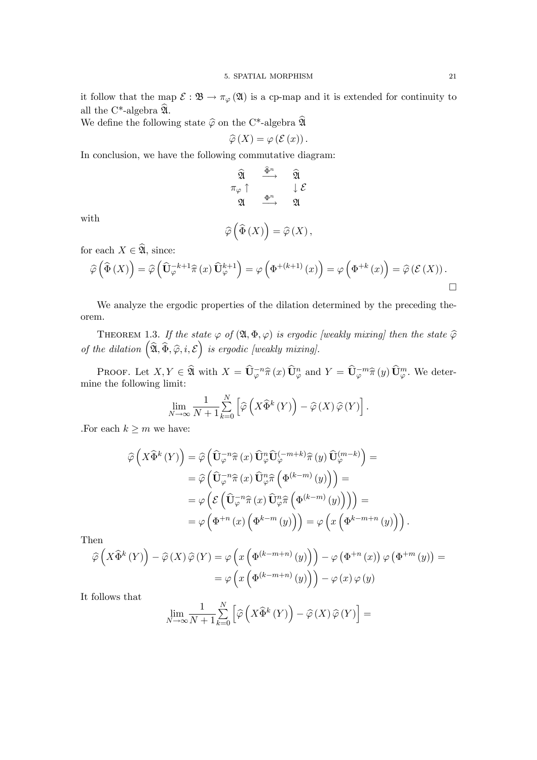it follow that the map  $\mathcal{E}: \mathfrak{B} \to \pi_{\varphi}(\mathfrak{A})$  is a cp-map and it is extended for continuity to all the C<sup>\*</sup>-algebra  $\widehat{\mathfrak{A}}$ .

We define the following state  $\widehat{\varphi}$  on the C<sup>\*</sup>-algebra  $\widehat{\mathfrak{A}}$ 

$$
\widehat{\varphi}\left(X\right) = \varphi\left(\mathcal{E}\left(x\right)\right).
$$

In conclusion, we have the following commutative diagram:

$$
\begin{array}{ccc}\n\widehat{\mathfrak{A}} & \stackrel{\widehat{\Phi}^n}{\longrightarrow} & \widehat{\mathfrak{A}} \\
\pi_{\varphi} \uparrow & & \downarrow \mathcal{E} \\
\mathfrak{A} & \stackrel{\Phi^n}{\longrightarrow} & \mathfrak{A} \\
\widehat{\mathfrak{A}}(\widehat{\Phi}(X)) = \widehat{\varphi}(X)\n\end{array}
$$

with

$$
\widehat{\varphi}\left(\widehat{\Phi}\left(X\right)\right)=\widehat{\varphi}\left(X\right),\,
$$

for each  $X \in \widehat{\mathfrak{A}}$ , since:

$$
\widehat{\varphi}\left(\widehat{\Phi}\left(X\right)\right) = \widehat{\varphi}\left(\widehat{\mathbf{U}}_{\varphi}^{-k+1}\widehat{\pi}\left(x\right)\widehat{\mathbf{U}}_{\varphi}^{k+1}\right) = \varphi\left(\Phi^{+(k+1)}\left(x\right)\right) = \varphi\left(\Phi^{+k}\left(x\right)\right) = \widehat{\varphi}\left(\mathcal{E}\left(X\right)\right).
$$

We analyze the ergodic properties of the dilation determined by the preceding theorem.

THEOREM 1.3. If the state  $\varphi$  of  $(\mathfrak{A}, \Phi, \varphi)$  is ergodic [weakly mixing] then the state  $\widehat{\varphi}$ of the dilation  $\left( \widehat{\mathfrak{A}}, \widehat{\Phi}, \widehat{\varphi}, i, \mathcal{E} \right)$  is ergodic [weakly mixing].

PROOF. Let  $X, Y \in \widehat{\mathfrak{A}}$  with  $X = \widehat{\mathbf{U}}_{\varphi}^{-n} \widehat{\pi}(x) \widehat{\mathbf{U}}_{\varphi}^{n}$  and  $Y = \widehat{\mathbf{U}}_{\varphi}^{-m} \widehat{\pi}(y) \widehat{\mathbf{U}}_{\varphi}^{m}$ . We determine the following limit:

$$
\lim_{N \to \infty} \frac{1}{N+1} \sum_{k=0}^{N} \left[ \widehat{\varphi} \left( X \widehat{\Phi}^{k} \left( Y \right) \right) - \widehat{\varphi} \left( X \right) \widehat{\varphi} \left( Y \right) \right].
$$

.For each  $k \geq m$  we have:

$$
\widehat{\varphi}\left(X\widehat{\Phi}^{k}\left(Y\right)\right) = \widehat{\varphi}\left(\widehat{\mathbf{U}}_{\varphi}^{-n}\widehat{\pi}\left(x\right)\widehat{\mathbf{U}}_{\varphi}^{n}\widehat{\mathbf{U}}_{\varphi}^{\left(-m+k\right)}\widehat{\pi}\left(y\right)\widehat{\mathbf{U}}_{\varphi}^{\left(m-k\right)}\right) =
$$
\n
$$
= \widehat{\varphi}\left(\widehat{\mathbf{U}}_{\varphi}^{-n}\widehat{\pi}\left(x\right)\widehat{\mathbf{U}}_{\varphi}^{n}\widehat{\pi}\left(\Phi^{(k-m)}\left(y\right)\right)\right) =
$$
\n
$$
= \varphi\left(\mathcal{E}\left(\widehat{\mathbf{U}}_{\varphi}^{-n}\widehat{\pi}\left(x\right)\widehat{\mathbf{U}}_{\varphi}^{n}\widehat{\pi}\left(\Phi^{(k-m)}\left(y\right)\right)\right)\right) =
$$
\n
$$
= \varphi\left(\Phi^{+n}\left(x\right)\left(\Phi^{k-m}\left(y\right)\right)\right) = \varphi\left(x\left(\Phi^{k-m+n}\left(y\right)\right)\right).
$$

Then

$$
\widehat{\varphi}\left(X\widehat{\Phi}^{k}\left(Y\right)\right)-\widehat{\varphi}\left(X\right)\widehat{\varphi}\left(Y\right)=\varphi\left(x\left(\Phi^{(k-m+n)}\left(y\right)\right)\right)-\varphi\left(\Phi^{+n}\left(x\right)\right)\varphi\left(\Phi^{+m}\left(y\right)\right)=\newline =\varphi\left(x\left(\Phi^{(k-m+n)}\left(y\right)\right)\right)-\varphi\left(x\right)\varphi\left(y\right)
$$

It follows that

$$
\lim_{N \to \infty} \frac{1}{N+1} \sum_{k=0}^{N} \left[ \widehat{\varphi} \left( X \widehat{\Phi}^{k} \left( Y \right) \right) - \widehat{\varphi} \left( X \right) \widehat{\varphi} \left( Y \right) \right] =
$$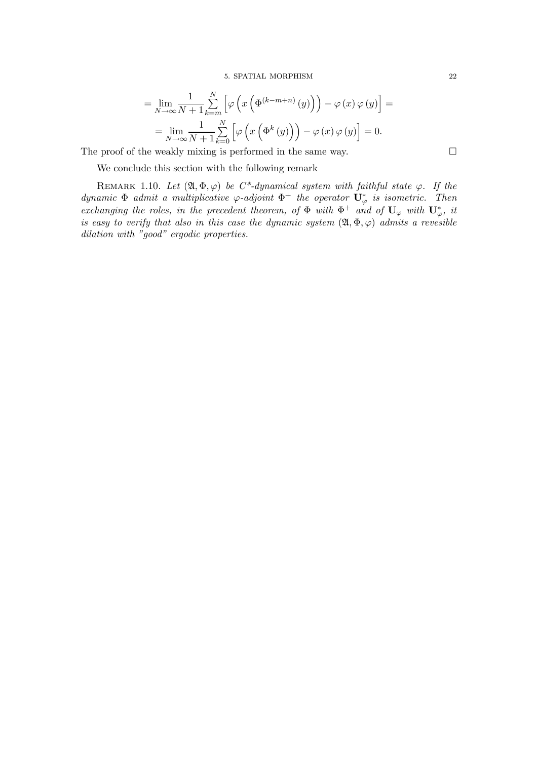$$
= \lim_{N \to \infty} \frac{1}{N+1} \sum_{k=m}^{N} \left[ \varphi \left( x \left( \Phi^{(k-m+n)} (y) \right) \right) - \varphi (x) \varphi (y) \right] =
$$
  

$$
= \lim_{N \to \infty} \frac{1}{N+1} \sum_{k=0}^{N} \left[ \varphi \left( x \left( \Phi^{k} (y) \right) \right) - \varphi (x) \varphi (y) \right] = 0.
$$

The proof of the weakly mixing is performed in the same way.  $\Box$ 

We conclude this section with the following remark

REMARK 1.10. Let  $(\mathfrak{A}, \Phi, \varphi)$  be C<sup>\*</sup>-dynamical system with faithful state  $\varphi$ . If the dynamic  $\Phi$  admit a multiplicative  $\varphi$ -adjoint  $\Phi^+$  the operator  $\mathbf{U}^*_{\varphi}$  is isometric. Then exchanging the roles, in the precedent theorem, of  $\Phi$  with  $\Phi^+$  and of  $U_{\varphi}$  with  $U_{\varphi}^*$ , it is easy to verify that also in this case the dynamic system  $(\mathfrak{A}, \Phi, \varphi)$  admits a revesible dilation with "good" ergodic properties.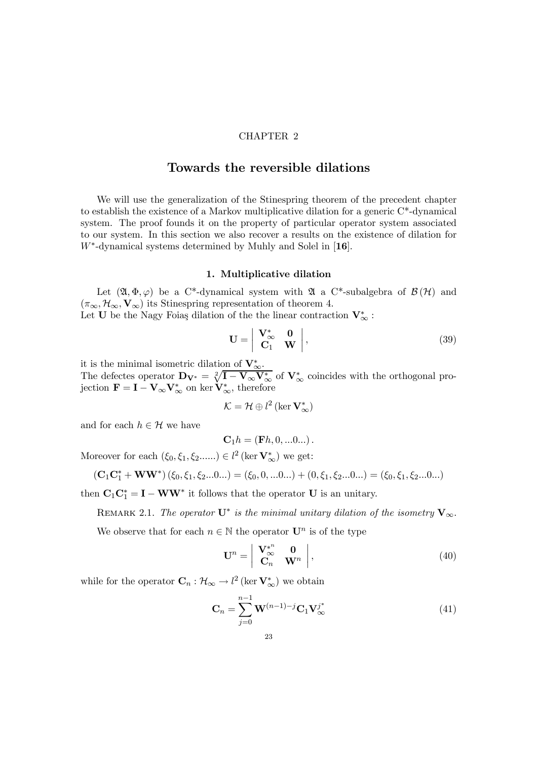## CHAPTER 2

# Towards the reversible dilations

We will use the generalization of the Stinespring theorem of the precedent chapter to establish the existence of a Markov multiplicative dilation for a generic  $C^*$ -dynamical system. The proof founds it on the property of particular operator system associated to our system. In this section we also recover a results on the existence of dilation for  $W^*$ -dynamical systems determined by Muhly and Solel in [16].

### 1. Multiplicative dilation

Let  $(\mathfrak{A}, \Phi, \varphi)$  be a C<sup>\*</sup>-dynamical system with  $\mathfrak{A}$  a C<sup>\*</sup>-subalgebra of  $\mathcal{B}(\mathcal{H})$  and  $(\pi_{\infty}, \mathcal{H}_{\infty}, \mathbf{V}_{\infty})$  its Stinespring representation of theorem 4. Let U be the Nagy Foiaş dilation of the the linear contraction  $V^*_{\infty}$ :

$$
\mathbf{U} = \begin{vmatrix} \mathbf{V}_{\infty}^{*} & \mathbf{0} \\ \mathbf{C}_{1}^{*} & \mathbf{W} \end{vmatrix},
$$
 (39)

it is the minimal isometric dilation of  $V^*_{\infty}$ .

The defectes operator  $\mathbf{D}_{\mathbf{V}^*} = \sqrt[2]{\mathbf{I} - \mathbf{V}_{\infty} \mathbf{V}_{\infty}^*}$  of  $\mathbf{V}_{\infty}^*$  coincides with the orthogonal projection  $\mathbf{F} = \mathbf{I} - \mathbf{V}_{\infty} \mathbf{V}_{\infty}^*$  on ker  $\mathbf{V}_{\infty}^*$ , therefore

$$
\mathcal{K} = \mathcal{H} \oplus l^2 \left( \ker \mathbf{V}^*_{\infty} \right)
$$

and for each  $h \in \mathcal{H}$  we have

$$
\mathbf{C}_1h = (\mathbf{F}h, 0, \ldots, 0 \ldots).
$$

Moreover for each  $(\xi_0, \xi_1, \xi_2, \dots) \in l^2 (\ker \mathbf{V}^*_{\infty})$  we get:

$$
(\mathbf{C}_1\mathbf{C}_1^* + \mathbf{W}\mathbf{W}^*)\left(\xi_0, \xi_1, \xi_2...0...\right) = (\xi_0, 0, ...0...) + (0, \xi_1, \xi_2...0...) = (\xi_0, \xi_1, \xi_2...0...)
$$

then  $C_1C_1^* = I - WW^*$  it follows that the operator U is an unitary.

REMARK 2.1. The operator  $\mathbf{U}^*$  is the minimal unitary dilation of the isometry  $\mathbf{V}_{\infty}$ .

We observe that for each  $n \in \mathbb{N}$  the operator  $\mathbf{U}^n$  is of the type

$$
\mathbf{U}^n = \begin{vmatrix} \mathbf{V}_{\infty}^* & \mathbf{0} \\ \mathbf{C}_n & \mathbf{W}^n \end{vmatrix},
$$
(40)

while for the operator  $\mathbf{C}_n : \mathcal{H}_{\infty} \to l^2 \text{ (ker } \mathbf{V}_{\infty}^*)$  we obtain

$$
\mathbf{C}_n = \sum_{j=0}^{n-1} \mathbf{W}^{(n-1)-j} \mathbf{C}_1 \mathbf{V}_{\infty}^{j^*}
$$
(41)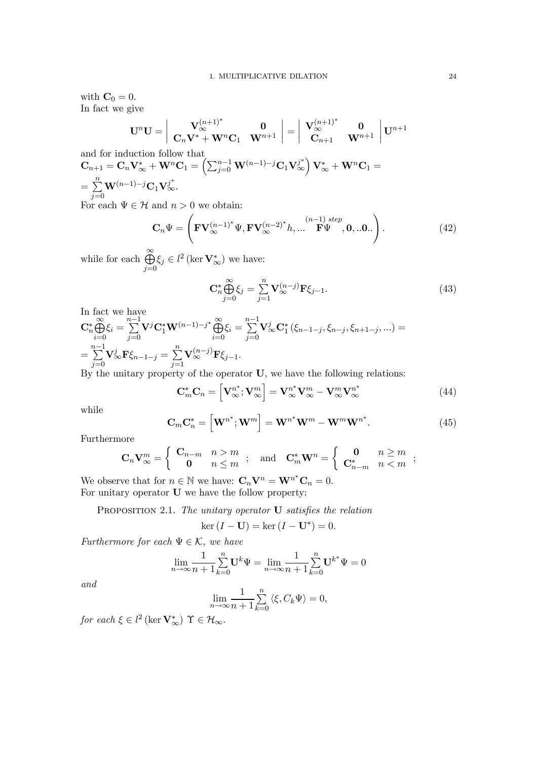with  $\mathbf{C}_0 = 0$ . In fact we give

$$
\mathbf{U}^n \mathbf{U} = \begin{vmatrix} \mathbf{V}^{(n+1)^*}_{\infty} & \mathbf{0} \\ \mathbf{C}_n \mathbf{V}^* + \mathbf{W}^n \mathbf{C}_1 & \mathbf{W}^{n+1} \end{vmatrix} = \begin{vmatrix} \mathbf{V}^{(n+1)^*}_{\infty} & \mathbf{0} \\ \mathbf{C}_{n+1} & \mathbf{W}^{n+1} \end{vmatrix} \mathbf{U}^{n+1}
$$

and for induction follow that  $\mathbf{C}_{n+1} = \mathbf{C}_n \mathbf{V}_\infty^* + \mathbf{W}^n \mathbf{C}_1 = \left( \sum_{j=0}^{n-1} \mathbf{W}^{(n-1)-j} \mathbf{C}_1 \mathbf{V}_\infty^{j^*} \right)$  $\Big)\,{\bf V}^*_\infty + {\bf W}^n {\bf C}_1 =$  $=\sum_{n=1}^{\infty}$  $j=0$  $\mathbf{W}^{(n-1)-j}\mathbf{C}_1\mathbf{V}_{\infty}^{j^*}.$ 

For each  $\Psi \in \mathcal{H}$  and  $n > 0$  we obtain:

$$
\mathbf{C}_n \Psi = \left( \mathbf{F} \mathbf{V}_{\infty}^{(n-1)^*} \Psi, \mathbf{F} \mathbf{V}_{\infty}^{(n-2)^*} h, \dots \stackrel{(n-1) \ step}{\mathbf{F} \Psi}, \mathbf{0}, \dots \mathbf{0} \right). \tag{42}
$$

while for each  $\bigoplus^{\infty}$  $\bigoplus_{j=0} \xi_j \in l^2 \left( \ker \mathbf{V}_{\infty}^* \right)$  we have:

C∗

$$
\mathbf{C}_{n}^{*} \bigoplus_{j=0}^{\infty} \xi_{j} = \sum_{j=1}^{n} \mathbf{V}_{\infty}^{(n-j)} \mathbf{F} \xi_{j-1}.
$$
\n(43)

In fact we have

$$
\mathbf{C}_{n}^{*} \bigoplus_{i=0}^{\infty} \xi_{i} = \sum_{j=0}^{n-1} \mathbf{V}^{j} \mathbf{C}_{1}^{*} \mathbf{W}^{(n-1)-j^{*}} \bigoplus_{i=0}^{\infty} \xi_{i} = \sum_{j=0}^{n-1} \mathbf{V}_{\infty}^{j} \mathbf{C}_{1}^{*} (\xi_{n-1-j}, \xi_{n-j}, \xi_{n+1-j}, \dots) =
$$
  
= 
$$
\sum_{j=0}^{n-1} \mathbf{V}_{\infty}^{j} \mathbf{F} \xi_{n-1-j} = \sum_{j=1}^{n} \mathbf{V}_{\infty}^{(n-j)} \mathbf{F} \xi_{j-1}.
$$

By the unitary property of the operator  $U$ , we have the following relations:

$$
\mathbf{C}_m^* \mathbf{C}_n = \left[ \mathbf{V}_{\infty}^{n^*}; \mathbf{V}_{\infty}^m \right] = \mathbf{V}_{\infty}^{n^*} \mathbf{V}_{\infty}^m - \mathbf{V}_{\infty}^m \mathbf{V}_{\infty}^{n^*}
$$
(44)

while

$$
\mathbf{C}_m \mathbf{C}_n^* = \left[ \mathbf{W}^{n^*}; \mathbf{W}^m \right] = \mathbf{W}^{n^*} \mathbf{W}^m - \mathbf{W}^m \mathbf{W}^{n^*}.
$$
 (45)

Furthermore

$$
\mathbf{C}_n \mathbf{V}_{\infty}^m = \left\{ \begin{array}{ccl} \mathbf{C}_{n-m} & n > m \\ \mathbf{0} & n \leq m \end{array} \right. ; \quad \text{and} \quad \mathbf{C}_m^* \mathbf{W}^n = \left\{ \begin{array}{ccl} \mathbf{0} & n \geq m \\ \mathbf{C}_{n-m}^* & n < m \end{array} \right. ;
$$

We observe that for  $n \in \mathbb{N}$  we have:  $\mathbf{C}_n \mathbf{V}^n = \mathbf{W}^{n^*} \mathbf{C}_n = 0$ . For unitary operator U we have the follow property:

PROPOSITION 2.1. The unitary operator  $U$  satisfies the relation

$$
\ker (I - \mathbf{U}) = \ker (I - \mathbf{U}^*) = 0.
$$

Furthermore for each  $\Psi \in \mathcal{K}$ , we have

$$
\lim_{n \to \infty} \frac{1}{n+1} \sum_{k=0}^{n} \mathbf{U}^{k} \Psi = \lim_{n \to \infty} \frac{1}{n+1} \sum_{k=0}^{n} \mathbf{U}^{k^*} \Psi = 0
$$

and

$$
\lim_{n \to \infty} \frac{1}{n+1} \sum_{k=0}^{n} \langle \xi, C_k \Psi \rangle = 0,
$$

for each  $\xi \in l^2$  (ker  $\mathbf{V}_{\infty}^*$ )  $\Upsilon \in \mathcal{H}_{\infty}$ .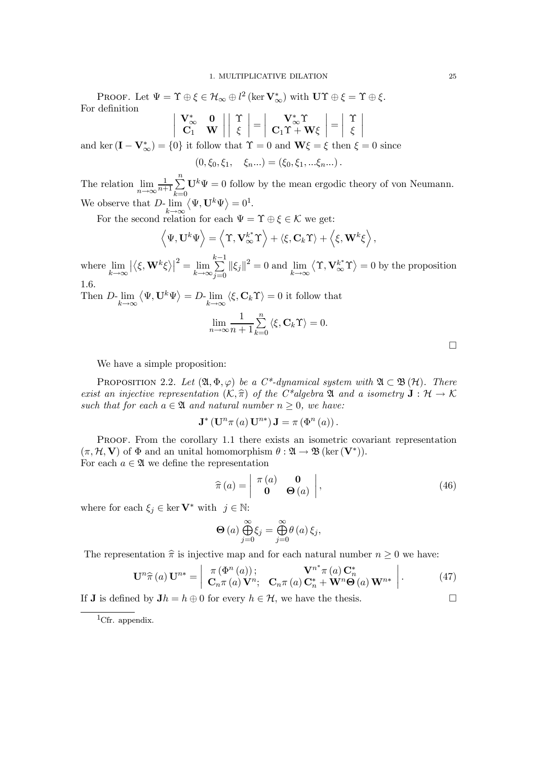PROOF. Let  $\Psi = \Upsilon \oplus \xi \in \mathcal{H}_{\infty} \oplus l^2 \left( \ker \mathbf{V}_{\infty}^* \right)$  with  $\mathbf{U}\Upsilon \oplus \xi = \Upsilon \oplus \xi$ . For definition  $\begin{array}{c} \hline \end{array}$ 

$$
\left\| \begin{array}{cc} \mathbf{V}^*_{\infty} & \mathbf{0} \\ \mathbf{C}_1 & \mathbf{W} \end{array} \right\| \left\| \begin{array}{c} \Upsilon \\ \xi \end{array} \right\| = \left\| \begin{array}{c} \mathbf{V}^*_{\infty} \Upsilon \\ \mathbf{C}_1 \Upsilon + \mathbf{W} \xi \end{array} \right\| = \left\| \begin{array}{c} \Upsilon \\ \xi \end{array} \right\|
$$

and ker  $(\mathbf{I} - \mathbf{V}_{\infty}^*) = \{0\}$  it follow that  $\Upsilon = 0$  and  $\mathbf{W}\xi = \xi$  then  $\xi = 0$  since  $(0, \xi_0, \xi_1, \xi_2, \xi_3, \xi_4, \xi_5, \xi_7, \xi_8, \xi_9, \xi_9)$ 

The relation  $\lim_{n\to\infty} \frac{1}{n+1}$  $\frac{1}{n+1}\sum_{n=1}^{n}$  $_{k=0}$  $\mathbf{U}^k \Psi = 0$  follow by the mean ergodic theory of von Neumann.

We observe that 
$$
D
$$
- $\lim_{M \to \infty} \langle \Psi, \mathbf{U}^k \Psi \rangle = 0^1$ .

For the second relation for each  $\Psi = \Upsilon \oplus \xi \in \mathcal{K}$  we get:

$$
\left\langle \Psi,\mathbf{U}^k\Psi\right\rangle = \left\langle \Upsilon,\mathbf{V}_\infty^{k^*}\Upsilon\right\rangle + \left\langle \xi,\mathbf{C}_k\Upsilon\right\rangle + \left\langle \xi,\mathbf{W}^k\xi\right\rangle,
$$

where lim  $k\rightarrow\infty$  $\left|\left\langle \xi, \mathbf{W}^k \xi \right\rangle\right|^2 = \lim_{k\to\infty}$  $k\rightarrow\infty$  $\sum_{i=1}^{k-1}$  $\sum_{j=0}^{k} ||\xi_j||^2 = 0$  and  $\lim_{k \to \infty}$  $\left\langle \Upsilon ,\mathbf{V}_{\infty}^{k^{\ast}}\Upsilon\right\rangle =0$  by the proposition 1.6.

Then D- lim  $k\rightarrow\infty$  $\langle \Psi, \mathbf{U}^k \Psi \rangle = D \text{-} \lim_{k \to \infty} \langle \xi, \mathbf{C}_k \Upsilon \rangle = 0$  it follow that

$$
\lim_{n \to \infty} \frac{1}{n+1} \sum_{k=0}^{n} \langle \xi, \mathbf{C}_k \Upsilon \rangle = 0.
$$

We have a simple proposition:

PROPOSITION 2.2. Let  $(\mathfrak{A}, \Phi, \varphi)$  be a  $C^*$ -dynamical system with  $\mathfrak{A} \subset \mathfrak{B}(\mathcal{H})$ . There exist an injective representation  $(K, \hat{\pi})$  of the C\*algebra  $\mathfrak{A}$  and a isometry  $J : \mathcal{H} \to \mathcal{K}$ such that for each  $a \in \mathfrak{A}$  and natural number  $n \geq 0$ , we have:

$$
\mathbf{J}^*\left(\mathbf{U}^n\pi\left(a\right)\mathbf{U}^{n*}\right)\mathbf{J}=\pi\left(\Phi^n\left(a\right)\right).
$$

Proof. From the corollary 1.1 there exists an isometric covariant representation  $(\pi, \mathcal{H}, \mathbf{V})$  of  $\Phi$  and an unital homomorphism  $\theta : \mathfrak{A} \to \mathfrak{B}$  (ker  $(\mathbf{V}^*)$ ). For each  $a \in \mathfrak{A}$  we define the representation

$$
\widehat{\pi}(a) = \begin{vmatrix} \pi(a) & \mathbf{0} \\ \mathbf{0} & \mathbf{\Theta}(a) \end{vmatrix},
$$
\n(46)

where for each  $\xi_j \in \ker \mathbf{V}^*$  with  $j \in \mathbb{N}$ :

$$
\Theta\left(a\right)\bigoplus_{j=0}^{\infty}\xi_{j}=\bigoplus_{j=0}^{\infty}\theta\left(a\right)\xi_{j},
$$

The representation  $\hat{\pi}$  is injective map and for each natural number  $n \geq 0$  we have:

$$
\mathbf{U}^{n}\widehat{\pi}\left(a\right)\mathbf{U}^{n*}=\left|\begin{array}{cc}\pi\left(\Phi^{n}\left(a\right)\right);\&\mathbf{V}^{n^{*}}\pi\left(a\right)\mathbf{C}_{n}^{*}\\ \mathbf{C}_{n}\pi\left(a\right)\mathbf{V}^{n};&\mathbf{C}_{n}\pi\left(a\right)\mathbf{C}_{n}^{*}+\mathbf{W}^{n}\mathbf{\Theta}\left(a\right)\mathbf{W}^{n*}\end{array}\right|\right..\tag{47}
$$

If **J** is defined by  $Jh = h \oplus 0$  for every  $h \in H$ , we have the thesis.

 $\Box$ 

<sup>&</sup>lt;sup>1</sup>Cfr. appendix.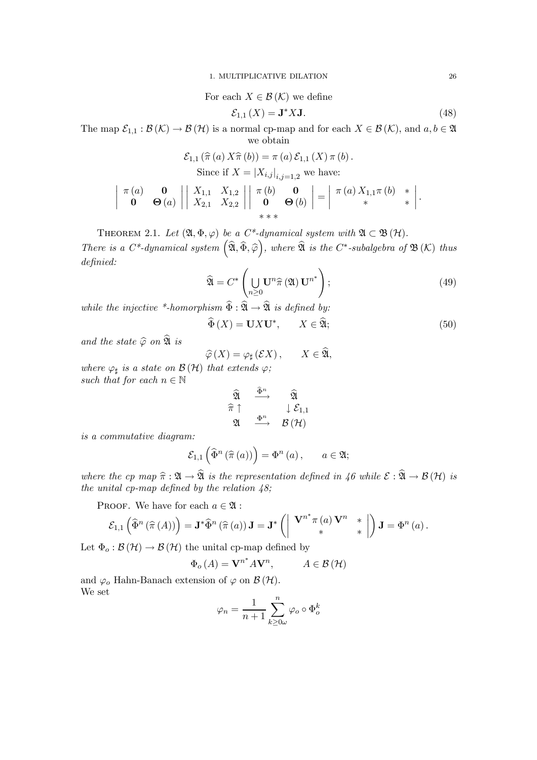For each  $X \in \mathcal{B}(\mathcal{K})$  we define

$$
\mathcal{E}_{1,1}\left(X\right) = \mathbf{J}^* X \mathbf{J}.\tag{48}
$$

The map  $\mathcal{E}_{1,1} : \mathcal{B}(\mathcal{K}) \to \mathcal{B}(\mathcal{H})$  is a normal cp-map and for each  $X \in \mathcal{B}(\mathcal{K})$ , and  $a, b \in \mathfrak{A}$ we obtain

$$
\mathcal{E}_{1,1}(\hat{\pi}(a) X \hat{\pi}(b)) = \pi(a) \mathcal{E}_{1,1} (X) \pi(b).
$$
  
Since if  $X = |X_{i,j}|_{i,j=1,2}$  we have:  

$$
\begin{vmatrix} \pi(a) & \mathbf{0} \\ \mathbf{0} & \mathbf{\Theta}(a) \end{vmatrix} \begin{vmatrix} X_{1,1} & X_{1,2} \\ X_{2,1} & X_{2,2} \end{vmatrix} = \begin{vmatrix} \pi(b) & \mathbf{0} \\ \mathbf{0} & \mathbf{\Theta}(b) \end{vmatrix} = \begin{vmatrix} \pi(a) X_{1,1} \pi(b) & * \\ * & * \end{vmatrix}.
$$

THEOREM 2.1. Let  $(\mathfrak{A}, \Phi, \varphi)$  be a C<sup>\*</sup>-dynamical system with  $\mathfrak{A} \subset \mathfrak{B}(\mathcal{H})$ . There is a  $C^*$ -dynamical system  $\left(\widehat{\mathfrak{A}}, \widehat{\Phi}, \widehat{\varphi}\right)$ , where  $\widehat{\mathfrak{A}}$  is the  $C^*$ -subalgebra of  $\mathfrak{B}(\mathcal{K})$  thus definied:

$$
\widehat{\mathfrak{A}} = C^* \left( \bigcup_{n \ge 0} \mathbf{U}^n \widehat{\pi} \left( \mathfrak{A} \right) \mathbf{U}^{n^*} \right); \tag{49}
$$

while the injective \*-homorphism  $\widehat{\Phi} : \widehat{\mathfrak{A}} \to \widehat{\mathfrak{A}}$  is defined by:

$$
\tilde{\Phi}(X) = \mathbf{U}X\mathbf{U}^*, \qquad X \in \tilde{\mathfrak{A}};
$$
\n(50)

and the state  $\widehat{\varphi}$  on  $\widehat{\mathfrak{A}}$  is

$$
\widehat{\varphi}\left(X\right) = \varphi_{\sharp}\left(\mathcal{E}X\right), \qquad X \in \widehat{\mathfrak{A}},
$$

where  $\varphi_{\sharp}$  is a state on  $\mathcal{B}(\mathcal{H})$  that extends  $\varphi$ ; such that for each  $n \in \mathbb{N}$ 

$$
\begin{array}{ccc}\widehat{\mathfrak{A}} & \stackrel{\widehat{\Phi}^n}{\longrightarrow} & \widehat{\mathfrak{A}}\\ \widehat{\pi}\uparrow & & \downarrow \mathcal{E}_{1,1}\\ \mathfrak{A} & \stackrel{\Phi^n}{\longrightarrow} & \mathcal{B}\left(\mathcal{H}\right)\end{array}
$$

is a commutative diagram:

$$
\mathcal{E}_{1,1}\left(\widehat{\Phi}^n\left(\widehat{\pi}\left(a\right)\right)\right)=\Phi^n\left(a\right),\qquad a\in\mathfrak{A};
$$

where the cp map  $\hat{\pi} : \mathfrak{A} \to \hat{\mathfrak{A}}$  is the representation defined in 46 while  $\mathcal{E} : \hat{\mathfrak{A}} \to \mathcal{B} (\mathcal{H})$  is the unital cp-map defined by the relation  $48$ ;

PROOF. We have for each  $a \in \mathfrak{A}$ :

$$
\mathcal{E}_{1,1}\left(\widehat{\Phi}^n\left(\widehat{\pi}\left(A\right)\right)\right) = \mathbf{J}^*\widehat{\Phi}^n\left(\widehat{\pi}\left(a\right)\right)\mathbf{J} = \mathbf{J}^*\left(\left|\begin{array}{cc} \mathbf{V}^{n^*}\pi\left(a\right)\mathbf{V}^n & * \\ * & * \end{array}\right|\right)\mathbf{J} = \Phi^n\left(a\right).
$$

Let  $\Phi_o : \mathcal{B}(\mathcal{H}) \to \mathcal{B}(\mathcal{H})$  the unital cp-map defined by

$$
\Phi_o\left(A\right) = \mathbf{V}^{n^*} A \mathbf{V}^n, \qquad A \in \mathcal{B}\left(\mathcal{H}\right)
$$

and  $\varphi_o$  Hahn-Banach extension of  $\varphi$  on  $\mathcal{B}(\mathcal{H})$ . We set

$$
\varphi_n = \frac{1}{n+1} \sum_{k \geq 0 \omega}^n \varphi_o \circ \Phi_o^k
$$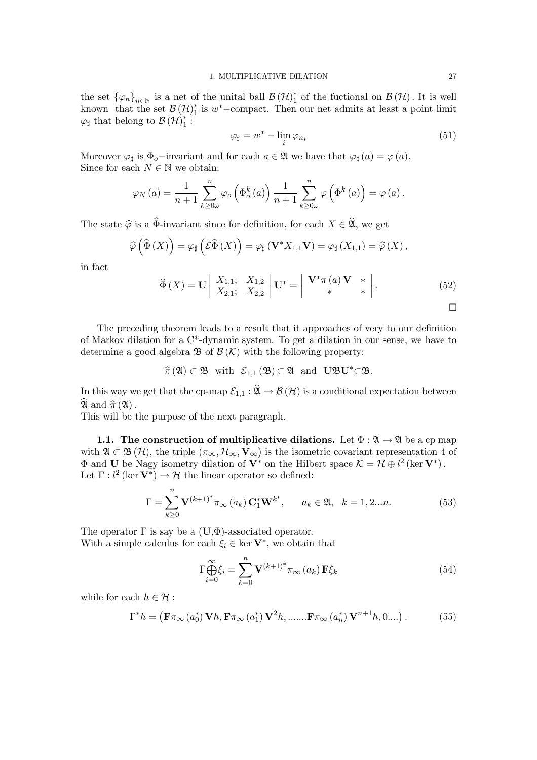the set  $\{\varphi_n\}_{n\in\mathbb{N}}$  is a net of the unital ball  $\mathcal{B}(\mathcal{H})_1^*$  of the fuctional on  $\mathcal{B}(\mathcal{H})$ . It is well known that the set  $\mathcal{B}(\mathcal{H})_1^*$  is w<sup>∗</sup>-compact. Then our net admits at least a point limit  $\varphi_{\sharp}$  that belong to  $\mathcal{B}(\mathcal{H})^*_{1}$ :

$$
\varphi_{\sharp} = w^* - \lim_{i} \varphi_{n_i} \tag{51}
$$

Moreover  $\varphi_{\sharp}$  is  $\Phi_o$ -invariant and for each  $a \in \mathfrak{A}$  we have that  $\varphi_{\sharp}(a) = \varphi(a)$ . Since for each  $N \in \mathbb{N}$  we obtain:

$$
\varphi_N(a) = \frac{1}{n+1} \sum_{k \ge 0}^n \varphi_o\left(\Phi_o^k(a)\right) \frac{1}{n+1} \sum_{k \ge 0}^n \varphi\left(\Phi^k(a)\right) = \varphi(a).
$$

The state  $\widehat{\varphi}$  is a  $\widehat{\Phi}$ -invariant since for definition, for each  $X \in \widehat{\mathfrak{A}}$ , we get

$$
\widehat{\varphi}\left(\widehat{\Phi}\left(X\right)\right) = \varphi_{\sharp}\left(\mathcal{E}\widehat{\Phi}\left(X\right)\right) = \varphi_{\sharp}\left(\mathbf{V}^*X_{1,1}\mathbf{V}\right) = \varphi_{\sharp}\left(X_{1,1}\right) = \widehat{\varphi}\left(X\right),
$$

in fact

$$
\widehat{\Phi}(X) = \mathbf{U} \begin{vmatrix} X_{1,1}; & X_{1,2} \\ X_{2,1}; & X_{2,2} \end{vmatrix} \mathbf{U}^* = \begin{vmatrix} \mathbf{V}^* \pi(a) \mathbf{V} & * \\ * & * \end{vmatrix}.
$$
 (52)

The preceding theorem leads to a result that it approaches of very to our definition of Markov dilation for a C\*-dynamic system. To get a dilation in our sense, we have to determine a good algebra  $\mathfrak{B}(\mathcal{K})$  with the following property:

$$
\widehat{\pi}(\mathfrak{A}) \subset \mathfrak{B}
$$
 with  $\mathcal{E}_{1,1}(\mathfrak{B}) \subset \mathfrak{A}$  and  $U\mathfrak{B}U^*\subset \mathfrak{B}$ .

In this way we get that the cp-map  $\mathcal{E}_{1,1}$ :  $\widehat{\mathfrak{A}} \to \mathcal{B}(\mathcal{H})$  is a conditional expectation between  $\widehat{\mathfrak{A}}$  and  $\widehat{\pi}(\mathfrak{A})$ .

This will be the purpose of the next paragraph.

1.1. The construction of multiplicative dilations. Let  $\Phi : \mathfrak{A} \to \mathfrak{A}$  be a cp map with  $\mathfrak{A} \subset \mathfrak{B}(\mathcal{H})$ , the triple  $(\pi_{\infty}, \mathcal{H}_{\infty}, \mathbf{V}_{\infty})$  is the isometric covariant representation 4 of  $\Phi$  and U be Nagy isometry dilation of  $V^*$  on the Hilbert space  $\mathcal{K} = \mathcal{H} \oplus l^2$  (ker  $V^*$ ). Let  $\Gamma: l^2(\ker \mathbf{V}^*) \to \mathcal{H}$  the linear operator so defined:

$$
\Gamma = \sum_{k\geq 0}^{n} \mathbf{V}^{(k+1)^*} \pi_{\infty}(a_k) \mathbf{C}_1^* \mathbf{W}^{k^*}, \qquad a_k \in \mathfrak{A}, \quad k = 1, 2...n.
$$
 (53)

The operator  $\Gamma$  is say be a  $(\mathbf{U}, \Phi)$ -associated operator. With a simple calculus for each  $\xi_i \in \text{ker } V^*$ , we obtain that

$$
\Gamma \bigoplus_{i=0}^{\infty} \xi_i = \sum_{k=0}^{n} \mathbf{V}^{(k+1)^*} \pi_{\infty}(a_k) \mathbf{F} \xi_k
$$
\n(54)

while for each  $h \in \mathcal{H}$ :

$$
\Gamma^* h = \left( \mathbf{F} \pi_\infty \left( a_0^* \right) \mathbf{V} h, \mathbf{F} \pi_\infty \left( a_1^* \right) \mathbf{V}^2 h, \dots \dots \mathbf{F} \pi_\infty \left( a_n^* \right) \mathbf{V}^{n+1} h, 0 \dots \right). \tag{55}
$$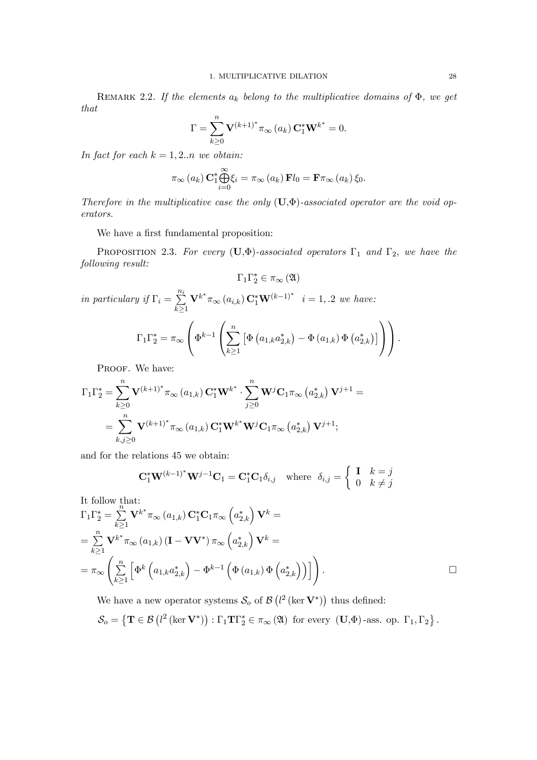REMARK 2.2. If the elements  $a_k$  belong to the multiplicative domains of  $\Phi$ , we get that

$$
\Gamma = \sum_{k\geq 0}^{n} \mathbf{V}^{(k+1)^*} \pi_{\infty}(a_k) \mathbf{C}_1^* \mathbf{W}^{k^*} = 0.
$$

In fact for each  $k = 1, 2..n$  we obtain:

$$
\pi_{\infty}(a_k) \mathbf{C}_1^* \bigoplus_{i=0}^{\infty} \xi_i = \pi_{\infty}(a_k) \mathbf{F} l_0 = \mathbf{F} \pi_{\infty}(a_k) \xi_0.
$$

Therefore in the multiplicative case the only  $(U,\Phi)$ -associated operator are the void operators.

We have a first fundamental proposition:

PROPOSITION 2.3. For every  $(U, \Phi)$ -associated operators  $\Gamma_1$  and  $\Gamma_2$ , we have the following result:

$$
\Gamma_1 \Gamma_2^* \in \pi_\infty \left( \mathfrak{A} \right)
$$

in particulary if  $\Gamma_i = \sum_{i=1}^{n_i}$  $k\geq 1$  ${\bf V}^{k^*}\pi_{\infty}\left(a_{i,k}\right){\bf C}_{1}^{*}{\bf W}^{(k-1)^*}$   $i=1, .2$  we have:

$$
\Gamma_1 \Gamma_2^* = \pi_{\infty} \left( \Phi^{k-1} \left( \sum_{k \geq 1}^n \left[ \Phi \left( a_{1,k} a_{2,k}^* \right) - \Phi \left( a_{1,k} \right) \Phi \left( a_{2,k}^* \right) \right] \right) \right).
$$

PROOF. We have:

$$
\Gamma_1 \Gamma_2^* = \sum_{k \geq 0}^n \mathbf{V}^{(k+1)^*} \pi_{\infty}(a_{1,k}) \mathbf{C}_1^* \mathbf{W}^{k^*} \cdot \sum_{j \geq 0}^n \mathbf{W}^j \mathbf{C}_1 \pi_{\infty}(a_{2,k}^*) \mathbf{V}^{j+1} =
$$
  
= 
$$
\sum_{k,j \geq 0}^n \mathbf{V}^{(k+1)^*} \pi_{\infty}(a_{1,k}) \mathbf{C}_1^* \mathbf{W}^{k^*} \mathbf{W}^j \mathbf{C}_1 \pi_{\infty}(a_{2,k}^*) \mathbf{V}^{j+1};
$$

and for the relations 45 we obtain:

$$
\mathbf{C}_1^* \mathbf{W}^{(k-1)^*} \mathbf{W}^{j-1} \mathbf{C}_1 = \mathbf{C}_1^* \mathbf{C}_1 \delta_{i,j} \quad \text{where} \quad \delta_{i,j} = \left\{ \begin{array}{ll} \mathbf{I} & k = j \\ 0 & k \neq j \end{array} \right.
$$

It follow that:

$$
\Gamma_1 \Gamma_2^* = \sum_{k\geq 1}^n \mathbf{V}^{k^*} \pi_{\infty} (a_{1,k}) \mathbf{C}_1^* \mathbf{C}_1 \pi_{\infty} (a_{2,k}^*) \mathbf{V}^k =
$$
\n
$$
= \sum_{k\geq 1}^n \mathbf{V}^{k^*} \pi_{\infty} (a_{1,k}) (\mathbf{I} - \mathbf{V} \mathbf{V}^*) \pi_{\infty} (a_{2,k}^*) \mathbf{V}^k =
$$
\n
$$
= \pi_{\infty} \left( \sum_{k\geq 1}^n \left[ \Phi^k \left( a_{1,k} a_{2,k}^* \right) - \Phi^{k-1} \left( \Phi(a_{1,k}) \Phi \left( a_{2,k}^* \right) \right) \right] \right).
$$

We have a new operator systems  $\mathcal{S}_o$  of  $\mathcal{B}$  ( $l^2$  (ker  $\mathbf{V}^*$ )) thus defined:

$$
\mathcal{S}_o = \left\{ \mathbf{T} \in \mathcal{B} \left( l^2 \left( \ker \mathbf{V}^* \right) \right) : \Gamma_1 \mathbf{T} \Gamma_2^* \in \pi_\infty \left( \mathfrak{A} \right) \text{ for every } (\mathbf{U}, \Phi) \text{-ass. op. } \Gamma_1, \Gamma_2 \right\}.
$$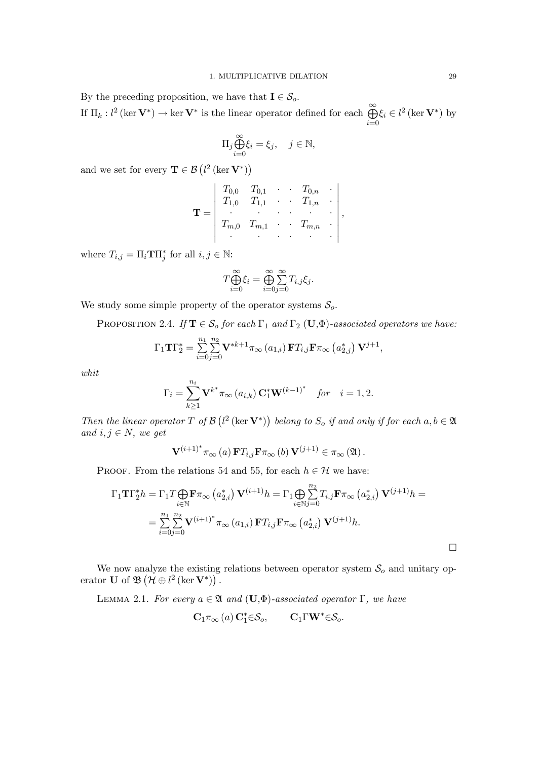By the preceding proposition, we have that  $I \in \mathcal{S}_o$ . If  $\Pi_k: l^2(\ker \mathbf{V}^*) \to \ker \mathbf{V}^*$  is the linear operator defined for each  $\bigoplus_{i=0}^{\infty} \xi_i \in l^2(\ker \mathbf{V}^*)$  by

$$
\Pi_j \bigoplus_{i=0}^{\infty} \xi_i = \xi_j, \quad j \in \mathbb{N},
$$

and we set for every  $\mathbf{T} \in \mathcal{B}\left(l^2\left(\ker \mathbf{V}^*\right)\right)$ 

$$
\mathbf{T} = \begin{bmatrix} T_{0,0} & T_{0,1} & \cdots & T_{0,n} & \cdot \\ T_{1,0} & T_{1,1} & \cdots & T_{1,n} & \cdot \\ \cdot & \cdot & \cdot & \cdot & \cdot \\ T_{m,0} & T_{m,1} & \cdots & T_{m,n} & \cdot \\ \cdot & \cdot & \cdot & \cdot & \cdot & \cdot \end{bmatrix},
$$

where  $T_{i,j} = \prod_i \mathbf{T} \prod_j^*$  for all  $i, j \in \mathbb{N}$ :

$$
T\bigoplus_{i=0}^{\infty} \xi_i = \bigoplus_{i=0}^{\infty} \sum_{j=0}^{\infty} T_{i,j} \xi_j.
$$

We study some simple property of the operator systems  $S_o$ .

PROPOSITION 2.4. If  $\mathbf{T} \in \mathcal{S}_o$  for each  $\Gamma_1$  and  $\Gamma_2$  (U, $\Phi$ )-associated operators we have:

$$
\Gamma_1\mathbf{T}\Gamma_2^*=\sum_{i=0}^{n_1}\sum_{j=0}^{n_2}\mathbf{V}^{*k+1}\pi_{\infty}\left(a_{1,i}\right)\mathbf{F}T_{i,j}\mathbf{F}\pi_{\infty}\left(a_{2,j}^*\right)\mathbf{V}^{j+1},
$$

whit

$$
\Gamma_i = \sum_{k\geq 1}^{n_i} \mathbf{V}^{k^*} \pi_{\infty}(a_{i,k}) \mathbf{C}_1^* \mathbf{W}^{(k-1)^*} \quad \text{for} \quad i = 1, 2.
$$

Then the linear operator  $T$  of  $\mathcal{B}$   $(l^2(\ker \mathbf{V}^*))$  belong to  $S_o$  if and only if for each  $a, b \in \mathfrak{A}$ and  $i, j \in N$ , we get

$$
\mathbf{V}^{(i+1)^{*}} \pi_{\infty}(a) \mathbf{F} T_{i,j} \mathbf{F} \pi_{\infty}(b) \mathbf{V}^{(j+1)} \in \pi_{\infty}(\mathfrak{A}).
$$

PROOF. From the relations 54 and 55, for each  $h \in \mathcal{H}$  we have:

$$
\Gamma_1 \mathbf{T} \Gamma_2^* h = \Gamma_1 T \bigoplus_{i \in \mathbb{N}} \mathbf{F} \pi_{\infty} \left( a_{2,i}^* \right) \mathbf{V}^{(i+1)} h = \Gamma_1 \bigoplus_{i \in \mathbb{N}} \sum_{j=0}^{n_2} T_{i,j} \mathbf{F} \pi_{\infty} \left( a_{2,i}^* \right) \mathbf{V}^{(j+1)} h =
$$
  
= 
$$
\sum_{i=0}^{n_1} \sum_{j=0}^{n_2} \mathbf{V}^{(i+1)^*} \pi_{\infty} \left( a_{1,i} \right) \mathbf{F} T_{i,j} \mathbf{F} \pi_{\infty} \left( a_{2,i}^* \right) \mathbf{V}^{(j+1)} h.
$$

We now analyze the existing relations between operator system  $S<sub>o</sub>$  and unitary operator **U** of  $\mathfrak{B}(\mathcal{H} \oplus l^2(\ker \mathbf{V}^*))$ .

LEMMA 2.1. For every  $a \in \mathfrak{A}$  and  $(\mathbf{U}, \Phi)$ -associated operator  $\Gamma$ , we have

$$
\mathbf{C}_1 \pi_\infty(a) \, \mathbf{C}_1^* \in \mathcal{S}_o, \qquad \mathbf{C}_1 \Gamma \mathbf{W}^* \in \mathcal{S}_o.
$$

 $\Box$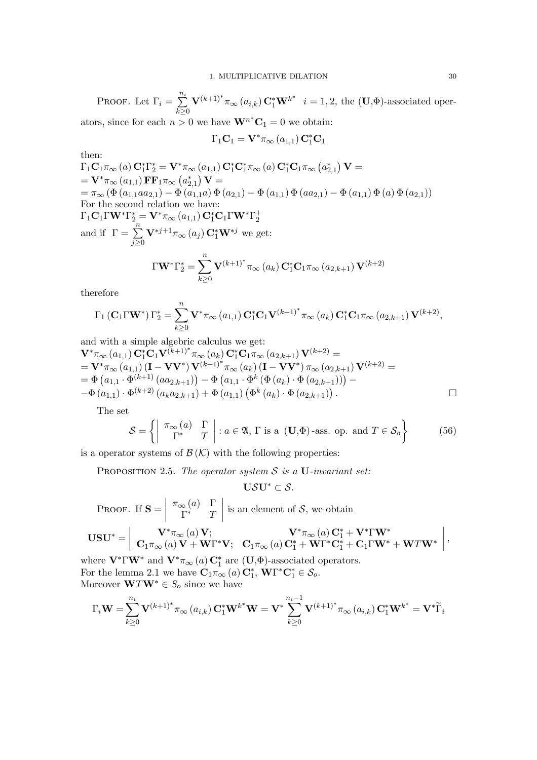Proof. Let  $\Gamma_i = \sum_{i=1}^{n_i}$  $k\geq 0$  $\mathbf{V}^{(k+1)^*} \pi_{\infty}(a_{i,k}) \mathbf{C}_1^* \mathbf{W}^{k^*}$   $i = 1, 2$ , the  $(\mathbf{U}, \Phi)$ -associated oper-

ators, since for each  $n > 0$  we have  $\mathbf{W}^{n^*} \mathbf{C}_1 = 0$  we obtain:

$$
\Gamma_1 \mathbf{C}_1 = \mathbf{V}^* \pi_\infty \left( a_{1,1} \right) \mathbf{C}_1^* \mathbf{C}_1
$$

then:

 $\Gamma_1 \mathbf{C}_1 \pi_\infty(a) \, \mathbf{C}_1^* \Gamma_2^* = \mathbf{V}^* \pi_\infty(a_{1,1}) \, \mathbf{C}_1^* \mathbf{C}_1^* \pi_\infty(a) \, \mathbf{C}_1^* \mathbf{C}_1 \pi_\infty(a_{2,1}^*) \, \mathbf{V} =$  $= \mathbf{V}^*\pi_{\infty}\left(a_{1,1}\right)\mathbf{F}\mathbf{F}_1\pi_{\infty}\left(a_{2,1}^*\right)\mathbf{V} =$  $=\pi_{\infty}\left(\Phi\left(a_{1,1}a_{2,1}\right)-\Phi\left(a_{1,1}a\right)\Phi\left(a_{2,1}\right)-\Phi\left(a_{1,1}\right)\Phi\left(a_{2,1}\right)-\Phi\left(a_{1,1}\right)\Phi\left(a\right)\Phi\left(a_{2,1}\right)\right)$ For the second relation we have:  $\Gamma_1 \mathbf{C}_1 \Gamma \mathbf{W}^* \Gamma_2^* = \mathbf{V}^* \pi_{\infty} (a_{1,1}) \, \mathbf{C}_1^* \mathbf{C}_1 \Gamma \mathbf{W}^* \Gamma_2^+$ <br>and if  $\Gamma = \sum_{i=1}^n \mathbf{V}^{*j+1} \pi_{\infty} (a_j) \, \mathbf{C}_1^* \mathbf{W}^{*j}$  we g  $j \geq 0$  $\mathbf{V}^{*j+1}\pi_{\infty}\left( a_{j}\right) \mathbf{C}_{1}^{*}\mathbf{W}^{*j}$  we get:  $\Gamma \mathbf{W}^* \Gamma^*_2 = \sum^n$  $k\geq 0$  ${{\bf V}^{(k+1)}}^{*}\pi_{\infty}\left(a_k\right){\bf C}_{1}^{*}{\bf C}_{1}\pi_{\infty}\left(a_{2,k+1}\right){\bf V}^{(k+2)}$ 

therefore

$$
\Gamma_1\left(\mathbf{C}_1\Gamma\mathbf{W}^*\right)\Gamma_2^* = \sum_{k\geq 0}^{n} \mathbf{V}^*\pi_{\infty}\left(a_{1,1}\right) \mathbf{C}_1^* \mathbf{C}_1 \mathbf{V}^{(k+1)^*}\pi_{\infty}\left(a_k\right) \mathbf{C}_1^* \mathbf{C}_1\pi_{\infty}\left(a_{2,k+1}\right) \mathbf{V}^{(k+2)},
$$

and with a simple algebric calculus we get:  ${\mathbf V}^*\pi_\infty\left(a_{1,1}\right) \mathbf C_1^*\mathbf C_1{\mathbf V}^{(k+1)^*} \pi_\infty\left(a_k\right) \mathbf C_1^*\mathbf C_1\pi_\infty\left(a_{2,k+1}\right) \mathbf V^{(k+2)}=$ 

$$
\begin{split}\n&= \mathbf{V}^* \pi_{\infty}(a_{1,1}) \left( \mathbf{I} - \mathbf{V} \mathbf{V}^* \right) \mathbf{V}^{(k+1)^*} \pi_{\infty}(a_k) \left( \mathbf{I} - \mathbf{V} \mathbf{V}^* \right) \pi_{\infty}(a_{2,k+1}) \mathbf{V}^{(k+2)} \\
&= \Phi\left( a_{1,1} \cdot \Phi^{(k+1)} \left( a a_{2,k+1} \right) \right) - \Phi\left( a_{1,1} \cdot \Phi^k \left( \Phi\left( a_k \right) \cdot \Phi\left( a_{2,k+1} \right) \right) \right) - \\
&- \Phi\left( a_{1,1} \right) \cdot \Phi^{(k+2)} \left( a_k a_{2,k+1} \right) + \Phi\left( a_{1,1} \right) \left( \Phi^k \left( a_k \right) \cdot \Phi\left( a_{2,k+1} \right) \right).\n\end{split}
$$

The set

$$
S = \left\{ \begin{array}{ccc} \pi_{\infty}(a) & \Gamma \\ \Gamma^* & T \end{array} \right| : a \in \mathfrak{A}, \Gamma \text{ is a } (\mathbf{U}, \Phi) \text{-ass. op. and } T \in \mathcal{S}_o \right\} \tag{56}
$$

is a operator systems of  $\mathcal{B}(\mathcal{K})$  with the following properties:

PROPOSITION 2.5. The operator system  $S$  is a U-invariant set:

 $USU^* \subset S$ .

PROOF. If  $S =$ ¯ ¯ ¯ ¯  $\pi_{\infty}(a)$  Γ  $\Gamma^*$  T  $\vert$  is an element of  $S$ , we obtain

$$
\mathbf{U}\mathbf{S}\mathbf{U}^* = \left|\begin{array}{cc} \mathbf{V}^*\pi_\infty\left(a\right)\mathbf{V}; & \mathbf{V}^*\pi_\infty\left(a\right)\mathbf{C}_1^* + \mathbf{V}^*\Gamma\mathbf{W}^*\\ \mathbf{C}_1\pi_\infty\left(a\right)\mathbf{V} + \mathbf{W}\Gamma^*\mathbf{V}; & \mathbf{C}_1\pi_\infty\left(a\right)\mathbf{C}_1^* + \mathbf{W}\Gamma^*\mathbf{C}_1^* + \mathbf{C}_1\Gamma\mathbf{W}^* + \mathbf{W}T\mathbf{W}^* \end{array}\right|,
$$

where  $V^* \Gamma W^*$  and  $V^* \pi_\infty(a) C_1^*$  are  $(U, \Phi)$ -associated operators. For the lemma 2.1 we have  $C_1 \pi_{\infty}(a) C_1^*$ ,  $W\Gamma^* C_1^* \in \mathcal{S}_o$ . Moreover  $\mathbf{W}^* \in S_o$  since we have

$$
\Gamma_i \mathbf{W} = \sum_{k \geq 0}^{n_i} \mathbf{V}^{(k+1)^*} \pi_{\infty}(a_{i,k}) \mathbf{C}_1^* \mathbf{W}^{k^*} \mathbf{W} = \mathbf{V}^* \sum_{k \geq 0}^{n_i - 1} \mathbf{V}^{(k+1)^*} \pi_{\infty}(a_{i,k}) \mathbf{C}_1^* \mathbf{W}^{k^*} = \mathbf{V}^* \widetilde{\Gamma}_i
$$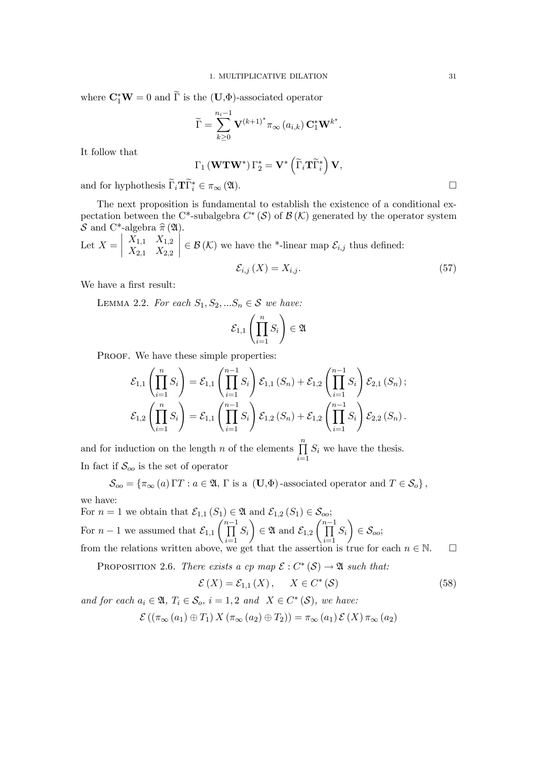where  $\mathbf{C}_{1}^{*}\mathbf{W} = 0$  and  $\Gamma$  is the  $(\mathbf{U}, \Phi)$ -associated operator

$$
\widetilde{\Gamma} = \sum_{k\geq 0}^{n_i-1} \mathbf{V}^{(k+1)^*} \pi_{\infty}(a_{i,k}) \mathbf{C}_1^* \mathbf{W}^{k^*}.
$$

It follow that

$$
\Gamma_1\left(\mathbf{W}\mathbf{T}\mathbf{W}^*\right)\Gamma_2^*=\mathbf{V}^*\left(\widetilde{\Gamma}_i\mathbf{T}\widetilde{\Gamma}_i^*\right)\mathbf{V},
$$

and for hyphothesis  $\Gamma_i \mathbf{T} \Gamma_i^* \in \pi_\infty(\mathfrak{A})$ .

The next proposition is fundamental to establish the existence of a conditional expectation between the C<sup>\*</sup>-subalgebra  $C^*(\mathcal{S})$  of  $\mathcal{B}(\mathcal{K})$  generated by the operator system S and C<sup>\*</sup>-algebra  $\hat{\pi}(\mathfrak{A})$ .

Let  $X =$  $\begin{array}{|c|c|} \hline \multicolumn{1}{|c|}{3} & \multicolumn{1}{|c|}{4} \multicolumn{1}{|c|}{5} \multicolumn{1}{|c|}{6} \multicolumn{1}{|c|}{6} \multicolumn{1}{|c|}{5} \multicolumn{1}{|c|}{6} \multicolumn{1}{|c|}{6} \multicolumn{1}{|c|}{6} \multicolumn{1}{|c|}{6} \multicolumn{1}{|c|}{6} \multicolumn{1}{|c|}{6} \multicolumn{1}{|c|}{6} \multicolumn{1}{|c|}{6} \multicolumn{1}{|c|}{6} \multicolumn{1}{|c|$  $X_{1,1}$   $X_{1,2}$  $X_{2,1}$   $X_{2,2}$  $\left\{\in \mathcal{B}\left(\mathcal{K}\right) \text{ we have the *-linear map } \mathcal{E}_{i,j} \text{ thus defined:}\right\}$ 

$$
\mathcal{E}_{i,j}\left(X\right) = X_{i,j}.\tag{57}
$$

We have a first result:

LEMMA 2.2. For each  $S_1, S_2, ... S_n \in \mathcal{S}$  we have:

$$
\mathcal{E}_{1,1}\left(\prod_{i=1}^n S_i\right) \in \mathfrak{A}
$$

PROOF. We have these simple properties:

$$
\mathcal{E}_{1,1}\left(\prod_{i=1}^n S_i\right) = \mathcal{E}_{1,1}\left(\prod_{i=1}^{n-1} S_i\right) \mathcal{E}_{1,1}\left(S_n\right) + \mathcal{E}_{1,2}\left(\prod_{i=1}^{n-1} S_i\right) \mathcal{E}_{2,1}\left(S_n\right);
$$
  

$$
\mathcal{E}_{1,2}\left(\prod_{i=1}^n S_i\right) = \mathcal{E}_{1,1}\left(\prod_{i=1}^{n-1} S_i\right) \mathcal{E}_{1,2}\left(S_n\right) + \mathcal{E}_{1,2}\left(\prod_{i=1}^{n-1} S_i\right) \mathcal{E}_{2,2}\left(S_n\right).
$$

and for induction on the length n of the elements  $\prod_{n=1}^n$  $i=1$  $S_i$  we have the thesis. In fact if  $\mathcal{S}_{oo}$  is the set of operator

 $\mathcal{S}_{oo} = \left\{\pi_\infty\left(a\right)\Gamma T: a \in \mathfrak{A},\, \Gamma \text{ is a }\left(\mathbf{U}, \Phi\right)\text{-associated operator and } T \in \mathcal{S}_o\right\},$ we have:

For  $n = 1$  we obtain that  $\mathcal{E}_{1,1}(S_1) \in \mathfrak{A}$  and  $\mathcal{E}_{1,2}(S_1) \in \mathcal{S}_{oo}$ ; For  $n-1$  we assumed that  $\mathcal{E}_{1,1}\left(\prod_{1}^{n-1}\right)$  $i=1$  $S_i$  $\setminus$  $\in \mathfrak{A}$  and  $\mathcal{E}_{1,2} \left( \prod_{n=1}^{n-1} \right)$  $i=1$  $S_i$  $\setminus$  $\in\mathcal{S}_{oo};$ from the relations written above, we get that the assertion is true for each  $n \in \mathbb{N}$ .  $\Box$ 

PROPOSITION 2.6. There exists a cp map  $\mathcal{E}: C^*(\mathcal{S}) \to \mathfrak{A}$  such that:

$$
\mathcal{E}(X) = \mathcal{E}_{1,1}(X), \qquad X \in C^*(\mathcal{S})
$$
\n
$$
\tag{58}
$$

and for each  $a_i \in \mathfrak{A}, T_i \in \mathcal{S}_o, i = 1, 2$  and  $X \in C^*(\mathcal{S})$ , we have:  $\mathcal{E}((\pi_{\infty}(a_1) \oplus T_1) X (\pi_{\infty}(a_2) \oplus T_2)) = \pi_{\infty}(a_1) \mathcal{E}(X) \pi_{\infty}(a_2)$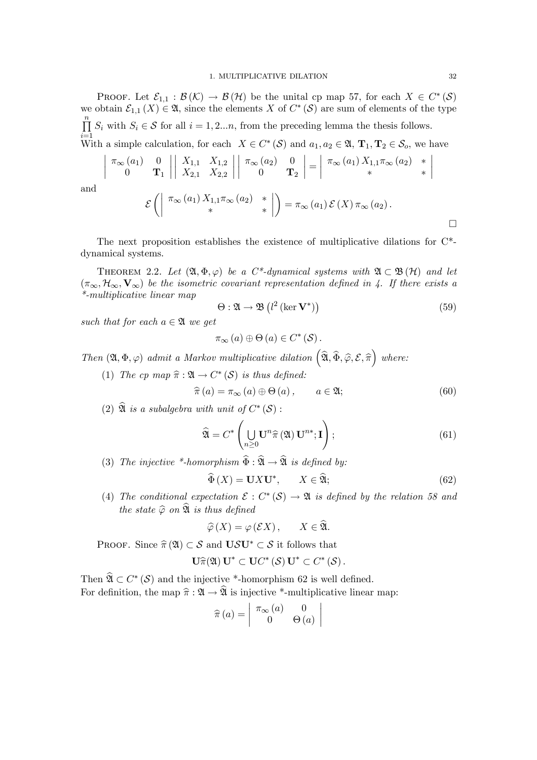PROOF. Let  $\mathcal{E}_{1,1} : \mathcal{B}(\mathcal{K}) \to \mathcal{B}(\mathcal{H})$  be the unital cp map 57, for each  $X \in C^*(\mathcal{S})$ we obtain  $\mathcal{E}_{1,1}(X) \in \mathfrak{A}$ , since the elements X of  $C^*(\mathcal{S})$  are sum of elements of the type  $\prod_{i=1}^{n}$  $\prod_{i=1} S_i$  with  $S_i \in \mathcal{S}$  for all  $i = 1, 2...n$ , from the preceding lemma the thesis follows. With a simple calculation, for each  $X \in C^*(\mathcal{S})$  and  $a_1, a_2 \in \mathfrak{A}, \mathbf{T}_1, \mathbf{T}_2 \in \mathcal{S}_o$ , we have

$$
\begin{vmatrix} \pi_{\infty}(a_1) & 0 \\ 0 & \mathbf{T}_1 \end{vmatrix} \begin{vmatrix} X_{1,1} & X_{1,2} \\ X_{2,1} & X_{2,2} \end{vmatrix} \begin{vmatrix} \pi_{\infty}(a_2) & 0 \\ 0 & \mathbf{T}_2 \end{vmatrix} = \begin{vmatrix} \pi_{\infty}(a_1) X_{1,1} \pi_{\infty}(a_2) & * \\ * & * \end{vmatrix}
$$

and

$$
\mathcal{E}\left(\left(\begin{array}{cc} \pi_{\infty}\left(a_{1}\right)X_{1,1}\pi_{\infty}\left(a_{2}\right) & * \\ * & * \end{array}\right)\right)=\pi_{\infty}\left(a_{1}\right)\mathcal{E}\left(X\right)\pi_{\infty}\left(a_{2}\right).
$$

The next proposition establishes the existence of multiplicative dilations for C\* dynamical systems.

THEOREM 2.2. Let  $(\mathfrak{A}, \Phi, \varphi)$  be a C<sup>\*</sup>-dynamical systems with  $\mathfrak{A} \subset \mathfrak{B}(\mathcal{H})$  and let  $(\pi_{\infty}, \mathcal{H}_{\infty}, \mathbf{V}_{\infty})$  be the isometric covariant representation defined in 4. If there exists a \*-multiplicative linear map

$$
\Theta: \mathfrak{A} \to \mathfrak{B}\left(l^2\left(\ker \mathbf{V}^*\right)\right) \tag{59}
$$

such that for each  $a \in \mathfrak{A}$  we get

$$
\pi_{\infty}(a) \oplus \Theta(a) \in C^*(\mathcal{S}).
$$

Then  $(\mathfrak{A}, \Phi, \varphi)$  admit a Markov multiplicative dilation  $\left( \widehat{\mathfrak{A}}, \widehat{\Phi}, \widehat{\varphi}, \mathcal{E}, \widehat{\pi} \right)$  where:

(1) The cp map  $\hat{\pi} : \mathfrak{A} \to C^*$  (S) is thus defined:

$$
\widehat{\pi}(a) = \pi_{\infty}(a) \oplus \Theta(a), \qquad a \in \mathfrak{A};\tag{60}
$$

(2)  $\widehat{\mathfrak{A}}$  is a subalgebra with unit of  $C^*(\mathcal{S})$ :

$$
\widehat{\mathfrak{A}} = C^* \left( \bigcup_{n \ge 0} \mathbf{U}^n \widehat{\pi} \left( \mathfrak{A} \right) \mathbf{U}^{n*}; \mathbf{I} \right); \tag{61}
$$

(3) The injective \*-homorphism  $\widehat{\Phi} : \widehat{\mathfrak{A}} \to \widehat{\mathfrak{A}}$  is defined by:

$$
\widehat{\Phi}(X) = \mathbf{U}X\mathbf{U}^*, \qquad X \in \widehat{\mathfrak{A}};
$$
\n(62)

(4) The conditional expectation  $\mathcal{E}: C^*(\mathcal{S}) \to \mathfrak{A}$  is defined by the relation 58 and the state  $\widehat{\varphi}$  on  $\widehat{\mathfrak{A}}$  is thus defined

$$
\widehat{\varphi}(X) = \varphi(\mathcal{E}X), \qquad X \in \widehat{\mathfrak{A}}.
$$

PROOF. Since  $\hat{\pi}(\mathfrak{A}) \subset \mathcal{S}$  and  $\mathbf{U} \mathcal{S} \mathbf{U}^* \subset \mathcal{S}$  it follows that

$$
\mathbf{U}\widehat{\pi}(\mathfrak{A})\,\mathbf{U}^*\subset\mathbf{U} C^*\left(\mathcal{S}\right)\mathbf{U}^*\subset C^*\left(\mathcal{S}\right).
$$

Then  $\widehat{\mathfrak{A}} \subset C^*(\mathcal{S})$  and the injective \*-homorphism 62 is well defined. For definition, the map  $\hat{\pi} : \mathfrak{A} \to \hat{\mathfrak{A}}$  is injective \*-multiplicative linear map:

$$
\widehat{\pi}(a) = \begin{vmatrix} \pi_{\infty}(a) & 0 \\ 0 & \Theta(a) \end{vmatrix}
$$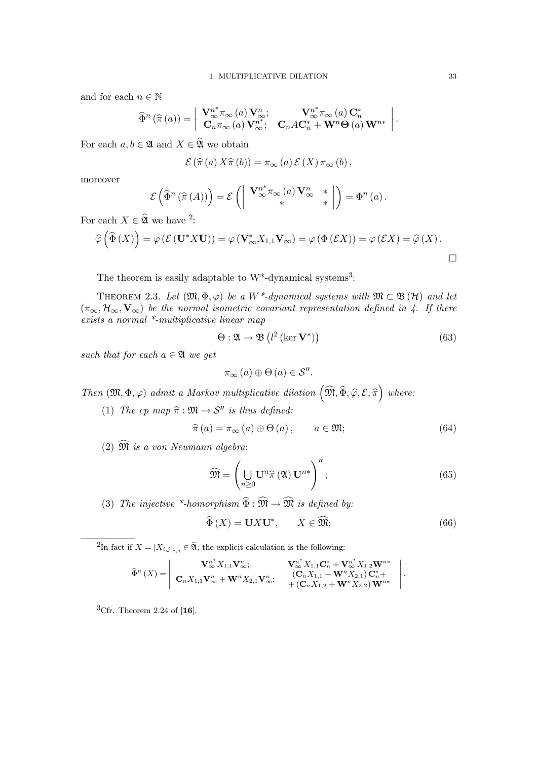and for each  $n \in \mathbb{N}$ 

$$
\widehat{\Phi}^n\left(\widehat{\pi}\left(a\right)\right) = \left| \begin{array}{cc} \mathbf{V}_{\infty}^{n^*} \pi_{\infty}\left(a\right) \mathbf{V}_{\infty}^n; & \mathbf{V}_{\infty}^{n^*} \pi_{\infty}\left(a\right) \mathbf{C}_n^* \\ \mathbf{C}_n \pi_{\infty}\left(a\right) \mathbf{V}_{\infty}^{n^*}; & \mathbf{C}_n A \mathbf{C}_n^* + \mathbf{W}^n \Theta\left(a\right) \mathbf{W}^{n*} \end{array} \right|.
$$

For each  $a, b \in \mathfrak{A}$  and  $X \in \widehat{\mathfrak{A}}$  we obtain

$$
\mathcal{E}(\widehat{\pi}(a) X \widehat{\pi}(b)) = \pi_{\infty}(a) \mathcal{E}(X) \pi_{\infty}(b),
$$

moreover

$$
\mathcal{E}\left(\widehat{\Phi}^n\left(\widehat{\pi}\left(A\right)\right)\right) = \mathcal{E}\left(\left|\begin{array}{cc} \mathbf{V}_{\infty}^{n^*}\pi_{\infty}\left(a\right)\mathbf{V}_{\infty}^n & * \\ * & * \end{array}\right|\right) = \Phi^n\left(a\right).
$$

For each  $X \in \widehat{X}$  we have <sup>2</sup>:

$$
\widehat{\varphi}\left(\widehat{\Phi}\left(X\right)\right) = \varphi\left(\mathcal{E}\left(\mathbf{U}^*X\mathbf{U}\right)\right) = \varphi\left(\mathbf{V}_{\infty}^*X_{1,1}\mathbf{V}_{\infty}\right) = \varphi\left(\Phi\left(\mathcal{E}X\right)\right) = \varphi\left(\mathcal{E}X\right) = \widehat{\varphi}\left(X\right).
$$

The theorem is easily adaptable to  $W^*$ -dynamical systems<sup>3</sup>:

THEOREM 2.3. Let  $(\mathfrak{M}, \Phi, \varphi)$  be a W<sup>\*</sup>-dynamical systems with  $\mathfrak{M} \subset \mathfrak{B}(\mathcal{H})$  and let  $(\pi_{\infty}, \mathcal{H}_{\infty}, \mathbf{V}_{\infty})$  be the normal isometric covariant representation defined in 4. If there exists a normal \*-multiplicative linear map

$$
\Theta: \mathfrak{A} \to \mathfrak{B}\left(l^2\left(\ker \mathbf{V}^*\right)\right) \tag{63}
$$

such that for each  $a \in \mathfrak{A}$  we get

$$
\pi_{\infty}(a) \oplus \Theta(a) \in \mathcal{S}''.
$$

Then  $(\mathfrak{M}, \Phi, \varphi)$  admit a Markov multiplicative dilation  $\left(\widehat{\mathfrak{M}}, \widehat{\Phi}, \widehat{\varphi}, \mathcal{E}, \widehat{\pi}\right)$  where:

(1) The cp map  $\hat{\pi} : \mathfrak{M} \to \mathcal{S}''$  is thus defined:

$$
\widehat{\pi}(a) = \pi_{\infty}(a) \oplus \Theta(a), \qquad a \in \mathfrak{M};\tag{64}
$$

 $(2)$   $\widehat{\mathfrak{M}}$  is a von Neumann algebra:

$$
\widehat{\mathfrak{M}} = \left( \bigcup_{n \geq 0} \mathbf{U}^n \widehat{\pi} \left( \mathfrak{A} \right) \mathbf{U}^{n*} \right)^{\prime\prime};\tag{65}
$$

(3) The injective \*-homorphism  $\widehat{\Phi} : \widehat{\mathfrak{M}} \to \widehat{\mathfrak{M}}$  is defined by:

$$
\widehat{\Phi}(X) = \mathbf{U}X\mathbf{U}^*, \qquad X \in \widehat{\mathfrak{M}};\tag{66}
$$

.

<sup>2</sup>In fact if  $X = |X_{i,j}|_{i,j} \in \widehat{\mathfrak{A}}$ , the explicit calculation is the following:

$$
\widehat{\Phi}^n(X) = \left| \begin{array}{cc} \mathbf{V}_{\infty}^{n^*} X_{1,1} \mathbf{V}_{\infty}^n; & \mathbf{V}_{\infty}^{n^*} X_{1,1} \mathbf{C}_n^* + \mathbf{V}_{\infty}^{n^*} X_{1,2} \mathbf{W}^{n*} \\ \mathbf{C}_n X_{1,1} \mathbf{V}_{\infty}^n + \mathbf{W}^n X_{2,1} \mathbf{V}_{\infty}^n; & (\mathbf{C}_n X_{1,1} + \mathbf{W}^n X_{2,1}) \mathbf{C}_n^* + \\ + (\mathbf{C}_n X_{1,2} + \mathbf{W}^n X_{2,2}) \mathbf{W}^{n*} \end{array} \right|
$$

 ${}^{3}$ Cfr. Theorem 2.24 of [16].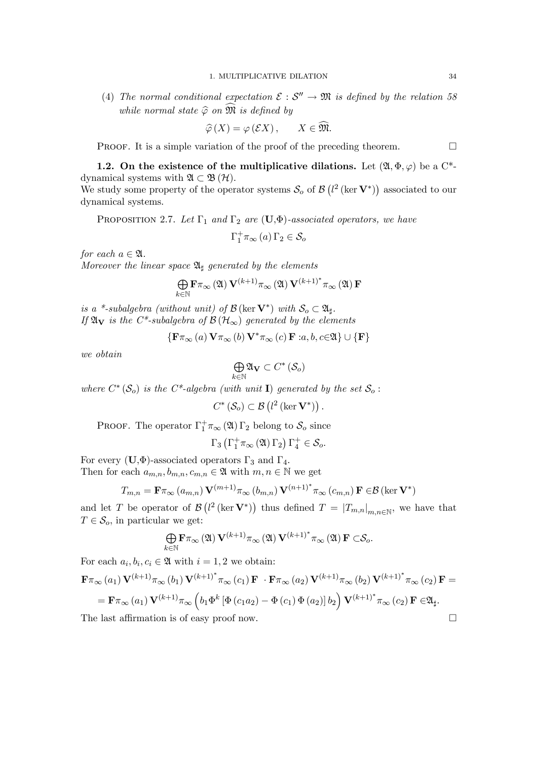(4) The normal conditional expectation  $\mathcal{E}: \mathcal{S}^{\prime\prime} \rightarrow \mathfrak{M}$  is defined by the relation 58 while normal state  $\widehat{\varphi}$  on  $\widehat{\mathfrak{M}}$  is defined by

$$
\widehat{\varphi}\left(X\right) = \varphi\left(\mathcal{E}X\right), \qquad X \in \widehat{\mathfrak{M}}.
$$

**PROOF.** It is a simple variation of the proof of the preceding theorem.  $\Box$ 

1.2. On the existence of the multiplicative dilations. Let  $(\mathfrak{A}, \Phi, \varphi)$  be a  $C^*$ dynamical systems with  $\mathfrak{A} \subset \mathfrak{B}(\mathcal{H})$ .

We study some property of the operator systems  $S_o$  of  $\mathcal{B} (l^2 (\ker V^*))$  associated to our dynamical systems.

PROPOSITION 2.7. Let  $\Gamma_1$  and  $\Gamma_2$  are  $(\mathbf{U}, \Phi)$ -associated operators, we have

 $\Gamma_1^+\pi_\infty(a)\Gamma_2\in\mathcal{S}_o$ 

for each  $a \in \mathfrak{A}$ . Moreover the linear space  $\mathfrak{A}_{\sharp}$  generated by the elements

$$
\bigoplus_{k\in\mathbb{N}}\mathbf{F}\pi_{\infty}\left(\mathfrak{A}\right)\mathbf{V}^{\left(k+1\right)}\pi_{\infty}\left(\mathfrak{A}\right)\mathbf{V}^{\left(k+1\right)^{*}}\pi_{\infty}\left(\mathfrak{A}\right)\mathbf{F}
$$

is a \*-subalgebra (without unit) of  $\mathcal{B}(\ker V^*)$  with  $\mathcal{S}_o \subset \mathfrak{A}_\sharp$ . If  $\mathfrak{A}_{\mathbf{V}}$  is the C\*-subalgebra of  $\mathcal{B}(\mathcal{H}_{\infty})$  generated by the elements

$$
\{ \mathbf{F} \pi_{\infty} (a) \mathbf{V} \pi_{\infty} (b) \mathbf{V}^* \pi_{\infty} (c) \mathbf{F} : a, b, c \in \mathfrak{A} \} \cup \{ \mathbf{F} \}
$$

we obtain

$$
\bigoplus_{k\in\mathbb{N}}\mathfrak{A}_{\mathbf{V}}\subset C^*\left(\mathcal{S}_o\right)
$$

where  $C^*(\mathcal{S}_o)$  is the  $C^*$ -algebra (with unit **I**) generated by the set  $\mathcal{S}_o$ :

 $C^{\ast}(\mathcal{S}_{o}) \subset \mathcal{B}\left(l^{2}\left(\ker \mathbf{V}^{\ast}\right)\right).$ 

**PROOF.** The operator  $\Gamma_1^+\pi_\infty(\mathfrak{A})\Gamma_2$  belong to  $\mathcal{S}_o$  since

$$
\Gamma_3 \left( \Gamma_1^+ \pi_\infty \left( \mathfrak{A} \right) \Gamma_2 \right) \Gamma_4^+ \in \mathcal{S}_o.
$$

For every  $(\mathbf{U}, \Phi)$ -associated operators  $\Gamma_3$  and  $\Gamma_4$ . Then for each  $a_{m,n}, b_{m,n}, c_{m,n} \in \mathfrak{A}$  with  $m, n \in \mathbb{N}$  we get

$$
T_{m,n} = \mathbf{F}\pi_{\infty}(a_{m,n})\mathbf{V}^{(m+1)}\pi_{\infty}(b_{m,n})\mathbf{V}^{(n+1)^{*}}\pi_{\infty}(c_{m,n})\mathbf{F} \in \mathcal{B}(\ker \mathbf{V}^{*})
$$

and let T be operator of  $\mathcal{B}(l^2(\ker \mathbf{V}^*))$  thus defined  $T = |T_{m,n}|_{m,n \in \mathbb{N}}$ , we have that  $T \in \mathcal{S}_o$ , in particular we get:

$$
\bigoplus_{k\in\mathbb{N}}\mathbf{F}\pi_{\infty}\left(\mathfrak{A}\right)\mathbf{V}^{\left(k+1\right)}\pi_{\infty}\left(\mathfrak{A}\right)\mathbf{V}^{\left(k+1\right)^{*}}\pi_{\infty}\left(\mathfrak{A}\right)\mathbf{F}\subset\mathcal{S}_{o}.
$$

For each  $a_i, b_i, c_i \in \mathfrak{A}$  with  $i = 1, 2$  we obtain:

$$
\mathbf{F}\pi_{\infty}(a_1) \mathbf{V}^{(k+1)}\pi_{\infty}(b_1) \mathbf{V}^{(k+1)^*}\pi_{\infty}(c_1) \mathbf{F} \cdot \mathbf{F}\pi_{\infty}(a_2) \mathbf{V}^{(k+1)}\pi_{\infty}(b_2) \mathbf{V}^{(k+1)^*}\pi_{\infty}(c_2) \mathbf{F} =
$$
\n
$$
= \mathbf{F}\pi_{\infty}(a_1) \mathbf{V}^{(k+1)}\pi_{\infty}\left(b_1 \Phi^k \left[\Phi(c_1 a_2) - \Phi(c_1) \Phi(a_2)\right] b_2\right) \mathbf{V}^{(k+1)^*}\pi_{\infty}(c_2) \mathbf{F} \in \mathfrak{A}_{\sharp}.
$$

The last affirmation is of easy proof now.  $\Box$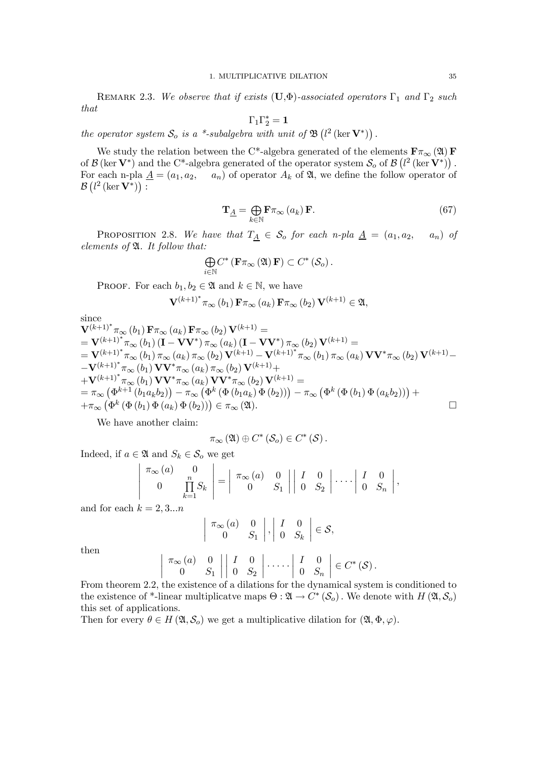REMARK 2.3. We observe that if exists  $(U, \Phi)$ -associated operators  $\Gamma_1$  and  $\Gamma_2$  such that

$$
\Gamma_1 \Gamma_2^* = \mathbf{1}
$$

the operator system  $\mathcal{S}_o$  is a \*-subalgebra with unit of  $\mathfrak{B}\left(l^2\left(\ker \mathbf{V}^*\right)\right)$ .

We study the relation between the C<sup>\*</sup>-algebra generated of the elements  $\mathbf{F}\pi_{\infty}(\mathfrak{A})\mathbf{F}$ of  $\mathcal{B}$  (ker  $\mathbf{V}^*$ ) and the C<sup>\*</sup>-algebra generated of the operator system  $\mathcal{S}_o$  of  $\mathcal{B}$  ( $l^2$  (ker  $\mathbf{V}^*$ )). For each n-pla  $\underline{A} = (a_1, a_2, a_n)$  of operator  $A_k$  of  $\mathfrak{A}$ , we define the follow operator of  $\mathcal{B}\left(l^2\left(\ker \bar{\mathbf{V}^*}\right)\right):$ 

$$
\mathbf{T}_{\underline{A}} = \bigoplus_{k \in \mathbb{N}} \mathbf{F} \pi_{\infty} (a_k) \mathbf{F}.
$$
 (67)

PROPOSITION 2.8. We have that  $T_A \in S_o$  for each n-pla  $\underline{A} = (a_1, a_2, a_n)$  of elements of A. It follow that:

$$
\bigoplus_{i\in\mathbb{N}} C^*\left(\mathbf{F}\pi_{\infty}\left(\mathfrak{A}\right)\mathbf{F}\right)\subset C^*\left(\mathcal{S}_o\right).
$$

PROOF. For each  $b_1, b_2 \in \mathfrak{A}$  and  $k \in \mathbb{N}$ , we have

 ${\mathbf V}^{(k+1)^*} \pi_\infty(b_1) \mathbf{F} \pi_\infty(a_k) \mathbf{F} \pi_\infty(b_2) \mathbf{V}^{(k+1)} \in \mathfrak{A},$ 

since

$$
\mathbf{V}^{(k+1)^*} \pi_{\infty}(b_1) \mathbf{F} \pi_{\infty}(a_k) \mathbf{F} \pi_{\infty}(b_2) \mathbf{V}^{(k+1)} =
$$
\n
$$
= \mathbf{V}^{(k+1)^*} \pi_{\infty}(b_1) (\mathbf{I} - \mathbf{V}\mathbf{V}^*) \pi_{\infty}(a_k) (\mathbf{I} - \mathbf{V}\mathbf{V}^*) \pi_{\infty}(b_2) \mathbf{V}^{(k+1)} =
$$
\n
$$
= \mathbf{V}^{(k+1)^*} \pi_{\infty}(b_1) \pi_{\infty}(a_k) \pi_{\infty}(b_2) \mathbf{V}^{(k+1)} - \mathbf{V}^{(k+1)^*} \pi_{\infty}(b_1) \pi_{\infty}(a_k) \mathbf{V}\mathbf{V}^* \pi_{\infty}(b_2) \mathbf{V}^{(k+1)} -
$$
\n
$$
- \mathbf{V}^{(k+1)^*} \pi_{\infty}(b_1) \mathbf{V}\mathbf{V}^* \pi_{\infty}(a_k) \pi_{\infty}(b_2) \mathbf{V}^{(k+1)} +
$$
\n
$$
+ \mathbf{V}^{(k+1)^*} \pi_{\infty}(b_1) \mathbf{V}\mathbf{V}^* \pi_{\infty}(a_k) \mathbf{V}\mathbf{V}^* \pi_{\infty}(b_2) \mathbf{V}^{(k+1)} =
$$
\n
$$
= \pi_{\infty} (\Phi^{k+1}(b_1 a_k b_2)) - \pi_{\infty} (\Phi^k (\Phi(b_1 a_k) \Phi(b_2))) - \pi_{\infty} (\Phi^k (\Phi(b_1) \Phi(a_k b_2))) +
$$
\n
$$
+ \pi_{\infty} (\Phi^k (\Phi(b_1) \Phi(a_k) \Phi(b_2))) \in \pi_{\infty} (\mathfrak{A}).
$$

We have another claim:

$$
\pi_{\infty}(\mathfrak{A})\oplus C^{\ast}\left(\mathcal{S}_{o}\right)\in C^{\ast}\left(\mathcal{S}\right).
$$

Indeed, if  $a \in \mathfrak{A}$  and  $S_k \in \mathcal{S}_o$  we get

$$
\begin{array}{c}\n\pi_{\infty}(a) & 0 \\
0 & \prod_{k=1}^{n} S_k\n\end{array}\n=\n\begin{array}{c}\n\pi_{\infty}(a) & 0 \\
0 & S_1\n\end{array}\n\begin{array}{c}\n\end{array}\n\begin{array}{c}\nI & 0 \\
0 & S_2\n\end{array}\n\begin{array}{c}\n\ldots \\
0 & S_n\n\end{array}\n\end{array},
$$

and for each  $k = 2, 3...n$ 

 $\begin{array}{c} \hline \end{array}$  $\overline{\phantom{a}}$  $\mathsf{I}$  $\overline{\phantom{a}}$  $\mathsf{I}$  $\mathsf{l}$ 

$$
\left|\begin{array}{cc} \pi_{\infty}(a) & 0 \\ 0 & S_1 \end{array}\right|, \left|\begin{array}{cc} I & 0 \\ 0 & S_k \end{array}\right| \in \mathcal{S},
$$

then

$$
\left|\begin{array}{cc} \pi_{\infty}(a) & 0 \\ 0 & S_1 \end{array}\right| \left|\begin{array}{cc} I & 0 \\ 0 & S_2 \end{array}\right| \cdot \cdots \left|\begin{array}{cc} I & 0 \\ 0 & S_n \end{array}\right| \in C^*(\mathcal{S}).
$$

From theorem 2.2, the existence of a dilations for the dynamical system is conditioned to the existence of \*-linear multiplicatve maps  $\Theta : \mathfrak{A} \to C^* (\mathcal{S}_o)$ . We denote with  $H(\mathfrak{A}, \mathcal{S}_o)$ this set of applications.

Then for every  $\theta \in H(\mathfrak{A}, \mathcal{S}_o)$  we get a multiplicative dilation for  $(\mathfrak{A}, \Phi, \varphi)$ .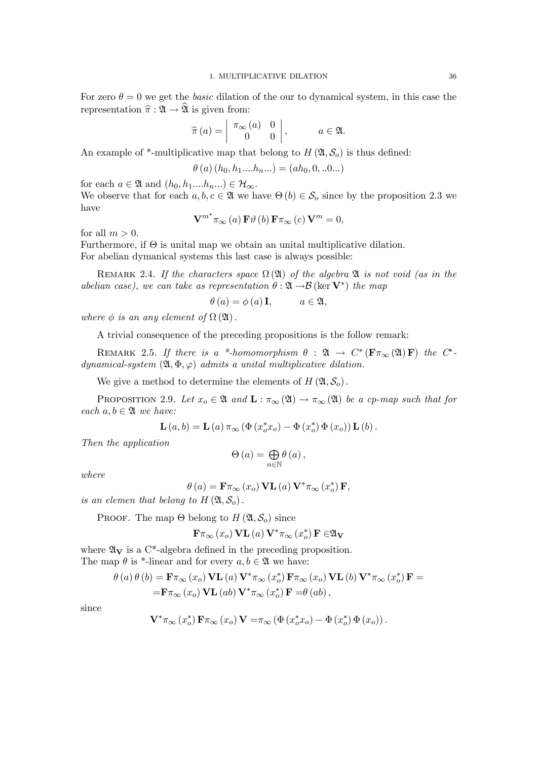For zero  $\theta = 0$  we get the *basic* dilation of the our to dynamical system, in this case the representation  $\hat{\pi} : \mathfrak{A} \to \hat{\mathfrak{A}}$  is given from:

$$
\widehat{\pi}(a) = \begin{vmatrix} \pi_{\infty}(a) & 0 \\ 0 & 0 \end{vmatrix}, \quad a \in \mathfrak{A}.
$$

An example of \*-multiplicative map that belong to  $H(\mathfrak{A}, \mathcal{S}_o)$  is thus defined:

$$
\theta(a) (h_0, h_1...h_n...) = (ah_0, 0, ...0...)
$$

for each  $a \in \mathfrak{A}$  and  $(h_0, h_1...h_n...) \in \mathcal{H}_{\infty}$ .

We observe that for each  $a, b, c \in \mathfrak{A}$  we have  $\Theta(b) \in \mathcal{S}_o$  since by the proposition 2.3 we have

$$
\mathbf{V}^{m^*} \pi_{\infty}(a) \mathbf{F} \vartheta(b) \mathbf{F} \pi_{\infty}(c) \mathbf{V}^m = 0,
$$

for all  $m > 0$ .

Furthermore, if Θ is unital map we obtain an unital multiplicative dilation. For abelian dymanical systems this last case is always possible:

REMARK 2.4. If the characters space  $\Omega(\mathfrak{A})$  of the algebra  $\mathfrak A$  is not void (as in the abelian case), we can take as representation  $\theta : \mathfrak{A} \rightarrow \mathcal{B}$  (ker  $V^*$ ) the map

$$
\theta\left(a\right) = \phi\left(a\right)\mathbf{I}, \qquad a \in \mathfrak{A},
$$

where  $\phi$  is an any element of  $\Omega(\mathfrak{A})$ .

A trivial consequence of the preceding propositions is the follow remark:

REMARK 2.5. If there is a \*-homomorphism  $\theta : \mathfrak{A} \to C^*(\mathbf{F} \pi_\infty(\mathfrak{A}) \mathbf{F})$  the  $C^*$ dynamical-system  $(\mathfrak{A}, \Phi, \varphi)$  admits a unital multiplicative dilation.

We give a method to determine the elements of  $H(\mathfrak{A}, \mathcal{S}_o)$ .

PROPOSITION 2.9. Let  $x_o \in \mathfrak{A}$  and  $\mathbf{L} : \pi_{\infty}(\mathfrak{A}) \to \pi_{\infty}(\mathfrak{A})$  be a cp-map such that for each  $a, b \in \mathfrak{A}$  we have:

$$
\mathbf{L}(a,b) = \mathbf{L}(a) \pi_{\infty} (\Phi(x_o^* x_o) - \Phi(x_o^*) \Phi(x_o)) \mathbf{L}(b).
$$

Then the application

$$
\Theta\left(a\right) = \bigoplus_{n \in \mathbb{N}} \theta\left(a\right),\,
$$

where

$$
\theta\left(a\right) = \mathbf{F}\pi_{\infty}\left(x_o\right) \mathbf{V} \mathbf{L}\left(a\right) \mathbf{V}^* \pi_{\infty}\left(x_o^*\right) \mathbf{F},
$$

is an elemen that belong to  $H(\mathfrak{A}, \mathcal{S}_o)$ .

PROOF. The map  $\Theta$  belong to  $H(\mathfrak{A}, \mathcal{S}_o)$  since

$$
\mathbf{F}\pi_{\infty}\left(x_{o}\right)\mathbf{V}\mathbf{L}\left(a\right)\mathbf{V}^{*}\pi_{\infty}\left(x_{o}^{*}\right)\mathbf{F}\in\mathfrak{A}_{\mathbf{V}}
$$

where  $\mathfrak{A}_{\mathbf{V}}$  is a C<sup>\*</sup>-algebra defined in the preceding proposition. The map  $\theta$  is \*-linear and for every  $a, b \in \mathfrak{A}$  we have:

$$
\theta(a)\theta(b) = \mathbf{F}\pi_{\infty}(x_o)\mathbf{V}\mathbf{L}(a)\mathbf{V}^*\pi_{\infty}(x_o^*)\mathbf{F}\pi_{\infty}(x_o)\mathbf{V}\mathbf{L}(b)\mathbf{V}^*\pi_{\infty}(x_o^*)\mathbf{F} = =\mathbf{F}\pi_{\infty}(x_o)\mathbf{V}\mathbf{L}(ab)\mathbf{V}^*\pi_{\infty}(x_o^*)\mathbf{F} = \theta(ab),
$$

since

$$
\mathbf{V}^*\pi_\infty(x_o^*)\mathbf{F}\pi_\infty(x_o)\mathbf{V} = \pi_\infty(\Phi(x_o^*x_o) - \Phi(x_o^*)\Phi(x_o)).
$$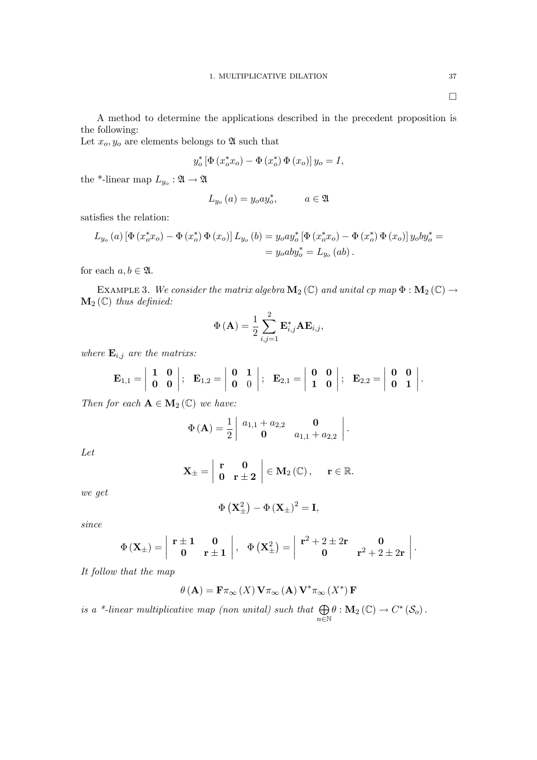$\Box$ 

A method to determine the applications described in the precedent proposition is the following:

Let  $x_o, y_o$  are elements belongs to  $\mathfrak A$  such that

$$
y_o^* \left[ \Phi \left( x_o^* x_o \right) - \Phi \left( x_o^* \right) \Phi \left( x_o \right) \right] y_o = I,
$$

the \*-linear map  $L_{y_o}: \mathfrak{A} \to \mathfrak{A}$ 

$$
L_{y_o}(a) = y_o a y_o^*, \qquad a \in \mathfrak{A}
$$

satisfies the relation:

$$
L_{y_o}(a) [\Phi(x_o^* x_o) - \Phi(x_o^*) \Phi(x_o)] L_{y_o}(b) = y_o a y_o^* [\Phi(x_o^* x_o) - \Phi(x_o^*) \Phi(x_o)] y_o b y_o^* =
$$
  
=  $y_o a b y_o^* = L_{y_o}(a b).$ 

for each  $a, b \in \mathfrak{A}$ .

EXAMPLE 3. We consider the matrix algebra  $\mathbf{M}_2(\mathbb{C})$  and unital cp map  $\Phi : \mathbf{M}_2(\mathbb{C}) \to$  $\mathbf{M}_2$  (C) thus definied:

$$
\Phi(\mathbf{A}) = \frac{1}{2} \sum_{i,j=1}^{2} \mathbf{E}_{i,j}^{*} \mathbf{A} \mathbf{E}_{i,j},
$$

where  $\mathbf{E}_{i,j}$  are the matrixs:

$$
\mathbf{E}_{1,1} = \left| \begin{array}{cc} 1 & 0 \\ 0 & 0 \end{array} \right|; \ \ \mathbf{E}_{1,2} = \left| \begin{array}{cc} 0 & 1 \\ 0 & 0 \end{array} \right|; \ \ \mathbf{E}_{2,1} = \left| \begin{array}{cc} 0 & 0 \\ 1 & 0 \end{array} \right|; \ \ \mathbf{E}_{2,2} = \left| \begin{array}{cc} 0 & 0 \\ 0 & 1 \end{array} \right|.
$$

Then for each  $\mathbf{A} \in M_2(\mathbb{C})$  we have:

$$
\Phi\left(\mathbf{A}\right) = \frac{1}{2} \left| \begin{array}{cc} a_{1,1} + a_{2,2} & \mathbf{0} \\ \mathbf{0} & a_{1,1} + a_{2,2} \end{array} \right|.
$$

Let

$$
\mathbf{X}_{\pm} = \begin{vmatrix} \mathbf{r} & \mathbf{0} \\ \mathbf{0} & \mathbf{r} \pm \mathbf{2} \end{vmatrix} \in \mathbf{M}_2(\mathbb{C}), \quad \mathbf{r} \in \mathbb{R}.
$$

we get

$$
\Phi\left(\mathbf{X}_{\pm}^{2}\right)-\Phi\left(\mathbf{X}_{\pm}\right)^{2}=\mathbf{I},
$$

since

$$
\Phi\left(\mathbf{X}_{\pm}\right)=\left|\begin{array}{cc} r\pm1 & 0 \\ 0 & r\pm1 \end{array}\right|,\quad \Phi\left(\mathbf{X}_{\pm}^{2}\right)=\left|\begin{array}{cc} r^{2}+2\pm2r & 0 \\ 0 & r^{2}+2\pm2r \end{array}\right|.
$$

It follow that the map

$$
\theta\left(\mathbf{A}\right) = \mathbf{F}\pi_{\infty}\left(X\right)\mathbf{V}\pi_{\infty}\left(\mathbf{A}\right)\mathbf{V}^*\pi_{\infty}\left(X^*\right)\mathbf{F}
$$

is a \*-linear multiplicative map (non unital) such that  $\bigoplus$ n∈N  $\theta: \mathbf{M}_2\left(\mathbb{C}\right) \rightarrow C^*\left(\mathcal{S}_o\right).$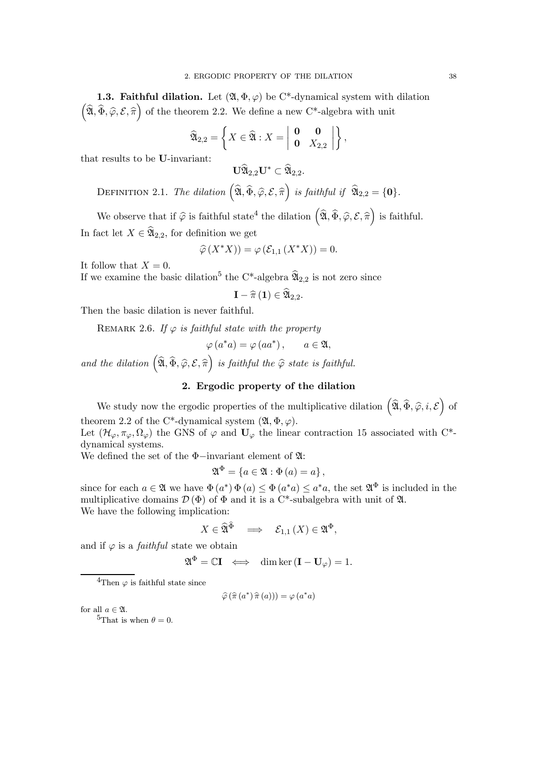1.3. Faithful dilation. Let  $(\mathfrak{A}, \Phi, \varphi)$  be C<sup>\*</sup>-dynamical system with dilation  $\left( \widehat{\mathfrak{A}}, \widehat{\Phi}, \widehat{\varphi}, \mathcal{E}, \widehat{\pi} \right)$  of the theorem 2.2. We define a new C\*-algebra with unit

$$
\widehat{\mathfrak{A}}_{2,2} = \left\{ X \in \widehat{\mathfrak{A}} : X = \left| \begin{array}{cc} \mathbf{0} & \mathbf{0} \\ \mathbf{0} & X_{2,2} \end{array} \right| \right\},
$$

that results to be U-invariant:

$$
\mathbf{U}\widehat{\mathfrak{A}}_{2,2}\mathbf{U}^*\subset\widehat{\mathfrak{A}}_{2,2}
$$

DEFINITION 2.1. The dilation  $\left( \widehat{\mathfrak{A}}, \widehat{\Phi}, \widehat{\varphi}, \mathcal{E}, \widehat{\pi} \right)$  is faithful if  $\widehat{\mathfrak{A}}_{2,2} = \{ \mathbf{0} \}.$ 

We observe that if  $\hat{\varphi}$  is faithful state<sup>4</sup> the dilation  $(\widehat{\mathfrak{A}}, \widehat{\Phi}, \widehat{\varphi}, \mathcal{E}, \widehat{\pi})$  is faithful.

In fact let  $X \in \widehat{\mathfrak{A}}_{2,2}$ , for definition we get

$$
\widehat{\varphi}(X^*X)) = \varphi(\mathcal{E}_{1,1}(X^*X)) = 0.
$$

It follow that  $X = 0$ .

If we examine the basic dilation<sup>5</sup> the C<sup>\*</sup>-algebra  $\widehat{\mathfrak{A}}_{2.2}$  is not zero since

$$
\mathbf{I}-\widehat{\pi}\left( \mathbf{1}\right) \in\mathfrak{\hat{A}}_{2,2}.
$$

Then the basic dilation is never faithful.

REMARK 2.6. If  $\varphi$  is faithful state with the property

$$
\varphi(a^*a) = \varphi(aa^*), \qquad a \in \mathfrak{A},
$$

and the dilation  $\left( \widehat{\mathfrak{A}},\widehat{\Phi},\widehat{\varphi},\mathcal{E},\widehat{\pi}\right)$  is faithful the  $\widehat{\varphi}$  state is faithful.

# 2. Ergodic property of the dilation

We study now the ergodic properties of the multiplicative dilation  $(\widehat{\mathfrak{A}}, \widehat{\Phi}, \widehat{\varphi}, i, \mathcal{E})$  of theorem 2.2 of the C<sup>\*</sup>-dynamical system  $(\mathfrak{A}, \Phi, \varphi)$ .

Let  $(\mathcal{H}_{\varphi}, \pi_{\varphi}, \Omega_{\varphi})$  the GNS of  $\varphi$  and  $\mathbf{U}_{\varphi}$  the linear contraction 15 associated with C<sup>\*</sup>dynamical systems.

We defined the set of the Φ−invariant element of A:

$$
\mathfrak{A}^{\Phi} = \{ a \in \mathfrak{A} : \Phi(a) = a \},
$$

since for each  $a \in \mathfrak{A}$  we have  $\Phi(a^*) \Phi(a) \leq \Phi(a^*a) \leq a^*a$ , the set  $\mathfrak{A}^{\Phi}$  is included in the multiplicative domains  $\mathcal{D}(\Phi)$  of  $\Phi$  and it is a C<sup>\*</sup>-subalgebra with unit of  $\mathfrak{A}$ . We have the following implication:

$$
X \in \widehat{\mathfrak{A}}^{\widetilde{\Phi}} \quad \Longrightarrow \quad \mathcal{E}_{1,1} \left( X \right) \in \mathfrak{A}^{\Phi},
$$

and if  $\varphi$  is a *faithful* state we obtain

$$
\mathfrak{A}^{\Phi} = \mathbb{C} \mathbf{I} \iff \dim \ker \left( \mathbf{I} - \mathbf{U}_{\varphi} \right) = 1.
$$

<sup>4</sup>Then  $\varphi$  is faithful state since

$$
\widehat{\varphi}\left(\widehat{\pi}\left(a^*\right)\widehat{\pi}\left(a\right)\right)\right) = \varphi\left(a^*a\right)
$$

for all  $a \in \mathfrak{A}$ .<br><sup>5</sup>That is when  $\theta = 0$ .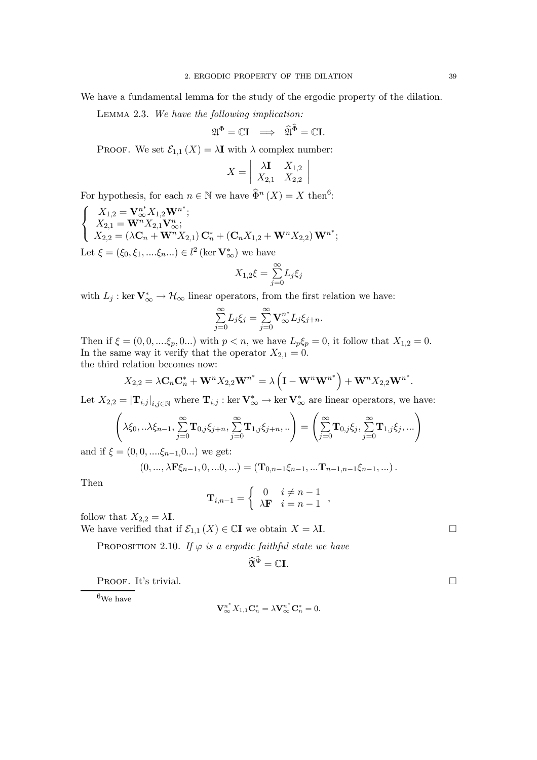We have a fundamental lemma for the study of the ergodic property of the dilation.

Lemma 2.3. We have the following implication:

$$
\mathfrak{A}^{\Phi}=\mathbb{C}\mathbf{I}\implies \widehat{\mathfrak{A}}^{\widehat{\Phi}}=\mathbb{C}\mathbf{I}.
$$

PROOF. We set  $\mathcal{E}_{1,1}(X) = \lambda \mathbf{I}$  with  $\lambda$  complex number:

$$
X = \left| \begin{array}{cc} \lambda \mathbf{I} & X_{1,2} \\ X_{2,1} & X_{2,2} \end{array} \right|
$$

For hypothesis, for each  $n \in \mathbb{N}$  we have  $\widehat{\Phi}^n(X) = X$  then<sup>6</sup>:

 $\sqrt{ }$  $\mathbf{J}$  $\mathbf{I}$  $X_{1,2} = \mathbf{V}^{n^*}_{\infty} X_{1,2} \mathbf{W}^{n^*};$  $X_{2,1} = \mathbf{W}^n X_{2,1} \mathbf{V}^n_{\infty};$  $X_{2,2} = (\lambda \mathbf{C}_n + \mathbf{W}^n X_{2,1}) \, \mathbf{C}_n^* + (\mathbf{C}_n X_{1,2} + \mathbf{W}^n X_{2,2}) \, \mathbf{W}^{n^*};$ Let  $\xi = (\xi_0, \xi_1, ..., \xi_n, ...) \in l^2 (\ker \mathbf{V}^*_{\infty})$  we have

$$
X_{1,2}\xi = \sum_{j=0}^{\infty} L_j \xi_j
$$

with  $L_j$ : ker  $\mathbf{V}_{\infty}^* \to \mathcal{H}_{\infty}$  linear operators, from the first relation we have:

$$
\sum_{j=0}^{\infty} L_j \xi_j = \sum_{j=0}^{\infty} \mathbf{V}^{n^*}_{\infty} L_j \xi_{j+n}.
$$

Then if  $\xi = (0, 0, \ldots, \xi_p, 0 \ldots)$  with  $p < n$ , we have  $L_p \xi_p = 0$ , it follow that  $X_{1,2} = 0$ . In the same way it verify that the operator  $X_{2,1} = 0$ . the third relation becomes now:

$$
X_{2,2} = \lambda \mathbf{C}_n \mathbf{C}_n^* + \mathbf{W}^n X_{2,2} \mathbf{W}^{n^*} = \lambda \left( \mathbf{I} - \mathbf{W}^n \mathbf{W}^{n^*} \right) + \mathbf{W}^n X_{2,2} \mathbf{W}^{n^*}.
$$

Let  $X_{2,2} = |\mathbf{T}_{i,j}|_{i,j\in\mathbb{N}}$  where  $\mathbf{T}_{i,j} : \ker \mathbf{V}_{\infty}^* \to \ker \mathbf{V}_{\infty}^*$  are linear operators, we have:

$$
\left(\lambda \xi_0, \ldots \lambda \xi_{n-1}, \sum_{j=0}^{\infty} \mathbf{T}_{0,j} \xi_{j+n}, \sum_{j=0}^{\infty} \mathbf{T}_{1,j} \xi_{j+n}, \ldots\right) = \left(\sum_{j=0}^{\infty} \mathbf{T}_{0,j} \xi_j, \sum_{j=0}^{\infty} \mathbf{T}_{1,j} \xi_j, \ldots\right)
$$

and if  $\xi = (0, 0, \ldots, \xi_{n-1}, 0, \ldots)$  we get:

$$
(0, ..., \lambda \mathbf{F} \xi_{n-1}, 0, ...0, ...) = (\mathbf{T}_{0,n-1} \xi_{n-1}, ... \mathbf{T}_{n-1,n-1} \xi_{n-1}, ...).
$$

Then

$$
\mathbf{T}_{i,n-1} = \left\{ \begin{array}{ll} 0 & i \neq n-1 \\ \lambda \mathbf{F} & i = n-1 \end{array} \right.,
$$

follow that  $X_{2,2} = \lambda I$ .

We have verified that if  $\mathcal{E}_{1,1}(X) \in \mathbb{C}$ I we obtain  $X = \lambda$ I.  $\Box$ 

PROPOSITION 2.10. If  $\varphi$  is a ergodic faithful state we have

$$
\widehat{\mathfrak{A}}^{\widehat{\Phi}}=\mathbb{C}\mathbf{I}.
$$

**PROOF.** It's trivial.  $\Box$ 

 ${}^{6}$  We have

$$
\mathbf{V}_{\infty}^{n^*} X_{1,1} \mathbf{C}_n^* = \lambda \mathbf{V}_{\infty}^{n^*} \mathbf{C}_n^* = 0.
$$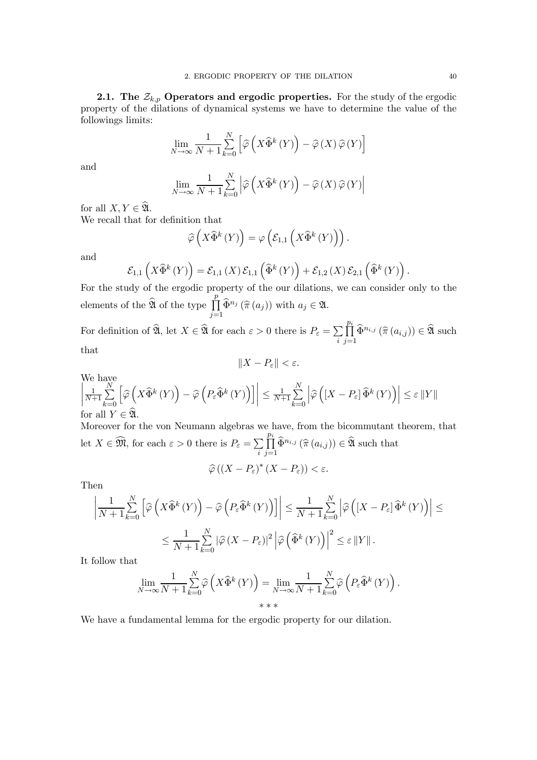2.1. The  $\mathcal{Z}_{k,p}$  Operators and ergodic properties. For the study of the ergodic property of the dilations of dynamical systems we have to determine the value of the followings limits:

$$
\lim_{N \to \infty} \frac{1}{N+1} \sum_{k=0}^{N} \left[ \widehat{\varphi} \left( X \widehat{\Phi}^k \left( Y \right) \right) - \widehat{\varphi} \left( X \right) \widehat{\varphi} \left( Y \right) \right]
$$

and

$$
\lim_{N \to \infty} \frac{1}{N+1} \sum_{k=0}^{N} \left| \widehat{\varphi} \left( X \widehat{\Phi}^k \left( Y \right) \right) - \widehat{\varphi} \left( X \right) \widehat{\varphi} \left( Y \right) \right|
$$

for all  $X, Y \in \widehat{\mathfrak{A}}$ .

We recall that for definition that

$$
\widehat{\varphi}\left(X^{\widehat{\Phi}^k}\left(Y\right)\right) = \varphi\left(\mathcal{E}_{1,1}\left(X^{\widehat{\Phi}^k}\left(Y\right)\right)\right).
$$

and

$$
\mathcal{E}_{1,1}\left(X\widehat{\Phi}^{k}\left(Y\right)\right) = \mathcal{E}_{1,1}\left(X\right)\mathcal{E}_{1,1}\left(\widehat{\Phi}^{k}\left(Y\right)\right) + \mathcal{E}_{1,2}\left(X\right)\mathcal{E}_{2,1}\left(\widehat{\Phi}^{k}\left(Y\right)\right).
$$

For the study of the ergodic property of the our dilations, we can consider only to the elements of the  $\widehat{\mathfrak{A}}$  of the type  $\prod_{i=1}^{p}$  $\prod_{j=1}^{\infty} \widehat{\Phi}^{n_j}(\widehat{\pi}(a_j))$  with  $a_j \in \mathfrak{A}$ .

For definition of  $\widehat{\mathfrak{A}}$ , let  $X \in \widehat{\mathfrak{A}}$  for each  $\varepsilon > 0$  there is  $P_{\varepsilon} = \sum_{i=1}^{n}$  $\prod^{p_i}$  $\prod_{j=1}^{n} \widehat{\Phi}^{n_{i,j}} (\widehat{\pi}(a_{i,j})) \in \widehat{\mathfrak{A}}$  such that

$$
||X - P_{\varepsilon}|| < \varepsilon.
$$

We have  
\n
$$
\left| \frac{1}{N+1} \sum_{k=0}^{N} \left[ \widehat{\varphi} \left( X \widehat{\Phi}^{k} \left( Y \right) \right) - \widehat{\varphi} \left( P_{\varepsilon} \widehat{\Phi}^{k} \left( Y \right) \right) \right] \right| \leq \frac{1}{N+1} \sum_{k=0}^{N} \left| \widehat{\varphi} \left( \left[ X - P_{\varepsilon} \right] \widehat{\Phi}^{k} \left( Y \right) \right) \right| \leq \varepsilon \left\| Y \right\|
$$
\nfor all  $Y \in \widehat{\mathfrak{A}}$ .

Moreover for the von Neumann algebras we have, from the bicommutant theorem, that let  $X \in \widehat{\mathfrak{M}}$ , for each  $\varepsilon > 0$  there is  $P_{\varepsilon} = \sum_{i=1}^{\infty}$  $\prod^{p_i}$  $\prod_{j=1}^{n} \widehat{\Phi}^{n_{i,j}}(\widehat{\pi}(a_{i,j})) \in \widehat{\mathfrak{A}}$  such that  $\widehat{\varphi}\left((X-P_{\varepsilon})^{*}(X-P_{\varepsilon})\right)<\varepsilon.$ 

Then

$$
\left| \frac{1}{N+1} \sum_{k=0}^{N} \left[ \widehat{\varphi} \left( X \widehat{\Phi}^k \left( Y \right) \right) - \widehat{\varphi} \left( P_{\varepsilon} \widehat{\Phi}^k \left( Y \right) \right) \right] \right| \leq \frac{1}{N+1} \sum_{k=0}^{N} \left| \widehat{\varphi} \left( \left[ X - P_{\varepsilon} \right] \widehat{\Phi}^k \left( Y \right) \right) \right| \leq
$$
  

$$
\leq \frac{1}{N+1} \sum_{k=0}^{N} \left| \widehat{\varphi} \left( X - P_{\varepsilon} \right) \right|^2 \left| \widehat{\varphi} \left( \widehat{\Phi}^k \left( Y \right) \right) \right|^2 \leq \varepsilon \left\| Y \right\|.
$$

It follow that

$$
\lim_{N \to \infty} \frac{1}{N+1} \sum_{k=0}^{N} \widehat{\varphi} \left( X \widehat{\Phi}^k \left( Y \right) \right) = \lim_{N \to \infty} \frac{1}{N+1} \sum_{k=0}^{N} \widehat{\varphi} \left( P_{\varepsilon} \widehat{\Phi}^k \left( Y \right) \right).
$$
\n
$$
***
$$

We have a fundamental lemma for the ergodic property for our dilation.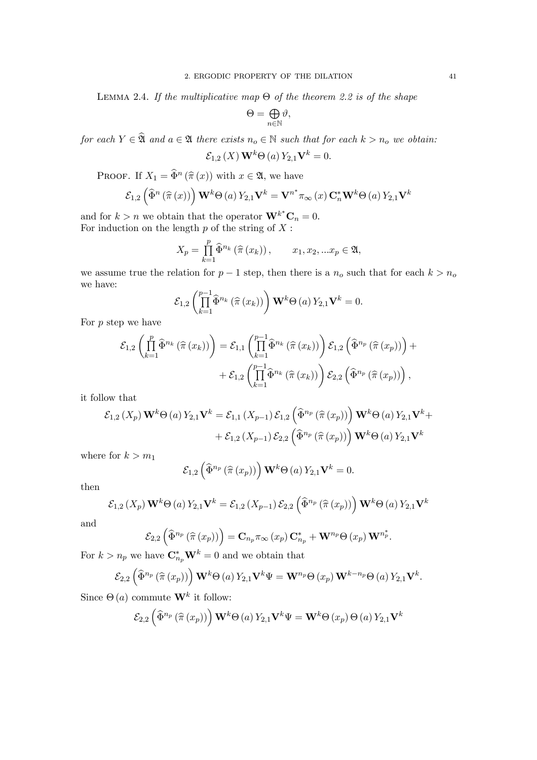LEMMA 2.4. If the multiplicative map  $\Theta$  of the theorem 2.2 is of the shape

$$
\Theta=\bigoplus_{n\in\mathbb{N}}\vartheta,
$$

for each  $Y \in \widehat{\mathfrak{A}}$  and  $a \in \mathfrak{A}$  there exists  $n_o \in \mathbb{N}$  such that for each  $k>n_o$  we obtain:

$$
\mathcal{E}_{1,2}\left(X\right)\mathbf{W}^k\Theta\left(a\right)Y_{2,1}\mathbf{V}^k=0.
$$

**PROOF.** If  $X_1 = \widehat{\Phi}^n(\widehat{\pi}(x))$  with  $x \in \mathfrak{A}$ , we have

$$
\mathcal{E}_{1,2}\left(\widehat{\Phi}^n\left(\widehat{\pi}\left(x\right)\right)\right)\mathbf{W}^k\Theta\left(a\right)Y_{2,1}\mathbf{V}^k=\mathbf{V}^{n^*}\pi_{\infty}\left(x\right)\mathbf{C}_n^*\mathbf{W}^k\Theta\left(a\right)Y_{2,1}\mathbf{V}^k
$$

and for  $k > n$  we obtain that the operator  $\mathbf{W}^{k^*} \mathbf{C}_n = 0$ . For induction on the length  $p$  of the string of  $X$ :

$$
X_p = \prod_{k=1}^p \widehat{\Phi}^{n_k}(\widehat{\pi}(x_k)), \qquad x_1, x_2, ... x_p \in \mathfrak{A},
$$

we assume true the relation for  $p-1$  step, then there is a  $n_o$  such that for each  $k>n_o$ we have:

$$
\mathcal{E}_{1,2}\left(\prod_{k=1}^{p-1} \widehat{\Phi}^{n_k}\left(\widehat{\pi}\left(x_k\right)\right)\right) \mathbf{W}^k \Theta\left(a\right) Y_{2,1} \mathbf{V}^k = 0.
$$

For  $p$  step we have

$$
\mathcal{E}_{1,2}\left(\prod_{k=1}^p \widehat{\Phi}^{n_k}\left(\widehat{\pi}\left(x_k\right)\right)\right) = \mathcal{E}_{1,1}\left(\prod_{k=1}^{p-1} \widehat{\Phi}^{n_k}\left(\widehat{\pi}\left(x_k\right)\right)\right) \mathcal{E}_{1,2}\left(\widehat{\Phi}^{n_p}\left(\widehat{\pi}\left(x_p\right)\right)\right) + + \mathcal{E}_{1,2}\left(\prod_{k=1}^{p-1} \widehat{\Phi}^{n_k}\left(\widehat{\pi}\left(x_k\right)\right)\right) \mathcal{E}_{2,2}\left(\widehat{\Phi}^{n_p}\left(\widehat{\pi}\left(x_p\right)\right)\right),
$$

it follow that

$$
\mathcal{E}_{1,2}\left(X_{p}\right)\mathbf{W}^{k}\Theta\left(a\right)Y_{2,1}\mathbf{V}^{k}=\mathcal{E}_{1,1}\left(X_{p-1}\right)\mathcal{E}_{1,2}\left(\widehat{\Phi}^{n_{p}}\left(\widehat{\pi}\left(x_{p}\right)\right)\right)\mathbf{W}^{k}\Theta\left(a\right)Y_{2,1}\mathbf{V}^{k}+\n+ \mathcal{E}_{1,2}\left(X_{p-1}\right)\mathcal{E}_{2,2}\left(\widehat{\Phi}^{n_{p}}\left(\widehat{\pi}\left(x_{p}\right)\right)\right)\mathbf{W}^{k}\Theta\left(a\right)Y_{2,1}\mathbf{V}^{k}
$$

where for  $k>m_1$ 

$$
\mathcal{E}_{1,2}\left(\widehat{\Phi}^{n_p}\left(\widehat{\pi}\left(x_p\right)\right)\right)\mathbf{W}^k\Theta\left(a\right)Y_{2,1}\mathbf{V}^k=0.
$$

then

$$
\mathcal{E}_{1,2}\left(X_{p}\right)\mathbf{W}^{k}\Theta\left(a\right)Y_{2,1}\mathbf{V}^{k}=\mathcal{E}_{1,2}\left(X_{p-1}\right)\mathcal{E}_{2,2}\left(\widehat{\Phi}^{n_{p}}\left(\widehat{\pi}\left(x_{p}\right)\right)\right)\mathbf{W}^{k}\Theta\left(a\right)Y_{2,1}\mathbf{V}^{k}
$$

and

$$
\mathcal{E}_{2,2}\left(\widehat{\Phi}^{n_p}\left(\widehat{\pi}\left(x_p\right)\right)\right)=\mathbf{C}_{n_p}\pi_{\infty}\left(x_p\right)\mathbf{C}_{n_p}^*+\mathbf{W}^{n_p}\Theta\left(x_p\right)\mathbf{W}^{n_p^*}.
$$

For  $k > n_p$  we have  $\mathbf{C}_{n_p}^* \mathbf{W}^k = 0$  and we obtain that

$$
\mathcal{E}_{2,2}\left(\widehat{\Phi}^{n_p}\left(\widehat{\pi}\left(x_p\right)\right)\right)\mathbf{W}^k\Theta\left(a\right)Y_{2,1}\mathbf{V}^k\Psi=\mathbf{W}^{n_p}\Theta\left(x_p\right)\mathbf{W}^{k-n_p}\Theta\left(a\right)Y_{2,1}\mathbf{V}^k.
$$

Since  $\Theta(a)$  commute  $\mathbf{W}^k$  it follow:

$$
\mathcal{E}_{2,2}\left(\widehat{\Phi}^{n_p}\left(\widehat{\pi}\left(x_p\right)\right)\right)\mathbf{W}^k\Theta\left(a\right)Y_{2,1}\mathbf{V}^k\Psi=\mathbf{W}^k\Theta\left(x_p\right)\Theta\left(a\right)Y_{2,1}\mathbf{V}^k
$$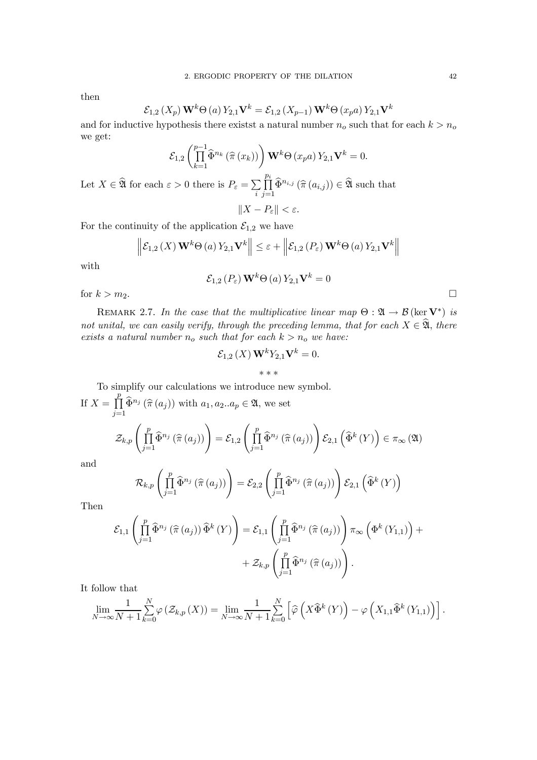then

$$
\mathcal{E}_{1,2}\left(X_p\right)\mathbf{W}^k\Theta\left(a\right)Y_{2,1}\mathbf{V}^k = \mathcal{E}_{1,2}\left(X_{p-1}\right)\mathbf{W}^k\Theta\left(x_pa\right)Y_{2,1}\mathbf{V}^k
$$

and for inductive hypothesis there exists a natural number  $n_o$  such that for each  $k>n_o$ we get:

$$
\mathcal{E}_{1,2}\left(\prod_{k=1}^{p-1} \widehat{\Phi}^{n_k}\left(\widehat{\pi}\left(x_k\right)\right)\right) \mathbf{W}^k \Theta\left(x_p a\right) Y_{2,1} \mathbf{V}^k = 0.
$$

Let  $X \in \widehat{\mathfrak{A}}$  for each  $\varepsilon > 0$  there is  $P_{\varepsilon} = \sum_{i=1}^{\infty}$  $\prod^{p_i}$  $\prod_{j=1}^{n} \widehat{\Phi}^{n_{i,j}}(\widehat{\pi}(a_{i,j})) \in \widehat{\mathfrak{A}}$  such that

 $\|X - P_{\varepsilon}\| < \varepsilon.$ 

For the continuity of the application  $\mathcal{E}_{1,2}$  we have

$$
\left\| \mathcal{E}_{1,2} \left( X \right) \mathbf{W}^k \Theta \left( a \right) Y_{2,1} \mathbf{V}^k \right\| \le \varepsilon + \left\| \mathcal{E}_{1,2} \left( P_\varepsilon \right) \mathbf{W}^k \Theta \left( a \right) Y_{2,1} \mathbf{V}^k \right\|
$$

with

$$
\mathcal{E}_{1,2}\left(P_{\varepsilon}\right)\mathbf{W}^{k}\Theta\left(a\right)Y_{2,1}\mathbf{V}^{k}=0
$$

for  $k>m_2$ .

REMARK 2.7. In the case that the multiplicative linear map  $\Theta : \mathfrak{A} \to \mathcal{B}$  (ker  $V^*$ ) is not unital, we can easily verify, through the preceding lemma, that for each  $X \in \hat{X}$ , there exists a natural number  $n_o$  such that for each  $k>n_o$  we have:

$$
\mathcal{E}_{1,2}\left(X\right)\mathbf{W}^{k}Y_{2,1}\mathbf{V}^{k}=0.
$$
  
 
$$
***
$$

To simplify our calculations we introduce new symbol. If  $X = \prod^p$  $\prod_{j=1}^{n} \widehat{\Phi}^{n_j}(\widehat{\pi}(a_j))$  with  $a_1, a_2..a_p \in \mathfrak{A}$ , we set  $\mathcal{Z}_{k,p}\left(\prod\limits_1^p\right]$  $\prod_{j=1}^p \widehat{\Phi}^{n_j} \left( \widehat{\pi} \left( a_j \right) \right) \Biggr) = \mathcal{E}_{1,2} \left( \prod_{j=1}^p \right)$  $\prod\limits_{j=1}^p\widehat{\Phi}^{n_j}\left(\widehat{\pi}\left(a_j\right)\right)\Bigg)\mathcal{E}_{2,1}$  $\left( \widehat{\Phi}^{k} \left( Y \right) \right) \in \pi_{\infty} \left( \mathfrak{A} \right)$ 

and

$$
\mathcal{R}_{k,p}\left(\prod_{j=1}^p\widehat{\Phi}^{n_j}\left(\widehat{\pi}\left(a_j\right)\right)\right)=\mathcal{E}_{2,2}\left(\prod_{j=1}^p\widehat{\Phi}^{n_j}\left(\widehat{\pi}\left(a_j\right)\right)\right)\mathcal{E}_{2,1}\left(\widehat{\Phi}^k\left(Y\right)\right)
$$

Then

$$
\mathcal{E}_{1,1}\left(\prod_{j=1}^p \widehat{\Phi}^{n_j}\left(\widehat{\pi}(a_j)\right)\widehat{\Phi}^k(Y)\right) = \mathcal{E}_{1,1}\left(\prod_{j=1}^p \widehat{\Phi}^{n_j}\left(\widehat{\pi}(a_j)\right)\right)\pi_{\infty}\left(\Phi^k(Y_{1,1})\right) + + \mathcal{Z}_{k,p}\left(\prod_{j=1}^p \widehat{\Phi}^{n_j}\left(\widehat{\pi}(a_j)\right)\right).
$$

It follow that

$$
\lim_{N \to \infty} \frac{1}{N+1} \sum_{k=0}^{N} \varphi \left( \mathcal{Z}_{k,p} \left( X \right) \right) = \lim_{N \to \infty} \frac{1}{N+1} \sum_{k=0}^{N} \left[ \widehat{\varphi} \left( X \widehat{\Phi}^{k} \left( Y \right) \right) - \varphi \left( X_{1,1} \widehat{\Phi}^{k} \left( Y_{1,1} \right) \right) \right].
$$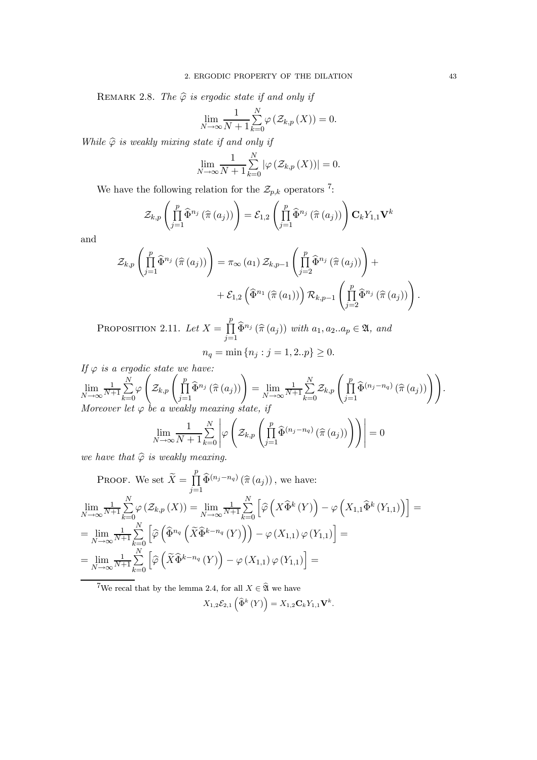REMARK 2.8. The  $\widehat{\varphi}$  is ergodic state if and only if

$$
\lim_{N \to \infty} \frac{1}{N+1} \sum_{k=0}^{N} \varphi \left( \mathcal{Z}_{k,p} \left( X \right) \right) = 0.
$$

While  $\widehat{\varphi}$  is weakly mixing state if and only if

$$
\lim_{N \to \infty} \frac{1}{N+1} \sum_{k=0}^{N} |\varphi(\mathcal{Z}_{k,p}(X))| = 0.
$$

We have the following relation for the  $\mathcal{Z}_{p,k}$  operators <sup>7</sup>:

$$
\mathcal{Z}_{k,p}\left(\prod_{j=1}^p \widehat{\Phi}^{n_j}\left(\widehat{\pi}(a_j)\right)\right) = \mathcal{E}_{1,2}\left(\prod_{j=1}^p \widehat{\Phi}^{n_j}\left(\widehat{\pi}(a_j)\right)\right) \mathbf{C}_k Y_{1,1} \mathbf{V}^k
$$

and

$$
\mathcal{Z}_{k,p}\left(\prod_{j=1}^p\widehat{\Phi}^{n_j}\left(\widehat{\pi}\left(a_j\right)\right)\right)=\pi_{\infty}\left(a_1\right)\mathcal{Z}_{k,p-1}\left(\prod_{j=2}^p\widehat{\Phi}^{n_j}\left(\widehat{\pi}\left(a_j\right)\right)\right)++\mathcal{E}_{1,2}\left(\widehat{\Phi}^{n_1}\left(\widehat{\pi}\left(a_1\right)\right)\right)\mathcal{R}_{k,p-1}\left(\prod_{j=2}^p\widehat{\Phi}^{n_j}\left(\widehat{\pi}\left(a_j\right)\right)\right).
$$

PROPOSITION 2.11. Let  $X = \prod^p$  $\prod_{j=1}^{n} \widehat{\Phi}^{n_j}(\widehat{\pi}(a_j))$  with  $a_1, a_2..a_p \in \mathfrak{A}$ , and  $n_q = \min \{ n_j : j = 1, 2..p \} \ge 0.$ 

If  $\varphi$  is a ergodic state we have:

$$
\lim_{N \to \infty} \frac{1}{N+1} \sum_{k=0}^{N} \varphi \left( \mathcal{Z}_{k,p} \left( \prod_{j=1}^{p} \widehat{\Phi}^{n_j} \left( \widehat{\pi}(a_j) \right) \right) = \lim_{N \to \infty} \frac{1}{N+1} \sum_{k=0}^{N} \mathcal{Z}_{k,p} \left( \prod_{j=1}^{p} \widehat{\Phi}^{(n_j - n_q)} \left( \widehat{\pi}(a_j) \right) \right) \right).
$$
  
Moreover let  $\varphi$  be a weakly measuring state, if

$$
\lim_{N \to \infty} \frac{1}{N+1} \sum_{k=0}^{N} \left| \varphi \left( \mathcal{Z}_{k,p} \left( \prod_{j=1}^{p} \widehat{\Phi}^{(n_j - n_q)} \left( \widehat{\pi} \left( a_j \right) \right) \right) \right) \right| = 0
$$

we have that  $\widehat{\varphi}$  is weakly meaxing.

PROOF. We set 
$$
\widetilde{X} = \prod_{j=1}^{p} \widehat{\Phi}^{(n_j - n_q)} (\widehat{\pi}(a_j))
$$
, we have:  
\n
$$
\lim_{N \to \infty} \frac{1}{N+1} \sum_{k=0}^{N} \varphi(\mathcal{Z}_{k,p}(X)) = \lim_{N \to \infty} \frac{1}{N+1} \sum_{k=0}^{N} \left[ \widehat{\varphi}\left(X \widehat{\Phi}^k(Y)\right) - \varphi\left(X_{1,1} \widehat{\Phi}^k(Y_{1,1})\right) \right] =
$$
\n
$$
= \lim_{N \to \infty} \frac{1}{N+1} \sum_{k=0}^{N} \left[ \widehat{\varphi}\left(\widehat{\Phi}^{n_q}\left(\widetilde{X} \widehat{\Phi}^{k-n_q}(Y)\right)\right) - \varphi(X_{1,1}) \varphi(Y_{1,1}) \right] =
$$
\n
$$
= \lim_{N \to \infty} \frac{1}{N+1} \sum_{k=0}^{N} \left[ \widehat{\varphi}\left(\widetilde{X} \widehat{\Phi}^{k-n_q}(Y)\right) - \varphi(X_{1,1}) \varphi(Y_{1,1}) \right] =
$$

<sup>7</sup>We recal that by the lemma 2.4, for all  $X \in \hat{\mathfrak{A}}$  we have

$$
X_{1,2}\mathcal{E}_{2,1}\left(\widehat{\Phi}^k\left(Y\right)\right)=X_{1,2}\mathbf{C}_kY_{1,1}\mathbf{V}^k.
$$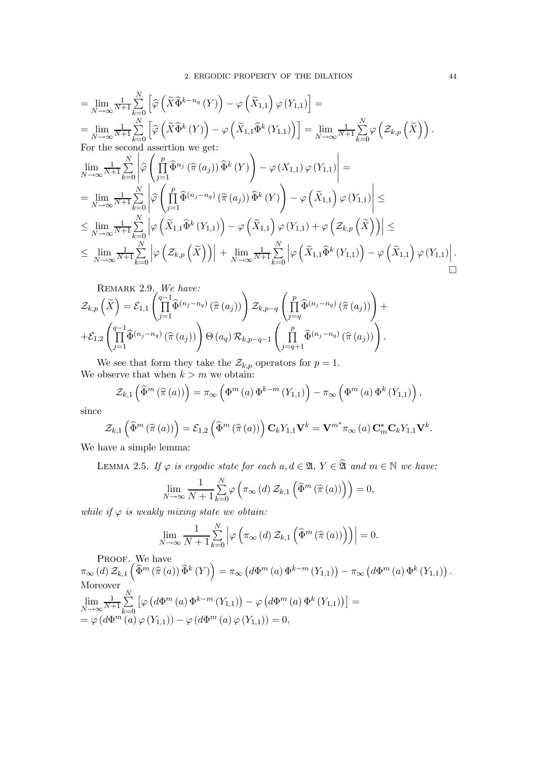$$
= \lim_{N \to \infty} \frac{1}{N+1} \sum_{k=0}^{N} \left[ \hat{\varphi} \left( \tilde{X} \hat{\Phi}^{k-n_q}(Y) \right) - \varphi \left( \tilde{X}_{1,1} \right) \varphi(Y_{1,1}) \right] =
$$
\n
$$
= \lim_{N \to \infty} \frac{1}{N+1} \sum_{k=0}^{N} \left[ \hat{\varphi} \left( \tilde{X} \hat{\Phi}^{k}(Y) \right) - \varphi \left( \tilde{X}_{1,1} \hat{\Phi}^{k}(Y_{1,1}) \right) \right] = \lim_{N \to \infty} \frac{1}{N+1} \sum_{k=0}^{N} \varphi \left( \mathcal{Z}_{k,p} \left( \tilde{X} \right) \right).
$$
\nFor the second assertion we get:\n
$$
\lim_{N \to \infty} \frac{1}{N+1} \sum_{k=0}^{N} \left| \hat{\varphi} \left( \prod_{j=1}^{p} \hat{\Phi}^{n_j} \left( \hat{\pi}(a_j) \right) \hat{\Phi}^{k}(Y) \right) - \varphi(X_{1,1}) \varphi(Y_{1,1}) \right| =
$$
\n
$$
= \lim_{N \to \infty} \frac{1}{N+1} \sum_{k=0}^{N} \left| \hat{\varphi} \left( \prod_{j=1}^{p} \hat{\Phi}^{(n_j - n_q)} \left( \hat{\pi}(a_j) \right) \hat{\Phi}^{k}(Y) \right) - \varphi \left( \tilde{X}_{1,1} \right) \varphi(Y_{1,1}) \right| \le
$$
\n
$$
\leq \lim_{N \to \infty} \frac{1}{N+1} \sum_{k=0}^{N} \left| \varphi \left( \tilde{X}_{1,1} \hat{\Phi}^{k}(Y_{1,1}) \right) - \varphi \left( \tilde{X}_{1,1} \right) \varphi(Y_{1,1}) + \varphi \left( \mathcal{Z}_{k,p} \left( \tilde{X} \right) \right) \right| \le
$$
\n
$$
\leq \lim_{N \to \infty} \frac{1}{N+1} \sum_{k=0}^{N} \left| \varphi \left( \tilde{Z}_{k,p} \left( \tilde{X} \right) \right) \right| + \lim_{N \to \infty} \frac{
$$

REMARK 2.9. We have:  
\n
$$
\mathcal{Z}_{k,p}(\widetilde{X}) = \mathcal{E}_{1,1}\left(\prod_{j=1}^{q-1} \widehat{\Phi}^{(n_j - n_q)}(\widehat{\pi}(a_j))\right) \mathcal{Z}_{k,p-q}\left(\prod_{j=q}^{p} \widehat{\Phi}^{(n_j - n_q)}(\widehat{\pi}(a_j))\right) + \n+ \mathcal{E}_{1,2}\left(\prod_{j=1}^{q-1} \widehat{\Phi}^{(n_j - n_q)}(\widehat{\pi}(a_j))\right) \Theta(a_q) \mathcal{R}_{k,p-q-1}\left(\prod_{j=q+1}^{p} \widehat{\Phi}^{(n_j - n_q)}(\widehat{\pi}(a_j))\right).
$$

We see that form they take the  $\mathcal{Z}_{k,p}$  operators for  $p=1$ . We observe that when  $k>m$  we obtain:

$$
\mathcal{Z}_{k,1}\left(\widehat{\Phi}^m\left(\widehat{\pi}\left(a\right)\right)\right)=\pi_{\infty}\left(\Phi^m\left(a\right)\Phi^{k-m}\left(Y_{1,1}\right)\right)-\pi_{\infty}\left(\Phi^m\left(a\right)\Phi^k\left(Y_{1,1}\right)\right),\,
$$

since

$$
\mathcal{Z}_{k,1}\left(\widehat{\Phi}^m\left(\widehat{\pi}\left(a\right)\right)\right) = \mathcal{E}_{1,2}\left(\widehat{\Phi}^m\left(\widehat{\pi}\left(a\right)\right)\right)\mathbf{C}_k Y_{1,1} \mathbf{V}^k = \mathbf{V}^{m^*} \pi_{\infty}\left(a\right) \mathbf{C}_m^* \mathbf{C}_k Y_{1,1} \mathbf{V}^k.
$$

We have a simple lemma:

LEMMA 2.5. If  $\varphi$  is ergodic state for each  $a, d \in \mathfrak{A}, Y \in \widehat{\mathfrak{A}}$  and  $m \in \mathbb{N}$  we have:

$$
\lim_{N \to \infty} \frac{1}{N+1} \sum_{k=0}^{N} \varphi \left( \pi_{\infty} \left( d \right) \mathcal{Z}_{k,1} \left( \widehat{\Phi}^m \left( \widehat{\pi} \left( a \right) \right) \right) \right) = 0,
$$

while if  $\varphi$  is weakly mixing state we obtain:

$$
\lim_{N \to \infty} \frac{1}{N+1} \sum_{k=0}^{N} \left| \varphi \left( \pi_{\infty} \left( d \right) \mathcal{Z}_{k,1} \left( \widehat{\Phi}^{m} \left( \widehat{\pi} \left( a \right) \right) \right) \right) \right| = 0.
$$

PROOF. We have  $\pi_{\infty}(d) \mathcal{Z}_{k,1}(\widehat{\Phi}^m(\widehat{\pi}(a))\widehat{\Phi}^k(Y)) = \pi_{\infty}(d\Phi^m(a)\Phi^{k-m}(Y_{1,1})) - \pi_{\infty}(d\Phi^m(a)\Phi^k(Y_{1,1})).$ Moreover lim  $N\rightarrow\infty$ 1  $\frac{1}{N+1}\sum_{n=1}^{N}$  $k=0$  $\left[\varphi\left(d\Phi^{m}\left(a\right)\Phi^{k-m}\left(Y_{1,1}\right)\right)-\varphi\left(d\Phi^{m}\left(a\right)\Phi^{k}\left(Y_{1,1}\right)\right)\right]=$ =  $\varphi(d\Phi^{m}(a)\varphi(Y_{1,1})) - \varphi(d\Phi^{m}(a)\varphi(Y_{1,1})) = 0,$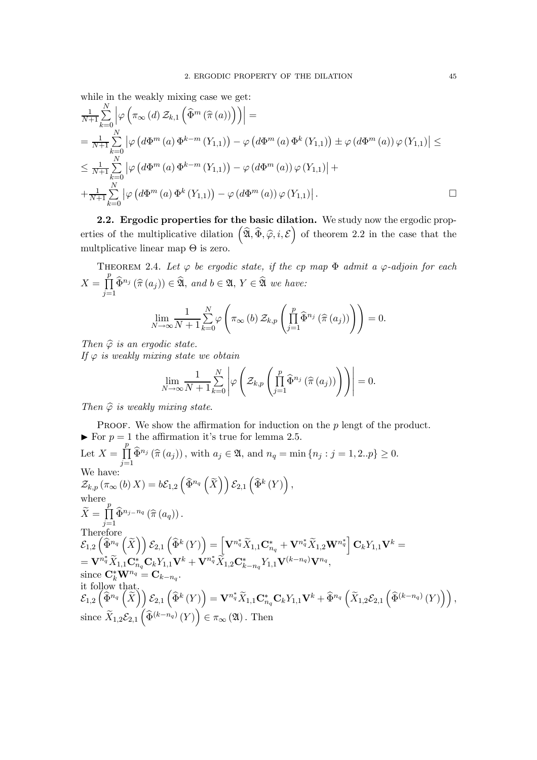while in the weakly mixing case we get:

$$
\frac{1}{N+1} \sum_{k=0}^{N} \left| \varphi \left( \pi_{\infty} \left( d \right) \mathcal{Z}_{k,1} \left( \widehat{\Phi}^{m} \left( \widehat{\pi} \left( a \right) \right) \right) \right) \right| =
$$
\n
$$
= \frac{1}{N+1} \sum_{k=0}^{N} \left| \varphi \left( d\Phi^{m} \left( a \right) \Phi^{k-m} \left( Y_{1,1} \right) \right) - \varphi \left( d\Phi^{m} \left( a \right) \Phi^{k} \left( Y_{1,1} \right) \right) \pm \varphi \left( d\Phi^{m} \left( a \right) \varphi \left( Y_{1,1} \right) \right) \right| \le
$$
\n
$$
\leq \frac{1}{N+1} \sum_{k=0}^{N} \left| \varphi \left( d\Phi^{m} \left( a \right) \Phi^{k-m} \left( Y_{1,1} \right) \right) - \varphi \left( d\Phi^{m} \left( a \right) \varphi \left( Y_{1,1} \right) \right) \right| +
$$
\n
$$
+ \frac{1}{N+1} \sum_{k=0}^{N} \left| \varphi \left( d\Phi^{m} \left( a \right) \Phi^{k} \left( Y_{1,1} \right) \right) - \varphi \left( d\Phi^{m} \left( a \right) \varphi \left( Y_{1,1} \right) \right) \right|.
$$

2.2. Ergodic properties for the basic dilation. We study now the ergodic properties of the multiplicative dilation  $(\widehat{\mathfrak{A}}, \widehat{\Phi}, \widehat{\varphi}, i, \mathcal{E})$  of theorem 2.2 in the case that the multplicative linear map  $\Theta$  is zero.

THEOREM 2.4. Let  $\varphi$  be ergodic state, if the cp map  $\Phi$  admit a  $\varphi$ -adjoin for each  $X = \prod^p$  $\prod_{j=1}^{n} \widehat{\Phi}^{n_j}(\widehat{\pi}(a_j)) \in \widehat{\mathfrak{A}}$ , and  $b \in \mathfrak{A}$ ,  $Y \in \widehat{\mathfrak{A}}$  we have:

$$
\lim_{N \to \infty} \frac{1}{N+1} \sum_{k=0}^{N} \varphi \left( \pi_{\infty} (b) \mathcal{Z}_{k,p} \left( \prod_{j=1}^{p} \widehat{\Phi}^{n_{j}} \left( \widehat{\pi} (a_{j}) \right) \right) \right) = 0.
$$

Then  $\widehat{\varphi}$  is an ergodic state.

If  $\varphi$  is weakly mixing state we obtain

$$
\lim_{N \to \infty} \frac{1}{N+1} \sum_{k=0}^{N} \left| \varphi \left( \mathcal{Z}_{k,p} \left( \prod_{j=1}^{p} \widehat{\Phi}^{n_{j}} \left( \widehat{\pi} \left( a_{j} \right) \right) \right) \right) \right| = 0.
$$

Then  $\widehat{\varphi}$  is weakly mixing state.

**PROOF.** We show the affirmation for induction on the  $p$  lengt of the product. ► For  $p = 1$  the affirmation it's true for lemma 2.5.

Let 
$$
X = \prod_{j=1}^{r} \widehat{\Phi}^{n_j}(\widehat{\pi}(a_j))
$$
, with  $a_j \in \mathfrak{A}$ , and  $n_q = \min\{n_j : j = 1, 2..p\} \geq 0$ . We have:\n $\mathcal{Z}_{k,p}(\pi_{\infty}(b) X) = b\mathcal{E}_{1,2}(\widehat{\Phi}^{n_q}(\widetilde{X})) \mathcal{E}_{2,1}(\widehat{\Phi}^k(Y)),$ \nwhere\n $\widetilde{X} = \prod_{j=1}^{p} \widehat{\Phi}^{n_j - n_q}(\widehat{\pi}(a_q)).$ \nTherefore\n $\mathcal{E}_{1,2}(\widehat{\Phi}^{n_q}(\widetilde{X})) \mathcal{E}_{2,1}(\widehat{\Phi}^k(Y)) = \left[\mathbf{V}^{n_q^*} \widetilde{X}_{1,1} \mathbf{C}_{n_q}^* + \mathbf{V}^{n_q^*} \widetilde{X}_{1,2} \mathbf{W}^{n_q^*}\right] \mathbf{C}_k Y_{1,1} \mathbf{V}^k =$ \n $= \mathbf{V}^{n_q^*} \widetilde{X}_{1,1} \mathbf{C}_{n_q}^* \mathbf{C}_k Y_{1,1} \mathbf{V}^k + \mathbf{V}^{n_q^*} \widetilde{X}_{1,2} \mathbf{C}_{k-n_q}^* Y_{1,1} \mathbf{V}^{(k-n_q)} \mathbf{V}^{n_q},$ \nsince  $\mathbf{C}_k^* \mathbf{W}^{n_q} = \mathbf{C}_{k-n_q}$ :\nit follow that:\n $\mathcal{E}_{1,2}(\widehat{\Phi}^{n_q}(\widetilde{X})) \mathcal{E}_{2,1}(\widehat{\Phi}^k(Y)) = \mathbf{V}^{n_q^*} \widetilde{X}_{1,1} \mathbf{C}_{n_q}^* \mathbf{C}_k Y_{1,1} \mathbf{V}^k + \widehat{\Phi}^{n_q}(\widetilde{X}_{1,2} \mathcal{E}_{2,1}(\widehat{\Phi}^{(k-n_q)}(Y)),$ \nsince  $\widetilde{X}_{1,2} \mathcal{E}_{2,1}(\widehat{\Phi}^{(k-n_q)}(Y)) \in \pi$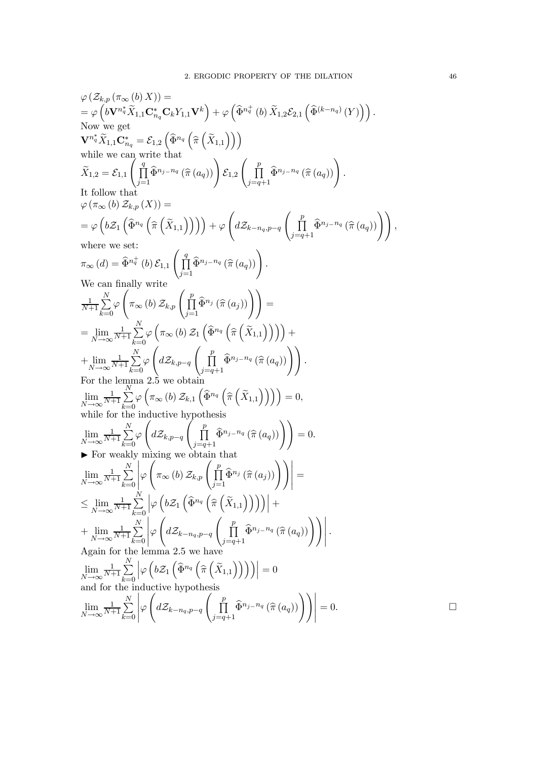$$
\varphi(Z_{k,p}(\pi_{\infty}(b) X)) =
$$
\n
$$
= \varphi \left( bV^{n_{\circ}^{+}} \tilde{X}_{1,1} \mathbf{C}_{n_{q}}^{*} \mathbf{C}_{k} Y_{1,1} \mathbf{V}^{k} \right) + \varphi \left( \tilde{\Phi}^{n_{\circ}^{+}} (b) \tilde{X}_{1,2} \mathcal{E}_{2,1} \left( \tilde{\Phi}^{(k-n_{q})} (Y) \right) \right).
$$
\nNow we get\n
$$
\mathbf{V}^{n_{\circ}} \tilde{X}_{1,1} \mathbf{C}_{n_{q}}^{*} = \mathcal{E}_{1,2} \left( \tilde{\Phi}^{n_{q}} \left( \tilde{\pi} \left( \tilde{X}_{1,1} \right) \right) \right)
$$
\n
$$
\tilde{X}_{1,2} = \mathcal{E}_{1,1} \left( \prod_{j=1}^{q} \tilde{\Phi}^{n_{j-1}n_{q}} \left( \tilde{\pi} \left( \tilde{\alpha}_{q} \right) \right) \right) \mathcal{E}_{1,2} \left( \prod_{j=q+1}^{p} \tilde{\Phi}^{n_{j-1}n_{q}} \left( \tilde{\pi} \left( \alpha_{q} \right) \right) \right).
$$
\nIt follows that\n
$$
\varphi(\pi_{\infty}(b) Z_{k,p}(X)) =
$$
\n
$$
\varphi \left( bZ_{1} \left( \tilde{\Phi}^{n_{q}} \left( \tilde{\pi} \left( \tilde{X}_{1,1} \right) \right) \right) \right) + \varphi \left( dZ_{k-n_{q},p-q} \left( \prod_{j=q+1}^{p} \tilde{\Phi}^{n_{j-1}n_{q}} \left( \tilde{\pi} \left( \alpha_{q} \right) \right) \right) \right),
$$
\nwhere we set:\n
$$
\pi_{\infty}(d) = \tilde{\Phi}^{n_{\circ}^{+}}_{q} \left( b \right) \mathcal{E}_{1,1} \left( \prod_{j=1}^{q} \tilde{\Phi}^{n_{j}} \left( \tilde{\pi} \left( \alpha_{j} \right) \right) \right) \right) =
$$
\n
$$
\frac{1}{N+1} \sum_{k=0}^{N} \varphi \left( \pi_{\infty}(b)
$$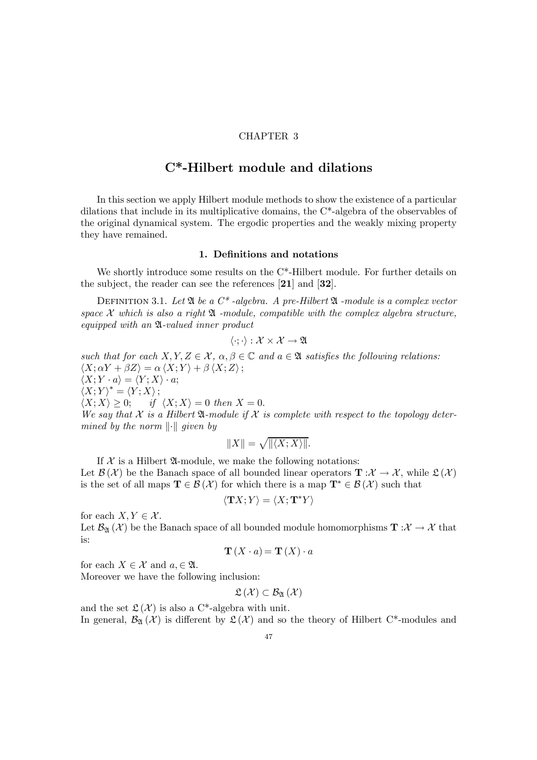# CHAPTER 3

# C\*-Hilbert module and dilations

In this section we apply Hilbert module methods to show the existence of a particular dilations that include in its multiplicative domains, the C\*-algebra of the observables of the original dynamical system. The ergodic properties and the weakly mixing property they have remained.

### 1. Definitions and notations

We shortly introduce some results on the C<sup>\*</sup>-Hilbert module. For further details on the subject, the reader can see the references [21] and [32].

DEFINITION 3.1. Let  $\mathfrak A$  be a  $C^*$ -algebra. A pre-Hilbert  $\mathfrak A$ -module is a complex vector space  $\mathcal X$  which is also a right  $\mathfrak A$  -module, compatible with the complex algebra structure, equipped with an A-valued inner product

$$
\langle \cdot; \cdot \rangle : \mathcal{X} \times \mathcal{X} \to \mathfrak{A}
$$

such that for each  $X, Y, Z \in \mathcal{X}, \alpha, \beta \in \mathbb{C}$  and  $a \in \mathfrak{A}$  satisfies the following relations:  $\langle X; \alpha Y + \beta Z \rangle = \alpha \langle X; Y \rangle + \beta \langle X; Z \rangle;$  $\langle X; Y \cdot a \rangle = \langle Y; X \rangle \cdot a;$  $\langle X;Y\rangle^* = \langle Y;X\rangle;$  $\langle X; X \rangle \geq 0;$  if  $\langle X; X \rangle = 0$  then  $X = 0$ . We say that  $X$  is a Hilbert  $\mathfrak A$ -module if  $X$  is complete with respect to the topology deter-

$$
||X|| = \sqrt{||\langle X;X\rangle||}.
$$

If  $X$  is a Hilbert  $\mathfrak{A}\text{-module}$ , we make the following notations: Let  $\mathcal{B}(\mathcal{X})$  be the Banach space of all bounded linear operators  $\mathbf{T}:\mathcal{X}\to\mathcal{X}$ , while  $\mathfrak{L}(\mathcal{X})$ is the set of all maps  $\mathbf{T} \in \mathcal{B}(\mathcal{X})$  for which there is a map  $\mathbf{T}^* \in \mathcal{B}(\mathcal{X})$  such that

$$
\langle \mathbf{T} X; Y \rangle = \langle X; \mathbf{T}^* Y \rangle
$$

for each  $X, Y \in \mathcal{X}$ .

Let  $\mathcal{B}_{\mathfrak{A}}(\mathcal{X})$  be the Banach space of all bounded module homomorphisms  $\mathbf{T} : \mathcal{X} \to \mathcal{X}$  that is:

$$
\mathbf{T}(X \cdot a) = \mathbf{T}(X) \cdot a
$$

for each  $X \in \mathcal{X}$  and  $a \in \mathfrak{A}$ .

mined by the norm  $\|\cdot\|$  given by

Moreover we have the following inclusion:

$$
\mathfrak{L}\left(\mathcal{X}\right)\subset\mathcal{B}_{\mathfrak{A}}\left(\mathcal{X}\right)
$$

and the set  $\mathfrak{L}(\mathcal{X})$  is also a C<sup>\*</sup>-algebra with unit. In general,  $\mathcal{B}_{\mathfrak{A}}(\mathcal{X})$  is different by  $\mathfrak{L}(\mathcal{X})$  and so the theory of Hilbert C<sup>\*</sup>-modules and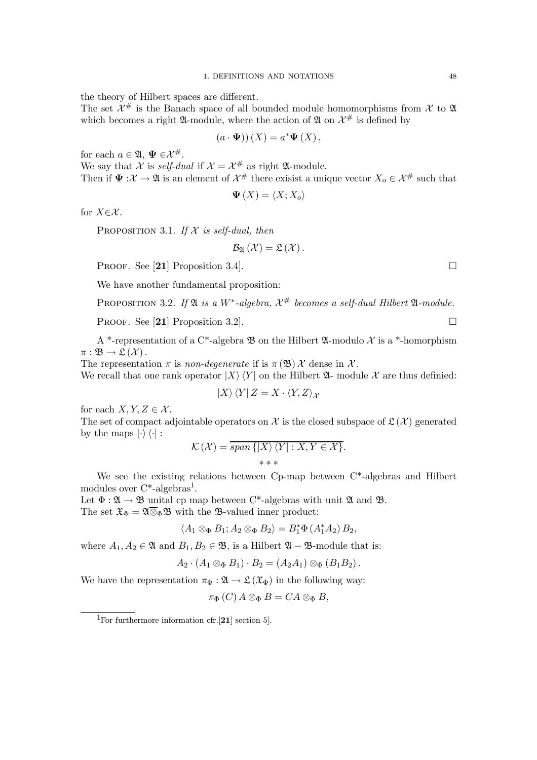the theory of Hilbert spaces are different.

The set  $\mathcal{X}^{\#}$  is the Banach space of all bounded module homomorphisms from  $\mathcal{X}$  to  $\mathfrak{A}$ which becomes a right  $\mathfrak{A}\text{-module}$ , where the action of  $\mathfrak{A}$  on  $\mathcal{X}^{\#}$  is defined by

$$
(a \cdot \mathbf{\Psi}))(X) = a^* \mathbf{\Psi}(X),
$$

for each  $a \in \mathfrak{A}, \ \Psi \in \mathcal{X}^{\#}.$ 

We say that X is self-dual if  $\mathcal{X} = \mathcal{X}^{\#}$  as right  $\mathfrak{A}\text{-module}$ . Then if  $\Psi : \mathcal{X} \to \mathfrak{A}$  is an element of  $\mathcal{X}^{\#}$  there exisist a unique vector  $X_o \in \mathcal{X}^{\#}$  such that

$$
\mathbf{\Psi}\left(X\right)=\left\langle X;X_{o}\right\rangle
$$

for  $X\in\mathcal{X}$ .

PROPOSITION 3.1. If  $X$  is self-dual, then

$$
\mathcal{B}_{\mathfrak{A}}\left(\mathcal{X}\right)=\mathfrak{L}\left(\mathcal{X}\right).
$$

PROOF. See [21] Proposition 3.4].

We have another fundamental proposition:

PROPOSITION 3.2. If  $\mathfrak A$  is a W<sup>\*</sup>-algebra,  $\mathcal X^{\#}$  becomes a self-dual Hilbert  $\mathfrak A$ -module.

PROOF. See [21] Proposition 3.2].

A \*-representation of a C\*-algebra  $\mathfrak{B}$  on the Hilbert  $\mathfrak{A}\text{-modul}$  X is a \*-homorphism  $\pi : \mathfrak{B} \to \mathfrak{L}(\mathcal{X})$ .

The representation  $\pi$  is *non-degenerate* if is  $\pi(\mathfrak{B})\mathcal{X}$  dense in  $\mathcal{X}$ .

We recall that one rank operator  $|X\rangle\langle Y|$  on the Hilbert  $\mathfrak{A}$ -module X are thus definied:

$$
\ket{X}\bra{Y}Z=X\cdot\langle Y,Z\rangle_{\mathcal{X}}
$$

for each  $X, Y, Z \in \mathcal{X}$ .

The set of compact adjointable operators on X is the closed subspace of  $\mathfrak{L}(\mathcal{X})$  generated by the maps  $|\cdot\rangle \langle \cdot|$ :

$$
\mathcal{K}(\mathcal{X}) = \overline{span\left\{ |X\rangle\langle Y| : X, Y \in \mathcal{X} \right\}}.
$$
  
\*\*\*

We see the existing relations between Cp-map between  $C^*$ -algebras and Hilbert modules over  $C^*$ -algebras<sup>1</sup>.

Let  $\Phi : \mathfrak{A} \to \mathfrak{B}$  unital cp map between C\*-algebras with unit  $\mathfrak{A}$  and  $\mathfrak{B}$ . The set  $\mathfrak{X}_{\Phi} = \mathfrak{A} \overline{\otimes}_{\Phi} \mathfrak{B}$  with the **B**-valued inner product:

$$
\langle A_1 \otimes_{\Phi} B_1; A_2 \otimes_{\Phi} B_2 \rangle = B_1^* \Phi \left( A_1^* A_2 \right) B_2,
$$

where  $A_1, A_2 \in \mathfrak{A}$  and  $B_1, B_2 \in \mathfrak{B}$ , is a Hilbert  $\mathfrak{A} - \mathfrak{B}$ -module that is:

$$
A_2 \cdot (A_1 \otimes_{\Phi} B_1) \cdot B_2 = (A_2 A_1) \otimes_{\Phi} (B_1 B_2).
$$

We have the representation  $\pi_{\Phi}: \mathfrak{A} \to \mathfrak{L}(\mathfrak{X}_{\Phi})$  in the following way:

$$
\pi_{\Phi}(C) A \otimes_{\Phi} B = CA \otimes_{\Phi} B,
$$

<sup>&</sup>lt;sup>1</sup>For furthermore information cfr. [21] section 5].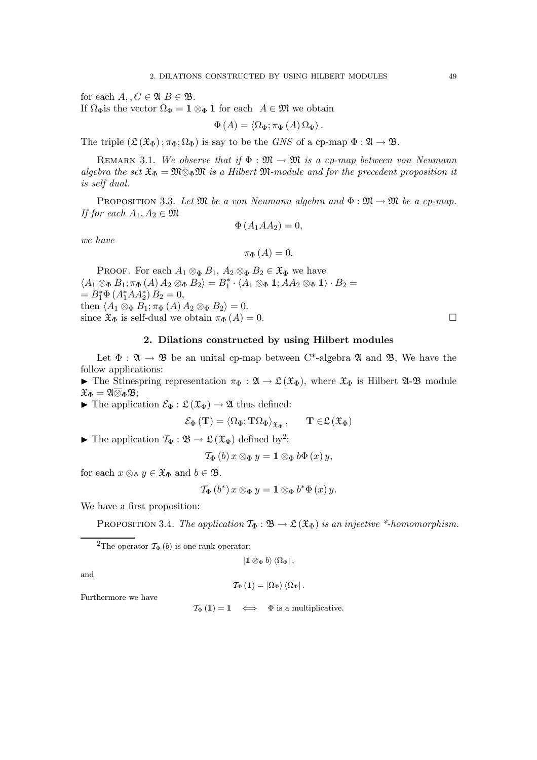for each  $A, C \in \mathfrak{A}$   $B \in \mathfrak{B}$ . If  $\Omega_{\Phi}$  is the vector  $\Omega_{\Phi} = 1 \otimes_{\Phi} 1$  for each  $A \in \mathfrak{M}$  we obtain

$$
\Phi(A) = \langle \Omega_{\Phi}; \pi_{\Phi}(A) \,\Omega_{\Phi} \rangle \,.
$$

The triple  $(\mathfrak{L}(\mathfrak{X}_{\Phi}); \pi_{\Phi}; \Omega_{\Phi})$  is say to be the GNS of a cp-map  $\Phi : \mathfrak{A} \to \mathfrak{B}$ .

REMARK 3.1. We observe that if  $\Phi : \mathfrak{M} \to \mathfrak{M}$  is a cp-map between von Neumann algebra the set  $\mathfrak{X}_{\Phi} = \mathfrak{M} \overline{\otimes}_{\Phi} \mathfrak{M}$  is a Hilbert  $\mathfrak{M}$ -module and for the precedent proposition it is self dual.

PROPOSITION 3.3. Let  $\mathfrak{M}$  be a von Neumann algebra and  $\Phi : \mathfrak{M} \to \mathfrak{M}$  be a cp-map. If for each  $A_1, A_2 \in \mathfrak{M}$ 

$$
\Phi\left(A_1AA_2\right)=0,
$$

we have

$$
\pi_{\Phi}\left(A\right)=0.
$$

PROOF. For each  $A_1 \otimes_{\Phi} B_1$ ,  $A_2 \otimes_{\Phi} B_2 \in \mathfrak{X}_{\Phi}$  we have  $\langle A_1\otimes_\Phi B_1;\pi_\Phi\left(A\right)A_2\otimes_\Phi B_2\rangle=B_1^*\cdot\langle A_1\otimes_\Phi \mathbf{1}; AA_2\otimes_\Phi \mathbf{1}\rangle\cdot B_2=$  $= B_1^* \Phi \left( A_1^* A A_2^* \right) B_2 = 0,$ then  $\langle A_1 \otimes_{\Phi} B_1; \pi_{\Phi} (A) A_2 \otimes_{\Phi} B_2 \rangle = 0.$ since  $\mathfrak{X}_{\Phi}$  is self-dual we obtain  $\pi_{\Phi}(A)=0$ .

### 2. Dilations constructed by using Hilbert modules

Let  $\Phi : \mathfrak{A} \to \mathfrak{B}$  be an unital cp-map between C<sup>\*</sup>-algebra  $\mathfrak{A}$  and  $\mathfrak{B}$ , We have the follow applications:

**►** The Stinespring representation  $\pi_{\Phi}: \mathfrak{A} \to \mathfrak{L}(\mathfrak{X}_{\Phi})$ , where  $\mathfrak{X}_{\Phi}$  is Hilbert  $\mathfrak{A}\text{-}\mathfrak{B}$  module  $\mathfrak{X}_{\Phi} = \mathfrak{A} \overline{\otimes}_{\Phi} \mathfrak{B};$ 

► The application  $\mathcal{E}_{\Phi}: \mathfrak{L}(\mathfrak{X}_{\Phi}) \to \mathfrak{A}$  thus defined:

$$
\mathcal{E}_{\Phi}(\mathbf{T}) = \langle \Omega_{\Phi}; \mathbf{T} \Omega_{\Phi} \rangle_{\mathfrak{X}_{\Phi}}, \qquad \mathbf{T} \in \mathfrak{L}(\mathfrak{X}_{\Phi})
$$

► The application  $\mathcal{T}_{\Phi}: \mathfrak{B} \to \mathfrak{L}(\mathfrak{X}_{\Phi})$  defined by<sup>2</sup>:

$$
\mathcal{T}_{\Phi}\left(b\right)x\otimes_{\Phi}y=\mathbf{1}\otimes_{\Phi}b\Phi\left(x\right)y,
$$

for each  $x \otimes_{\Phi} y \in \mathfrak{X}_{\Phi}$  and  $b \in \mathfrak{B}$ .

$$
\mathcal{T}_{\Phi}\left(b^{*}\right)x\otimes_{\Phi}y=\mathbf{1}\otimes_{\Phi}b^{*}\Phi\left(x\right)y.
$$

We have a first proposition:

PROPOSITION 3.4. The application  $\mathcal{T}_{\Phi}: \mathfrak{B} \to \mathfrak{L}(\mathfrak{X}_{\Phi})$  is an injective \*-homomorphism.

<sup>2</sup>The operator  $\mathcal{T}_{\Phi}$  (b) is one rank operator:

$$
\ket{\mathbf{1}\otimes_{\Phi} b}\bra{\Omega_{\Phi}},
$$

and

$$
\mathcal{T}_{\Phi}\left(\mathbf{1}\right)=\left|\Omega_{\Phi}\right\rangle \left\langle \Omega_{\Phi}\right|.
$$

Furthermore we have

$$
\mathcal{T}_{\Phi}\left(\mathbf{1}\right)=\mathbf{1}\quad\Longleftrightarrow\quad\Phi\text{ is a multiplicative.}
$$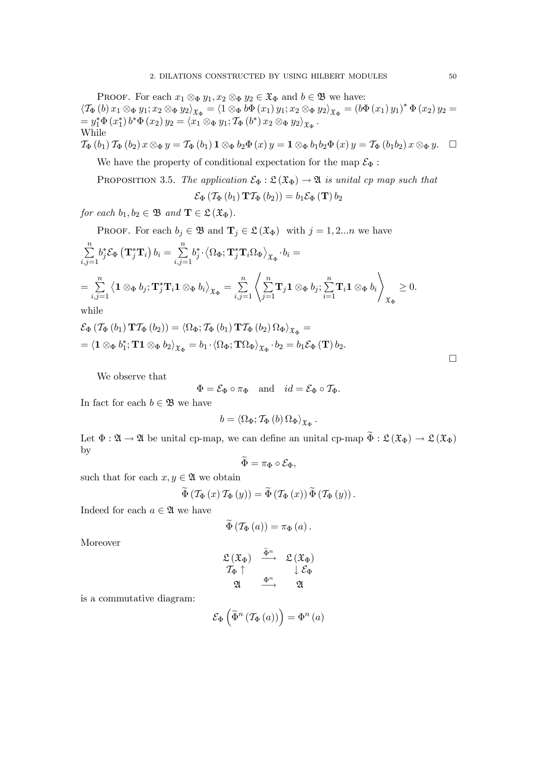PROOF. For each  $x_1 \otimes_{\Phi} y_1, x_2 \otimes_{\Phi} y_2 \in \mathfrak{X}_{\Phi}$  and  $b \in \mathfrak{B}$  we have:  $\langle \mathcal{T}_{\Phi}\left( b\right) x_{1}\otimes_{\Phi}y_{1};x_{2}\otimes_{\Phi}y_{2}\rangle_{\mathfrak{X}_{\Phi}}=\langle 1\otimes_{\Phi}b\Phi\left( x_{1}\right) y_{1};x_{2}\otimes_{\Phi}y_{2}\rangle_{\mathfrak{X}_{\Phi}}=\left( b\Phi\left( x_{1}\right) y_{1}\right) ^{\ast}\Phi\left( x_{2}\right) y_{2}=0$  $= y_1^* \Phi\left(x_1^*\right) b^* \Phi\left(x_2\right) y_2 = \langle x_1 \otimes_\Phi y_1; \mathcal{T}_\Phi\left(b^*\right) x_2 \otimes_\Phi y_2 \rangle_{\mathfrak{X}_\Phi}.$ While  $\mathcal{T}_{\Phi}\left(b_{1}\right) \mathcal{T}_{\Phi}\left(b_{2}\right) x \otimes_{\Phi} y = \mathcal{T}_{\Phi}\left(b_{1}\right) \mathbf{1} \otimes_{\Phi} b_{2} \Phi\left(x\right) y = \mathbf{1} \otimes_{\Phi} b_{1} b_{2} \Phi\left(x\right) y = \mathcal{T}_{\Phi}\left(b_{1} b_{2}\right) x \otimes_{\Phi} y. \quad \Box$ 

We have the property of conditional expectation for the map 
$$
\mathcal{E}_{\Phi}
$$
:

PROPOSITION 3.5. The application  $\mathcal{E}_{\Phi}: \mathfrak{L}(\mathfrak{X}_{\Phi}) \to \mathfrak{A}$  is unital cp map such that

$$
\mathcal{E}_{\Phi}\left(\mathcal{T}_{\Phi}\left(b_{1}\right)\mathbf{T}\mathcal{T}_{\Phi}\left(b_{2}\right)\right)=b_{1}\mathcal{E}_{\Phi}\left(\mathbf{T}\right)b_{2}
$$

for each  $b_1, b_2 \in \mathfrak{B}$  and  $\mathbf{T} \in \mathfrak{L}(\mathfrak{X}_{\Phi})$ .

**PROOF.** For each  $b_j \in \mathfrak{B}$  and  $\mathbf{T}_j \in \mathfrak{L}(\mathfrak{X}_{\Phi})$  with  $j = 1, 2...n$  we have

$$
\sum_{i,j=1}^n b_j^* \mathcal{E}_{\Phi} \left( \mathbf{T}_j^* \mathbf{T}_i \right) b_i = \sum_{i,j=1}^n b_j^* \cdot \left\langle \Omega_{\Phi}; \mathbf{T}_j^* \mathbf{T}_i \Omega_{\Phi} \right\rangle_{\mathfrak{X}_{\Phi}} \cdot b_i =
$$
\n
$$
= \sum_{i,j=1}^n \left\langle \mathbf{1} \otimes_{\Phi} b_j; \mathbf{T}_j^* \mathbf{T}_i \mathbf{1} \otimes_{\Phi} b_i \right\rangle_{\mathfrak{X}_{\Phi}} = \sum_{i,j=1}^n \left\langle \sum_{j=1}^n \mathbf{T}_j \mathbf{1} \otimes_{\Phi} b_j; \sum_{i=1}^n \mathbf{T}_i \mathbf{1} \otimes_{\Phi} b_i \right\rangle_{\mathfrak{X}_{\Phi}} \ge 0.
$$

while

$$
\mathcal{E}_{\Phi} (\mathcal{T}_{\Phi} (b_1) \mathbf{T} \mathcal{T}_{\Phi} (b_2)) = \langle \Omega_{\Phi}; \mathcal{T}_{\Phi} (b_1) \mathbf{T} \mathcal{T}_{\Phi} (b_2) \Omega_{\Phi} \rangle_{\mathfrak{X}_{\Phi}} = = \langle \mathbf{1} \otimes_{\Phi} b_1^*; \mathbf{T} \mathbf{1} \otimes_{\Phi} b_2 \rangle_{\mathfrak{X}_{\Phi}} = b_1 \cdot \langle \Omega_{\Phi}; \mathbf{T} \Omega_{\Phi} \rangle_{\mathfrak{X}_{\Phi}} \cdot b_2 = b_1 \mathcal{E}_{\Phi} (\mathbf{T}) b_2.
$$

We observe that

$$
\Phi = \mathcal{E}_{\Phi} \circ \pi_{\Phi}
$$
 and  $id = \mathcal{E}_{\Phi} \circ \mathcal{T}_{\Phi}$ .

In fact for each  $b \in \mathfrak{B}$  we have

$$
b = \langle \Omega_{\Phi}; \mathcal{T}_{\Phi} (b) \,\Omega_{\Phi} \rangle_{\mathfrak{X}_{\Phi}}.
$$

Let  $\Phi : \mathfrak{A} \to \mathfrak{A}$  be unital cp-map, we can define an unital cp-map  $\widetilde{\Phi} : \mathfrak{L}(\mathfrak{X}_{\Phi}) \to \mathfrak{L}(\mathfrak{X}_{\Phi})$ by

$$
\Phi = \pi_{\Phi} \circ \mathcal{E}_{\Phi},
$$

such that for each  $x, y \in \mathfrak{A}$  we obtain

$$
\widetilde{\Phi}\left(\mathcal{T}_{\Phi}\left(x\right)\mathcal{T}_{\Phi}\left(y\right)\right)=\widetilde{\Phi}\left(\mathcal{T}_{\Phi}\left(x\right)\right)\widetilde{\Phi}\left(\mathcal{T}_{\Phi}\left(y\right)\right).
$$

Indeed for each  $a \in \mathfrak{A}$  we have

$$
\widetilde{\Phi}\left(\mathcal{T}_{\Phi}\left(a\right)\right)=\pi_{\Phi}\left(a\right).
$$

Moreover

$$
\begin{array}{ccc}\n\mathfrak{L}\left(\mathfrak{X}_{\Phi}\right) & \xrightarrow{\tilde{\Phi}^n} & \mathfrak{L}\left(\mathfrak{X}_{\Phi}\right) \\
\mathcal{T}_{\Phi} \uparrow & & \downarrow \mathcal{E}_{\Phi} \\
\mathfrak{A} & \xrightarrow{\Phi^n} & \mathfrak{A}\n\end{array}
$$

is a commutative diagram:

$$
\mathcal{E}_{\Phi}\left(\widetilde{\Phi}^{n}\left(\mathcal{T}_{\Phi}\left(a\right)\right)\right)=\Phi^{n}\left(a\right)
$$

 $\Box$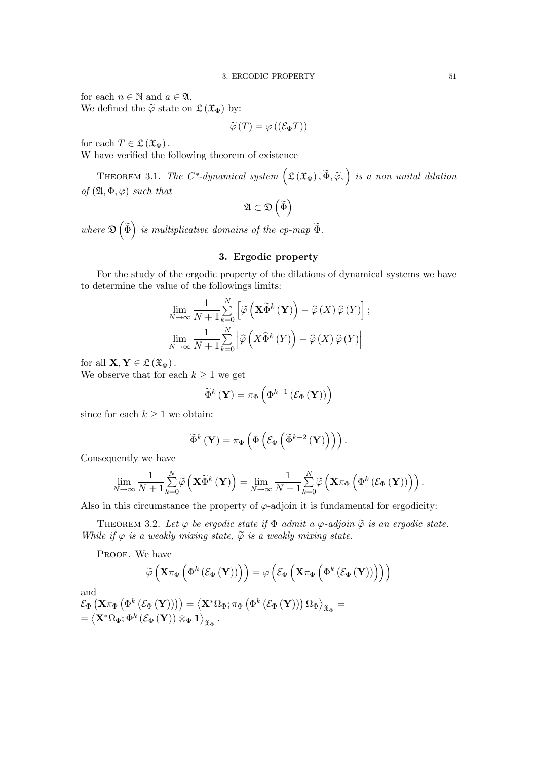for each  $n \in \mathbb{N}$  and  $a \in \mathfrak{A}$ .

We defined the  $\widetilde{\varphi}$  state on  $\mathfrak{L}(\mathfrak{X}_{\Phi})$  by:

$$
\widetilde{\varphi}(T)=\varphi\left((\mathcal{E}_{\Phi}T)\right)
$$

for each  $T \in \mathfrak{L}(\mathfrak{X}_{\Phi})$ .

W have verified the following theorem of existence

THEOREM 3.1. The C\*-dynamical system  $(\mathfrak{L}(\mathfrak{X}_{\Phi}), \widetilde{\Phi}, \widetilde{\varphi},)$  is a non unital dilation of  $(\mathfrak{A}, \Phi, \varphi)$  such that

$$
\mathfrak{A}\subset\mathfrak{D}\left(\widetilde{\Phi}\right)
$$

where  $\mathfrak{D}\left(\widetilde{\Phi}\right)$  is multiplicative domains of the cp-map  $\widetilde{\Phi}$ .

# 3. Ergodic property

For the study of the ergodic property of the dilations of dynamical systems we have to determine the value of the followings limits:

$$
\lim_{N \to \infty} \frac{1}{N+1} \sum_{k=0}^{N} \left[ \widetilde{\varphi} \left( \mathbf{X} \widetilde{\Phi}^{k} \left( \mathbf{Y} \right) \right) - \widehat{\varphi} \left( X \right) \widehat{\varphi} \left( Y \right) \right];
$$
\n
$$
\lim_{N \to \infty} \frac{1}{N+1} \sum_{k=0}^{N} \left| \widehat{\varphi} \left( X \widehat{\Phi}^{k} \left( Y \right) \right) - \widehat{\varphi} \left( X \right) \widehat{\varphi} \left( Y \right) \right|
$$

for all  $\mathbf{X}, \mathbf{Y} \in \mathcal{L}(\mathfrak{X}_{\Phi})$ .

We observe that for each  $k \geq 1$  we get

$$
\widetilde{\Phi}^{k}\left(\mathbf{Y}\right)=\pi_{\Phi}\left(\Phi^{k-1}\left(\mathcal{E}_{\Phi}\left(\mathbf{Y}\right)\right)\right)
$$

since for each  $k\geq 1$  we obtain:

$$
\widetilde{\Phi}^{k}\left(\mathbf{Y}\right)=\pi_{\Phi}\left(\Phi\left(\mathcal{E}_{\Phi}\left(\widetilde{\Phi}^{k-2}\left(\mathbf{Y}\right)\right)\right)\right).
$$

Consequently we have

$$
\lim_{N\to\infty}\frac{1}{N+1}\sum_{k=0}^{N}\widetilde{\varphi}\left(\mathbf{X}\widetilde{\Phi}^{k}\left(\mathbf{Y}\right)\right)=\lim_{N\to\infty}\frac{1}{N+1}\sum_{k=0}^{N}\widetilde{\varphi}\left(\mathbf{X}\pi_{\Phi}\left(\Phi^{k}\left(\mathcal{E}_{\Phi}\left(\mathbf{Y}\right)\right)\right)\right).
$$

Also in this circumstance the property of  $\varphi$ -adjoin it is fundamental for ergodicity:

THEOREM 3.2. Let  $\varphi$  be ergodic state if  $\Phi$  admit a  $\varphi$ -adjoin  $\widetilde{\varphi}$  is an ergodic state. While if  $\varphi$  is a weakly mixing state,  $\widetilde{\varphi}$  is a weakly mixing state.

PROOF. We have

$$
\widetilde{\varphi}\left(\mathbf{X}\pi_{\Phi}\left(\Phi^{k}\left(\mathcal{E}_{\Phi}\left(\mathbf{Y}\right)\right)\right)\right)=\varphi\left(\mathcal{E}_{\Phi}\left(\mathbf{X}\pi_{\Phi}\left(\Phi^{k}\left(\mathcal{E}_{\Phi}\left(\mathbf{Y}\right)\right)\right)\right)\right)
$$

and

 $\mathcal{E}_{\Phi}\left(\mathbf{X}\pi_{\Phi}\left(\Phi^{k}\left(\mathcal{E}_{\Phi}\left(\mathbf{Y}\right)\right)\right)\right)=\left\langle \mathbf{X}^{*}\Omega_{\Phi};\pi_{\Phi}\left(\Phi^{k}\left(\mathcal{E}_{\Phi}\left(\mathbf{Y}\right)\right)\right)\Omega_{\Phi}\right\rangle _{\mathfrak{X}_{\Phi}}=$  $=\left\langle \mathbf{X}^{\ast}\Omega_{\Phi};\Phi^{k}\left(\mathcal{E}_{\Phi}\left(\mathbf{Y}\right)\right)\otimes_{\Phi}\mathbf{1}\right\rangle _{\mathfrak{X}_{\Phi}}.$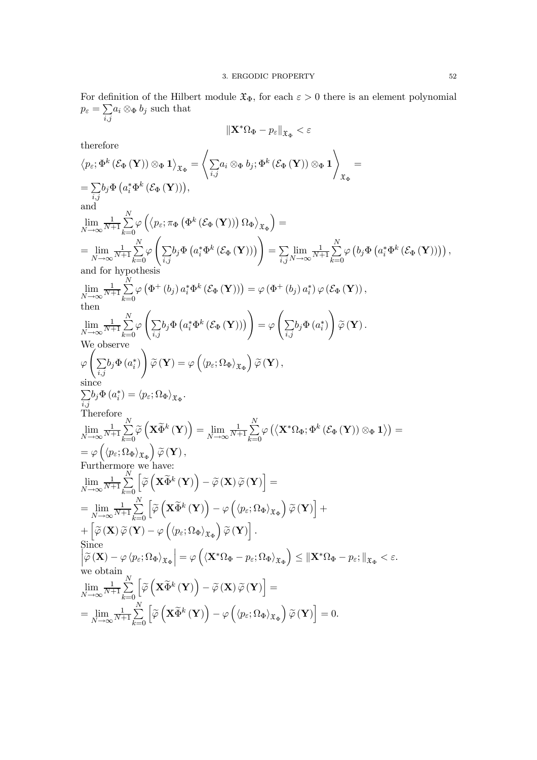For definition of the Hilbert module  $\mathfrak{X}_{\Phi}$ , for each  $\varepsilon > 0$  there is an element polynomial  $p_{\varepsilon} = \sum$  $\sum_{i,j} a_i \otimes_{\Phi} b_j$  such that

$$
\|\mathbf{X}^*\Omega_{\Phi} - p_{\varepsilon}\|_{\mathfrak{X}_{\Phi}} < \varepsilon
$$

therefore

Therefore  
\n
$$
\langle p_{\varepsilon}; \Phi^{k}(\mathcal{E}_{\Phi}(\mathbf{Y})) \otimes_{\Phi} \mathbf{1} \rangle_{\mathfrak{X}_{\Phi}} = \left\langle \sum_{i,j} a_{i} \otimes_{\Phi} b_{j}; \Phi^{k}(\mathcal{E}_{\Phi}(\mathbf{Y})) \otimes_{\Phi} \mathbf{1} \right\rangle_{\mathfrak{X}_{\Phi}} =
$$
\n
$$
= \sum_{i,j} b_{j} \Phi \left( a_{i}^{*} \Phi^{k}(\mathcal{E}_{\Phi}(\mathbf{Y}))),
$$
\nand  
\n
$$
\lim_{N \to \infty} \frac{1}{N+1} \sum_{k=0}^{N} \varphi \left( \langle p_{\varepsilon}; \pi_{\Phi} \left( \Phi^{k}(\mathcal{E}_{\Phi}(\mathbf{Y})) \right) \Omega_{\Phi} \rangle_{\mathfrak{X}_{\Phi}} \right) =
$$
\n
$$
= \lim_{N \to \infty} \frac{1}{N+1} \sum_{k=0}^{N} \varphi \left( \sum_{i,j} b_{j} \Phi \left( a_{i}^{*} \Phi^{k}(\mathcal{E}_{\Phi}(\mathbf{Y})) \right) \right) = \sum_{i,j} \lim_{N \to \infty} \frac{1}{N+1} \sum_{k=0}^{N} \varphi \left( b_{j} \Phi \left( a_{i}^{*} \Phi^{k}(\mathcal{E}_{\Phi}(\mathbf{Y})) \right) \right),
$$
\nand for both exists.

and for hypothesis

 $k=0$ 

$$
\lim_{N \to \infty} \frac{1}{N+1} \sum_{k=0}^{N} \varphi \left( \Phi^{+} \left( b_{j} \right) a_{i}^{*} \Phi^{k} \left( \mathcal{E}_{\Phi} \left( \mathbf{Y} \right) \right) \right) = \varphi \left( \Phi^{+} \left( b_{j} \right) a_{i}^{*} \right) \varphi \left( \mathcal{E}_{\Phi} \left( \mathbf{Y} \right) \right),
$$
\nthen\n
$$
\lim_{N \to \infty} \frac{1}{N} \left( \sum_{k=0}^{N} \mathbf{E} \left( \mathbf{X}_{k}^{*} \mathbf{E} \left( \mathcal{E}_{\Phi} \left( \mathbf{Y} \right) \right) \right) \right) \left( \sum_{k=0}^{N} \mathbf{E} \left( \mathbf{X}_{k}^{*} \right) \right) \sim \mathbf{F} \left( \mathbf{X}_{k}^{*} \right).
$$

$$
\lim_{N \to \infty} \frac{1}{N+1} \sum_{k=0}^{\infty} \varphi \left( \sum_{i,j} b_j \Phi \left( a_i^* \Phi^k \left( \mathcal{E}_{\Phi} (\mathbf{Y}) \right) \right) \right) = \varphi \left( \sum_{i,j} b_j \Phi \left( a_i^* \right) \right) \widetilde{\varphi} (\mathbf{Y}) .
$$
\nWe observe  
\n
$$
\varphi \left( \sum_{i,j} b_j \Phi \left( a_i^* \right) \right) \widetilde{\varphi} (\mathbf{Y}) = \varphi \left( \langle p_{\varepsilon}; \Omega_{\Phi} \rangle_{\mathfrak{X}_{\Phi}} \right) \widetilde{\varphi} (\mathbf{Y}) ,
$$
\nsince  
\n
$$
\sum_{i,j} b_j \Phi \left( a_i^* \right) = \langle p_{\varepsilon}; \Omega_{\Phi} \rangle_{\mathfrak{X}_{\Phi}} .
$$
\nTherefore  
\n
$$
\lim_{N \to \infty} \frac{1}{N+1} \sum_{k=0}^N \widetilde{\varphi} \left( \mathbf{X} \widetilde{\Phi}^k (\mathbf{Y}) \right) = \lim_{N \to \infty} \frac{1}{N+1} \sum_{k=0}^N \varphi \left( \langle \mathbf{X}^* \Omega_{\Phi}; \Phi^k \left( \mathcal{E}_{\Phi} (\mathbf{Y}) \right) \otimes_{\Phi} \mathbf{1} \right) \right) =
$$
\n
$$
= \varphi \left( \langle p_{\varepsilon}; \Omega_{\Phi} \rangle_{\mathfrak{X}_{\Phi}} \right) \widetilde{\varphi} (\mathbf{Y}) ,
$$
\nFurthermore we have:  
\n
$$
\lim_{N \to \infty} \frac{1}{N+1} \sum_{k=0}^N \left[ \widetilde{\varphi} \left( \mathbf{X} \widetilde{\Phi}^k (\mathbf{Y}) \right) - \widetilde{\varphi} (\mathbf{X}) \widetilde{\varphi} (\mathbf{Y}) \right] =
$$
\n
$$
= \lim_{N \to \infty} \frac{1}{N+1} \sum_{k=0}^N \left[ \widetilde{\varphi} \left( \mathbf{X} \widetilde{\Phi}^k (\mathbf{Y}) \right) - \varphi \left( \langle p_{\varepsilon}; \Omega_{\Phi} \rangle_{\mathfrak{
$$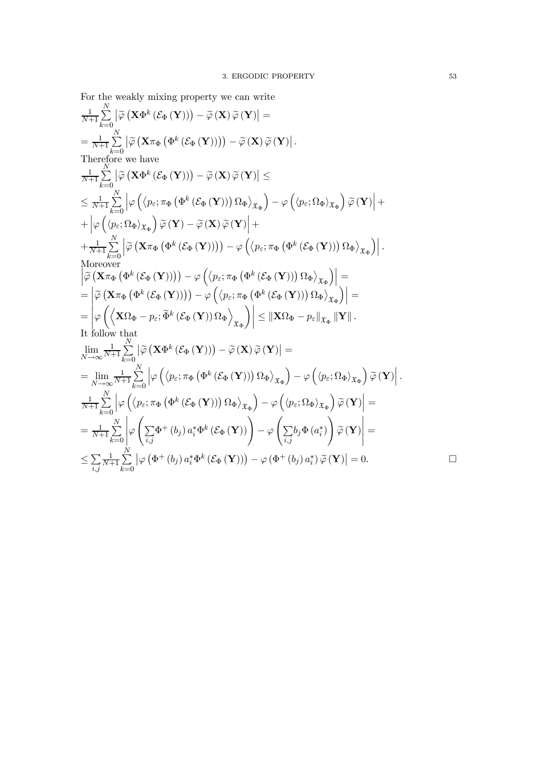For the weakly mixing property we can write

$$
\frac{1}{N+1}\sum_{k=0}^{N} \left| \tilde{\varphi}\left(\mathbf{X}\Phi^{k}\left(\mathcal{E}_{\Phi}\left(\mathbf{Y}\right)\right)\right)-\tilde{\varphi}\left(\mathbf{X}\right)\tilde{\varphi}\left(\mathbf{Y}\right)\right| =\n= \frac{1}{N+1}\sum_{k=0}^{N} \left| \tilde{\varphi}\left(\mathbf{X}\pi_{\Phi}\left(\Phi^{k}\left(\mathcal{E}_{\Phi}\left(\mathbf{Y}\right)\right)\right)\right)-\tilde{\varphi}\left(\mathbf{X}\right)\tilde{\varphi}\left(\mathbf{Y}\right)\right|.
$$
\nTherefore we have  
\n
$$
\frac{N}{N+1}\sum_{k=0}^{N} \left| \tilde{\varphi}\left(\mathbf{X}\Phi^{k}\left(\mathcal{E}_{\Phi}\left(\mathbf{Y}\right)\right)\right)-\tilde{\varphi}\left(\mathbf{X}\right)\tilde{\varphi}\left(\mathbf{Y}\right)\right| \leq
$$
\n
$$
\leq \frac{1}{N+1}\sum_{k=0}^{N} \left| \varphi\left(\left\langle p_{\varepsilon};\pi_{\Phi}\left(\Phi^{k}\left(\mathcal{E}_{\Phi}\left(\mathbf{Y}\right)\right)\right)\Omega_{\Phi}\right\rangle_{\mathcal{X}_{\Phi}}\right)-\varphi\left(\left\langle p_{\varepsilon};\Omega_{\Phi}\right\rangle_{\tilde{\mathcal{X}}}\tilde{\varphi}\left(\mathbf{Y}\right)\right| +\n+ \frac{1}{N+1}\sum_{k=0}^{N} \left| \tilde{\varphi}\left(\mathbf{X}\pi_{\Phi}\left(\Phi^{k}\left(\mathcal{E}_{\Phi}\left(\mathbf{Y}\right)\right)\right)\right)-\varphi\left(\left\langle p_{\varepsilon};\pi_{\Phi}\left(\Phi^{k}\left(\mathcal{E}_{\Phi}\left(\mathbf{Y}\right)\right)\right)\Omega_{\Phi}\right\rangle_{\mathcal{X}_{\Phi}}\right)\right| =\nMoreover\nMoreover\n
$$
\left| \tilde{\varphi}\left(\mathbf{X}\pi_{\Phi}\left(\Phi^{k}\left(\mathcal{E}_{\Phi}\left(\mathbf{Y}\right)\right)\right)\right)-\varphi\left(\left\langle p_{\varepsilon};\pi_{\Phi}\left(\Phi^{k}\left(\mathcal{E}_{\Phi}\left(\mathbf{Y}\right)\right)\right)\Omega_{\Phi}\right\rangle_{\math
$$
$$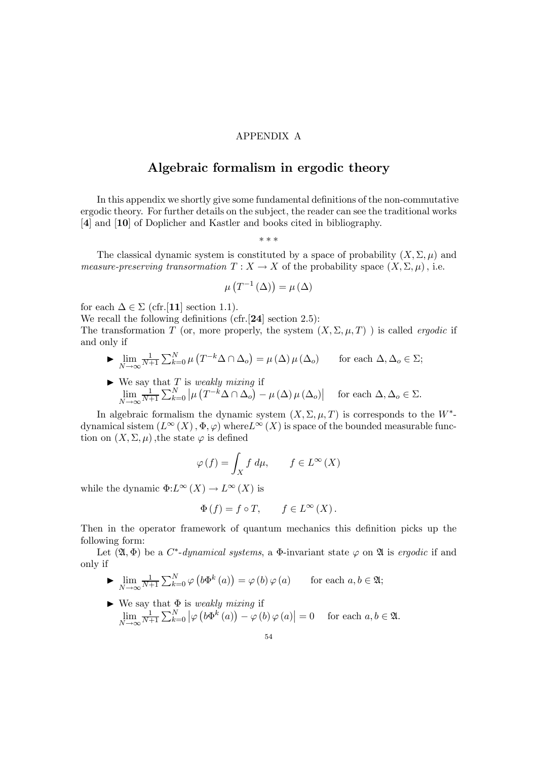## APPENDIX A

# Algebraic formalism in ergodic theory

In this appendix we shortly give some fundamental definitions of the non-commutative ergodic theory. For further details on the subject, the reader can see the traditional works [4] and [10] of Doplicher and Kastler and books cited in bibliography.

∗∗∗

The classical dynamic system is constituted by a space of probability  $(X, \Sigma, \mu)$  and measure-preserving transormation  $T : X \to X$  of the probability space  $(X, \Sigma, \mu)$ , i.e.

$$
\mu\left(T^{-1}\left(\Delta\right)\right) = \mu\left(\Delta\right)
$$

for each  $\Delta \in \Sigma$  (cfr. [11] section 1.1).

We recall the following definitions (cfr. [24] section 2.5):

The transformation T (or, more properly, the system  $(X, \Sigma, \mu, T)$ ) is called *ergodic* if and only if

- $\blacktriangleright$   $\lim$  $N\rightarrow\infty$ 1  $\frac{1}{N+1} \sum_{k=0}^{N} \mu(T^{-k} \Delta \cap \Delta_o) = \mu(\Delta) \mu(\Delta_o)$  for each  $\Delta, \Delta_o \in \Sigma$ ;
- $\blacktriangleright$  We say that T is weakly mixing if lim  $N\rightarrow\infty$ 1  $\frac{1}{N+1} \sum_{k=0}^{N} \left| \mu\left(T^{-k} \Delta \cap \Delta_o\right) - \mu\left(\Delta\right) \mu\left(\Delta_o\right) \right|$  for each  $\Delta, \Delta_o \in \Sigma$ .

In algebraic formalism the dynamic system  $(X, \Sigma, \mu, T)$  is corresponds to the W<sup>\*</sup>dynamical sistem  $(L^{\infty}(X), \Phi, \varphi)$  where  $L^{\infty}(X)$  is space of the bounded measurable function on  $(X, \Sigma, \mu)$ , the state  $\varphi$  is defined

$$
\varphi\left(f\right) = \int_{X} f \, d\mu, \qquad f \in L^{\infty}\left(X\right)
$$

while the dynamic  $\Phi: L^{\infty}(X) \to L^{\infty}(X)$  is

$$
\Phi\left(f\right)=f\circ T,\qquad f\in L^{\infty}\left(X\right).
$$

Then in the operator framework of quantum mechanics this definition picks up the following form:

Let  $(\mathfrak{A}, \Phi)$  be a  $C^*$ -dynamical systems, a  $\Phi$ -invariant state  $\varphi$  on  $\mathfrak{A}$  is ergodic if and only if

- $\blacktriangleright$   $\lim$  $N\rightarrow\infty$ 1  $\frac{1}{N+1} \sum_{k=0}^{N} \varphi(b\Phi^k(a)) = \varphi(b)\varphi(a)$  for each  $a, b \in \mathfrak{A};$
- $\blacktriangleright$  We say that  $\Phi$  is *weakly mixing* if lim  $N\rightarrow\infty$ 1  $\frac{1}{N+1} \sum_{k=0}^{N} |\varphi(b\Phi^k(a)) - \varphi(b)\varphi(a)| = 0$  for each  $a, b \in \mathfrak{A}$ .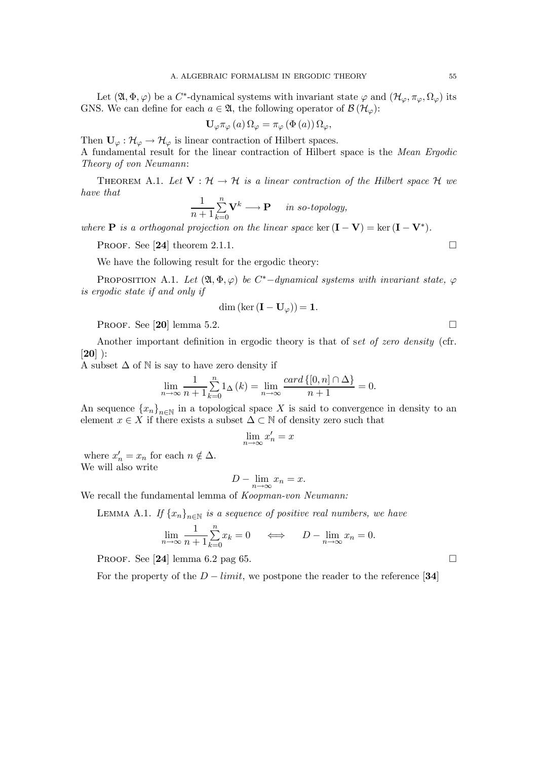Let  $(\mathfrak{A}, \Phi, \varphi)$  be a C<sup>\*</sup>-dynamical systems with invariant state  $\varphi$  and  $(\mathcal{H}_{\varphi}, \pi_{\varphi}, \Omega_{\varphi})$  its GNS. We can define for each  $a \in \mathfrak{A}$ , the following operator of  $\mathcal{B}(\mathcal{H}_{\varphi})$ :

$$
\mathbf{U}_{\varphi}\pi_{\varphi}\left(a\right)\Omega_{\varphi}=\pi_{\varphi}\left(\Phi\left(a\right)\right)\Omega_{\varphi},
$$

Then  $\mathbf{U}_{\varphi} : \mathcal{H}_{\varphi} \to \mathcal{H}_{\varphi}$  is linear contraction of Hilbert spaces. A fundamental result for the linear contraction of Hilbert space is the Mean Ergodic Theory of von Neumann:

THEOREM A.1. Let  $V : H \to H$  is a linear contraction of the Hilbert space H we have that

$$
\frac{1}{n+1}\sum_{k=0}^{n} \mathbf{V}^{k} \longrightarrow \mathbf{P} \quad in \; so\text{-topology},
$$

where **P** is a orthogonal projection on the linear space ker  $(I - V) = \text{ker} (I - V^*)$ .

PROOF. See [24] theorem 2.1.1.  $\square$ 

We have the following result for the ergodic theory:

PROPOSITION A.1. Let  $(\mathfrak{A}, \Phi, \varphi)$  be  $C^*$ -dynamical systems with invariant state,  $\varphi$ is ergodic state if and only if

$$
\dim\left(\ker\left(\mathbf{I}-\mathbf{U}_{\varphi}\right)\right)=\mathbf{1}
$$

PROOF. See [20] lemma 5.2.  $\Box$ 

Another important definition in ergodic theory is that of set of zero density (cfr. [20] ):

A subset  $\Delta$  of N is say to have zero density if

$$
\lim_{n \to \infty} \frac{1}{n+1} \sum_{k=0}^{n} 1_{\Delta}(k) = \lim_{n \to \infty} \frac{\operatorname{card} \{ [0, n] \cap \Delta \}}{n+1} = 0.
$$

An sequence  ${x_n}_{n\in\mathbb{N}}$  in a topological space X is said to convergence in density to an element  $x \in X$  if there exists a subset  $\Delta \subset \mathbb{N}$  of density zero such that

$$
\lim_{n \to \infty} x'_n = x
$$

where  $x'_n = x_n$  for each  $n \notin \Delta$ . We will also write

$$
D - \lim_{n \to \infty} x_n = x.
$$

We recall the fundamental lemma of Koopman-von Neumann:

LEMMA A.1. If  $\{x_n\}_{n\in\mathbb{N}}$  is a sequence of positive real numbers, we have

$$
\lim_{n \to \infty} \frac{1}{n+1} \sum_{k=0}^{n} x_k = 0 \qquad \Longleftrightarrow \qquad D - \lim_{n \to \infty} x_n = 0.
$$

PROOF. See [24] lemma 6.2 pag 65.  $\Box$ 

For the property of the  $D - limit$ , we postpone the reader to the reference [34]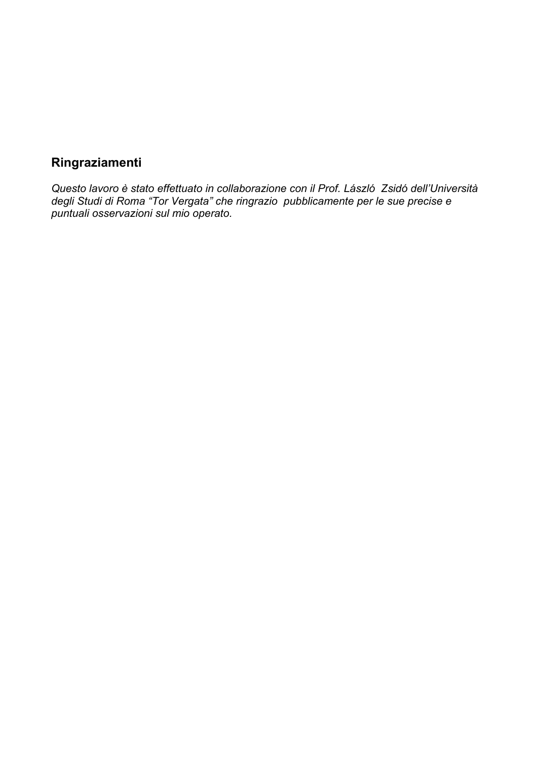# **Ringraziamenti**

*Questo lavoro è stato effettuato in collaborazione con il Prof. László Zsidó dell'Università degli Studi di Roma "Tor Vergata" che ringrazio pubblicamente per le sue precise e puntuali osservazioni sul mio operato.*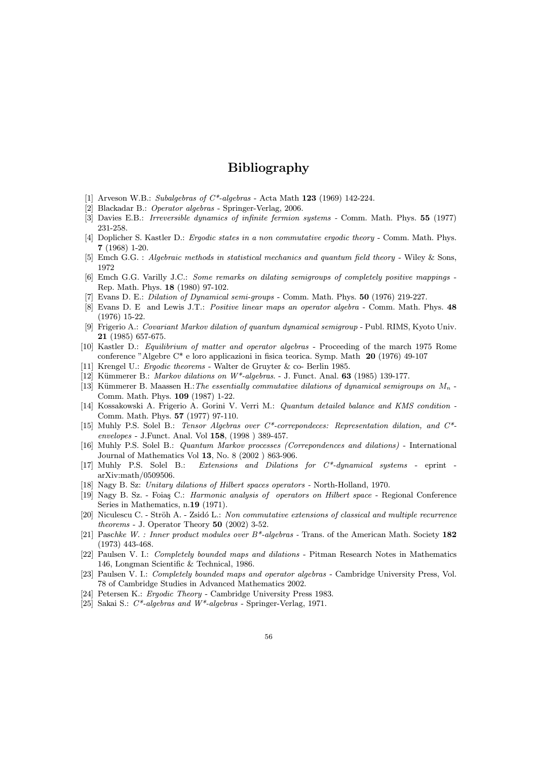# Bibliography

- [1] Arveson W.B.: Subalgebras of  $C^*$ -algebras Acta Math 123 (1969) 142-224.
- [2] Blackadar B.: Operator algebras Springer-Verlag, 2006.
- [3] Davies E.B.: Irreversible dynamics of infinite fermion systems Comm. Math. Phys. 55 (1977) 231-258.
- [4] Doplicher S. Kastler D.: Ergodic states in a non commutative ergodic theory Comm. Math. Phys. 7 (1968) 1-20.
- [5] Emch G.G. : Algebraic methods in statistical mechanics and quantum field theory Wiley & Sons, 1972
- [6] Emch G.G. Varilly J.C.: Some remarks on dilating semigroups of completely positive mappings -Rep. Math. Phys. 18 (1980) 97-102.
- [7] Evans D. E.: Dilation of Dynamical semi-groups Comm. Math. Phys. 50 (1976) 219-227.
- [8] Evans D. E and Lewis J.T.: Positive linear maps an operator algebra Comm. Math. Phys. 48 (1976) 15-22.
- [9] Frigerio A.: Covariant Markov dilation of quantum dynamical semigroup Publ. RIMS, Kyoto Univ. 21 (1985) 657-675.
- [10] Kastler D.: Equilibrium of matter and operator algebras Proceeding of the march 1975 Rome conference "Algebre C\* e loro applicazioni in fisica teorica. Symp. Math 20 (1976) 49-107
- [11] Krengel U.: Ergodic theorems Walter de Gruyter & co- Berlin 1985.
- [12] Kümmerer B.: Markov dilations on  $W^*$ -algebras. J. Funct. Anal. 63 (1985) 139-177.
- [13] Kümmerer B. Maassen H.: The essentially commutative dilations of dynamical semigroups on  $M_n$ . Comm. Math. Phys. 109 (1987) 1-22.
- [14] Kossakowski A. Frigerio A. Gorini V. Verri M.: Quantum detailed balance and KMS condition Comm. Math. Phys. 57 (1977) 97-110.
- [15] Muhly P.S. Solel B.: Tensor Algebras over  $C^*$ -correpondeces: Representation dilation, and  $C^*$ envelopes - J.Funct. Anal. Vol 158, (1998 ) 389-457.
- [16] Muhly P.S. Solel B.: Quantum Markov processes (Correpondences and dilations) International Journal of Mathematics Vol 13, No. 8 (2002 ) 863-906.
- [17] Muhly P.S. Solel B.: Extensions and Dilations for C\*-dynamical systems eprint arXiv:math/0509506.
- [18] Nagy B. Sz: Unitary dilations of Hilbert spaces operators North-Holland, 1970.
- [19] Nagy B. Sz. Foiaş C.: Harmonic analysis of operators on Hilbert space Regional Conference Series in Mathematics, n.19 (1971).
- [20] Niculescu C. Ströh A. Zsidó L.: Non commutative extensions of classical and multiple recurrence theorems - J. Operator Theory  $50$  (2002) 3-52.
- [21] Paschke W. : Inner product modules over  $B^*$ -algebras Trans. of the American Math. Society 182 (1973) 443-468.
- [22] Paulsen V. I.: Completely bounded maps and dilations Pitman Research Notes in Mathematics 146, Longman Scientific & Technical, 1986.
- [23] Paulsen V. I.: Completely bounded maps and operator algebras Cambridge University Press, Vol. 78 of Cambridge Studies in Advanced Mathematics 2002.
- [24] Petersen K.: Ergodic Theory Cambridge University Press 1983.
- [25] Sakai S.: C<sup>\*</sup>-algebras and W<sup>\*</sup>-algebras Springer-Verlag, 1971.